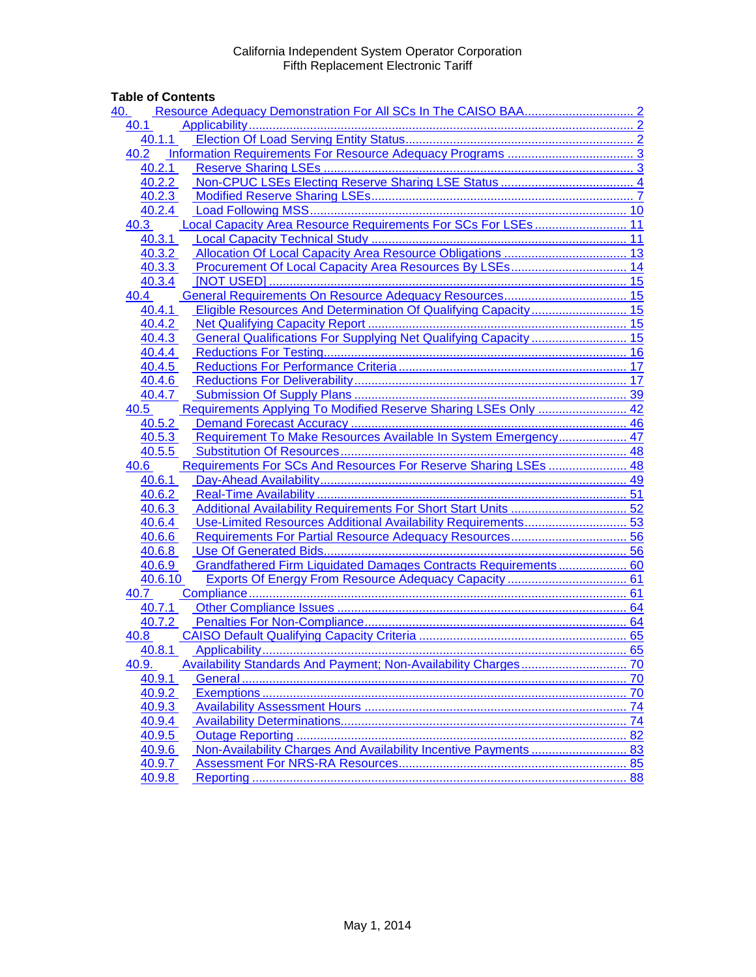## **Table of Contents**

| <u>40.</u>                                                                 |    |
|----------------------------------------------------------------------------|----|
| 40.1                                                                       |    |
| 40.1.1                                                                     |    |
| 40.2                                                                       |    |
| 40.2.1                                                                     |    |
| 40.2.2                                                                     |    |
| 40.2.3                                                                     |    |
| 40.2.4                                                                     |    |
| Local Capacity Area Resource Requirements For SCs For LSEs 11<br>40.3      |    |
| 40.3.1                                                                     |    |
| 40.3.2                                                                     |    |
| 40.3.3                                                                     |    |
| 40.3.4                                                                     |    |
| 40.4                                                                       |    |
| Eligible Resources And Determination Of Qualifying Capacity 15<br>40.4.1   |    |
| 40.4.2                                                                     |    |
| General Qualifications For Supplying Net Qualifying Capacity  15<br>40.4.3 |    |
| 40.4.4                                                                     |    |
| 40.4.5                                                                     |    |
| 40.4.6                                                                     |    |
| 40.4.7                                                                     |    |
| Requirements Applying To Modified Reserve Sharing LSEs Only  42<br>40.5    |    |
| 40.5.2                                                                     |    |
| Requirement To Make Resources Available In System Emergency 47<br>40.5.3   |    |
| 40.5.5                                                                     |    |
| Requirements For SCs And Resources For Reserve Sharing LSEs  48<br>40.6    |    |
| 40.6.1                                                                     |    |
| 40.6.2                                                                     |    |
| 40.6.3                                                                     |    |
| 40.6.4                                                                     |    |
| 40.6.6                                                                     |    |
| 40.6.8                                                                     |    |
| Grandfathered Firm Liquidated Damages Contracts Requirements 60<br>40.6.9  |    |
| 40.6.10                                                                    |    |
| 40.7                                                                       |    |
| 40.7.1                                                                     |    |
| 40.7.2                                                                     |    |
| 40.8                                                                       |    |
| 40.8.1                                                                     |    |
| 40.9.                                                                      |    |
| 40.9.1                                                                     |    |
| 40.9.2                                                                     |    |
| 40.9.3                                                                     |    |
| 40.9.4                                                                     |    |
| 40.9.5                                                                     |    |
| 40.9.6                                                                     |    |
| 40.9.7                                                                     |    |
| 40.9.8                                                                     | 88 |
|                                                                            |    |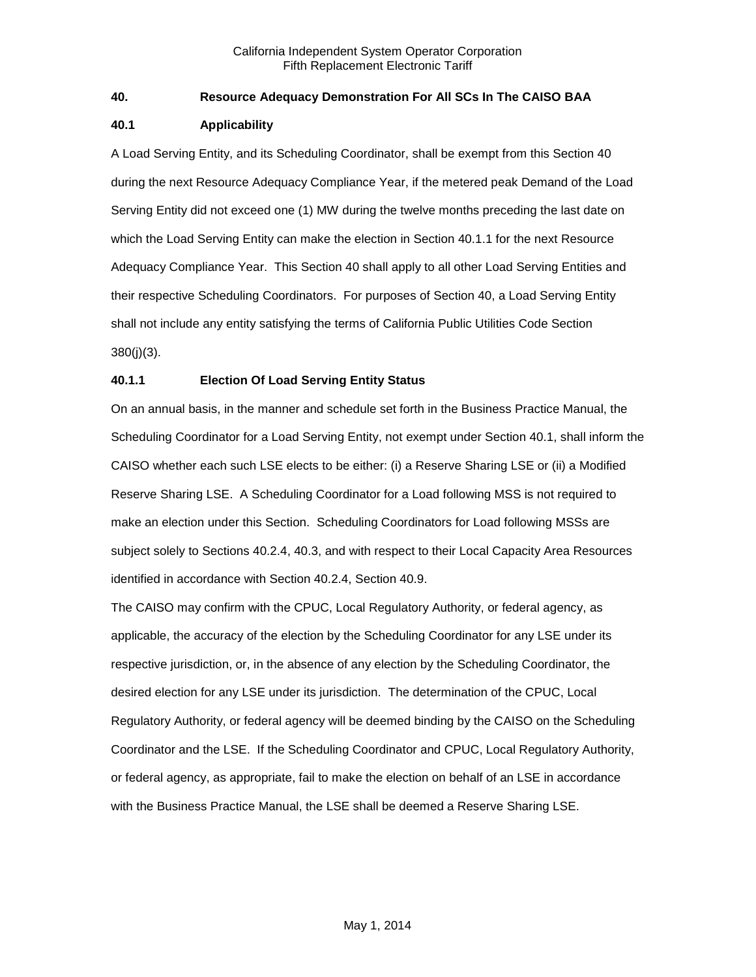## <span id="page-1-0"></span>**40. Resource Adequacy Demonstration For All SCs In The CAISO BAA**

## <span id="page-1-1"></span>**40.1 Applicability**

A Load Serving Entity, and its Scheduling Coordinator, shall be exempt from this Section 40 during the next Resource Adequacy Compliance Year, if the metered peak Demand of the Load Serving Entity did not exceed one (1) MW during the twelve months preceding the last date on which the Load Serving Entity can make the election in Section 40.1.1 for the next Resource Adequacy Compliance Year. This Section 40 shall apply to all other Load Serving Entities and their respective Scheduling Coordinators. For purposes of Section 40, a Load Serving Entity shall not include any entity satisfying the terms of California Public Utilities Code Section 380(j)(3).

## <span id="page-1-2"></span>**40.1.1 Election Of Load Serving Entity Status**

On an annual basis, in the manner and schedule set forth in the Business Practice Manual, the Scheduling Coordinator for a Load Serving Entity, not exempt under Section 40.1, shall inform the CAISO whether each such LSE elects to be either: (i) a Reserve Sharing LSE or (ii) a Modified Reserve Sharing LSE. A Scheduling Coordinator for a Load following MSS is not required to make an election under this Section. Scheduling Coordinators for Load following MSSs are subject solely to Sections 40.2.4, 40.3, and with respect to their Local Capacity Area Resources identified in accordance with Section 40.2.4, Section 40.9.

The CAISO may confirm with the CPUC, Local Regulatory Authority, or federal agency, as applicable, the accuracy of the election by the Scheduling Coordinator for any LSE under its respective jurisdiction, or, in the absence of any election by the Scheduling Coordinator, the desired election for any LSE under its jurisdiction. The determination of the CPUC, Local Regulatory Authority, or federal agency will be deemed binding by the CAISO on the Scheduling Coordinator and the LSE. If the Scheduling Coordinator and CPUC, Local Regulatory Authority, or federal agency, as appropriate, fail to make the election on behalf of an LSE in accordance with the Business Practice Manual, the LSE shall be deemed a Reserve Sharing LSE.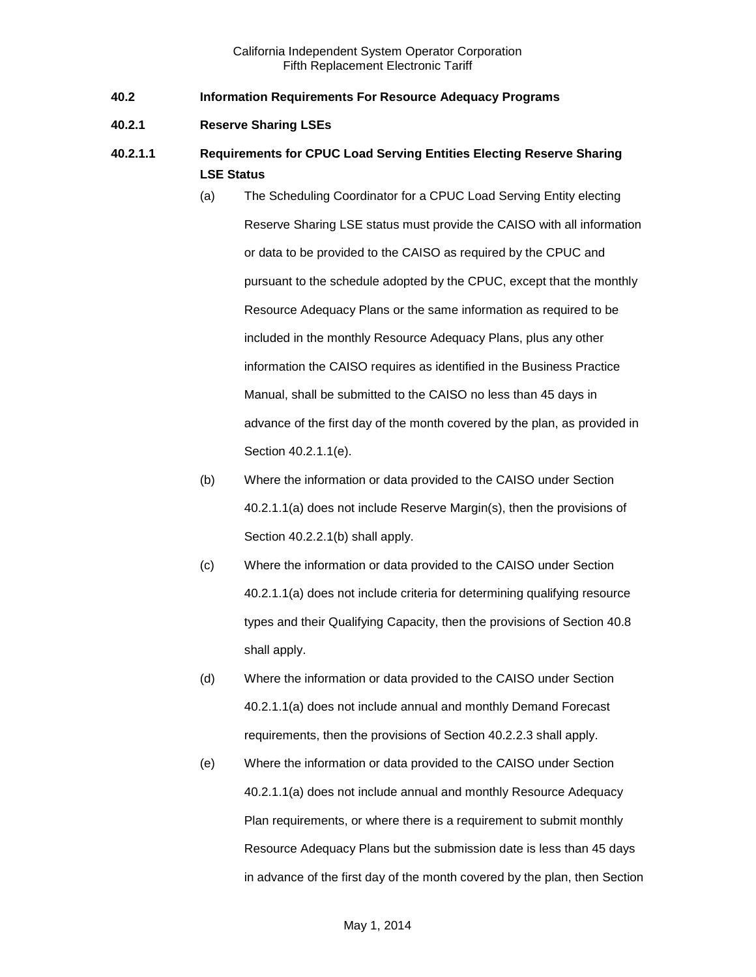- <span id="page-2-0"></span>**40.2 Information Requirements For Resource Adequacy Programs**
- <span id="page-2-1"></span>**40.2.1 Reserve Sharing LSEs**
- **40.2.1.1 Requirements for CPUC Load Serving Entities Electing Reserve Sharing LSE Status**
	- (a) The Scheduling Coordinator for a CPUC Load Serving Entity electing Reserve Sharing LSE status must provide the CAISO with all information or data to be provided to the CAISO as required by the CPUC and pursuant to the schedule adopted by the CPUC, except that the monthly Resource Adequacy Plans or the same information as required to be included in the monthly Resource Adequacy Plans, plus any other information the CAISO requires as identified in the Business Practice Manual, shall be submitted to the CAISO no less than 45 days in advance of the first day of the month covered by the plan, as provided in Section 40.2.1.1(e).
	- (b) Where the information or data provided to the CAISO under Section 40.2.1.1(a) does not include Reserve Margin(s), then the provisions of Section 40.2.2.1(b) shall apply.
	- (c) Where the information or data provided to the CAISO under Section 40.2.1.1(a) does not include criteria for determining qualifying resource types and their Qualifying Capacity, then the provisions of Section 40.8 shall apply.
	- (d) Where the information or data provided to the CAISO under Section 40.2.1.1(a) does not include annual and monthly Demand Forecast requirements, then the provisions of Section 40.2.2.3 shall apply.
	- (e) Where the information or data provided to the CAISO under Section 40.2.1.1(a) does not include annual and monthly Resource Adequacy Plan requirements, or where there is a requirement to submit monthly Resource Adequacy Plans but the submission date is less than 45 days in advance of the first day of the month covered by the plan, then Section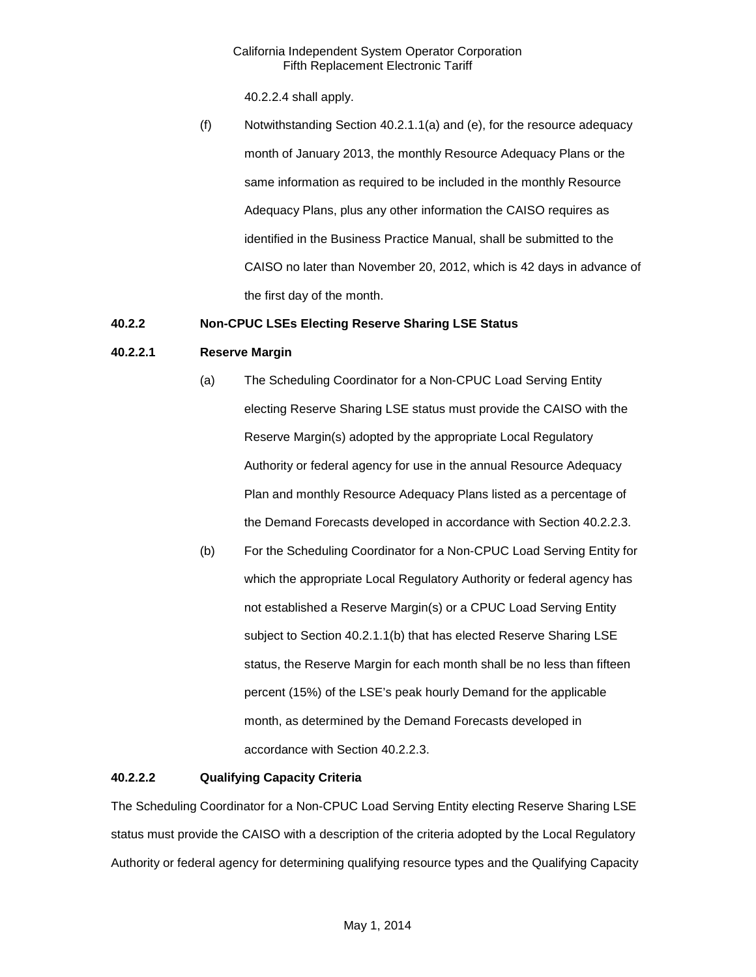40.2.2.4 shall apply.

(f) Notwithstanding Section 40.2.1.1(a) and (e), for the resource adequacy month of January 2013, the monthly Resource Adequacy Plans or the same information as required to be included in the monthly Resource Adequacy Plans, plus any other information the CAISO requires as identified in the Business Practice Manual, shall be submitted to the CAISO no later than November 20, 2012, which is 42 days in advance of the first day of the month.

## <span id="page-3-0"></span>**40.2.2 Non-CPUC LSEs Electing Reserve Sharing LSE Status**

## **40.2.2.1 Reserve Margin**

- (a) The Scheduling Coordinator for a Non-CPUC Load Serving Entity electing Reserve Sharing LSE status must provide the CAISO with the Reserve Margin(s) adopted by the appropriate Local Regulatory Authority or federal agency for use in the annual Resource Adequacy Plan and monthly Resource Adequacy Plans listed as a percentage of the Demand Forecasts developed in accordance with Section 40.2.2.3.
- (b) For the Scheduling Coordinator for a Non-CPUC Load Serving Entity for which the appropriate Local Regulatory Authority or federal agency has not established a Reserve Margin(s) or a CPUC Load Serving Entity subject to Section 40.2.1.1(b) that has elected Reserve Sharing LSE status, the Reserve Margin for each month shall be no less than fifteen percent (15%) of the LSE's peak hourly Demand for the applicable month, as determined by the Demand Forecasts developed in accordance with Section 40.2.2.3.

## **40.2.2.2 Qualifying Capacity Criteria**

The Scheduling Coordinator for a Non-CPUC Load Serving Entity electing Reserve Sharing LSE status must provide the CAISO with a description of the criteria adopted by the Local Regulatory Authority or federal agency for determining qualifying resource types and the Qualifying Capacity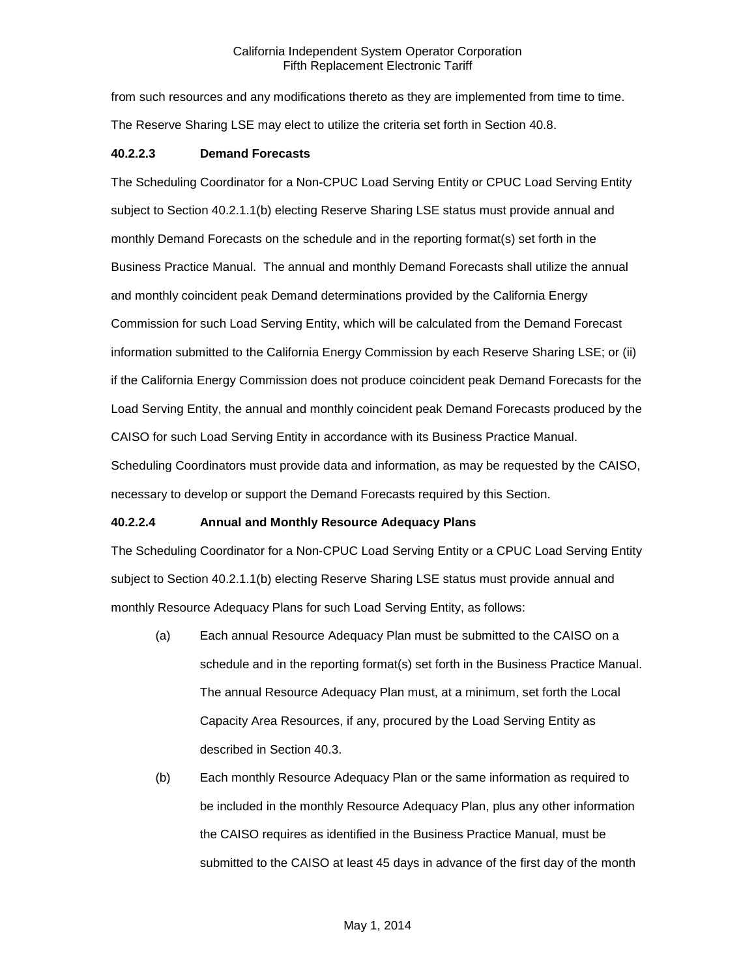from such resources and any modifications thereto as they are implemented from time to time. The Reserve Sharing LSE may elect to utilize the criteria set forth in Section 40.8.

### **40.2.2.3 Demand Forecasts**

The Scheduling Coordinator for a Non-CPUC Load Serving Entity or CPUC Load Serving Entity subject to Section 40.2.1.1(b) electing Reserve Sharing LSE status must provide annual and monthly Demand Forecasts on the schedule and in the reporting format(s) set forth in the Business Practice Manual. The annual and monthly Demand Forecasts shall utilize the annual and monthly coincident peak Demand determinations provided by the California Energy Commission for such Load Serving Entity, which will be calculated from the Demand Forecast information submitted to the California Energy Commission by each Reserve Sharing LSE; or (ii) if the California Energy Commission does not produce coincident peak Demand Forecasts for the Load Serving Entity, the annual and monthly coincident peak Demand Forecasts produced by the CAISO for such Load Serving Entity in accordance with its Business Practice Manual. Scheduling Coordinators must provide data and information, as may be requested by the CAISO, necessary to develop or support the Demand Forecasts required by this Section.

## **40.2.2.4 Annual and Monthly Resource Adequacy Plans**

The Scheduling Coordinator for a Non-CPUC Load Serving Entity or a CPUC Load Serving Entity subject to Section 40.2.1.1(b) electing Reserve Sharing LSE status must provide annual and monthly Resource Adequacy Plans for such Load Serving Entity, as follows:

- (a) Each annual Resource Adequacy Plan must be submitted to the CAISO on a schedule and in the reporting format(s) set forth in the Business Practice Manual. The annual Resource Adequacy Plan must, at a minimum, set forth the Local Capacity Area Resources, if any, procured by the Load Serving Entity as described in Section 40.3.
- (b) Each monthly Resource Adequacy Plan or the same information as required to be included in the monthly Resource Adequacy Plan, plus any other information the CAISO requires as identified in the Business Practice Manual, must be submitted to the CAISO at least 45 days in advance of the first day of the month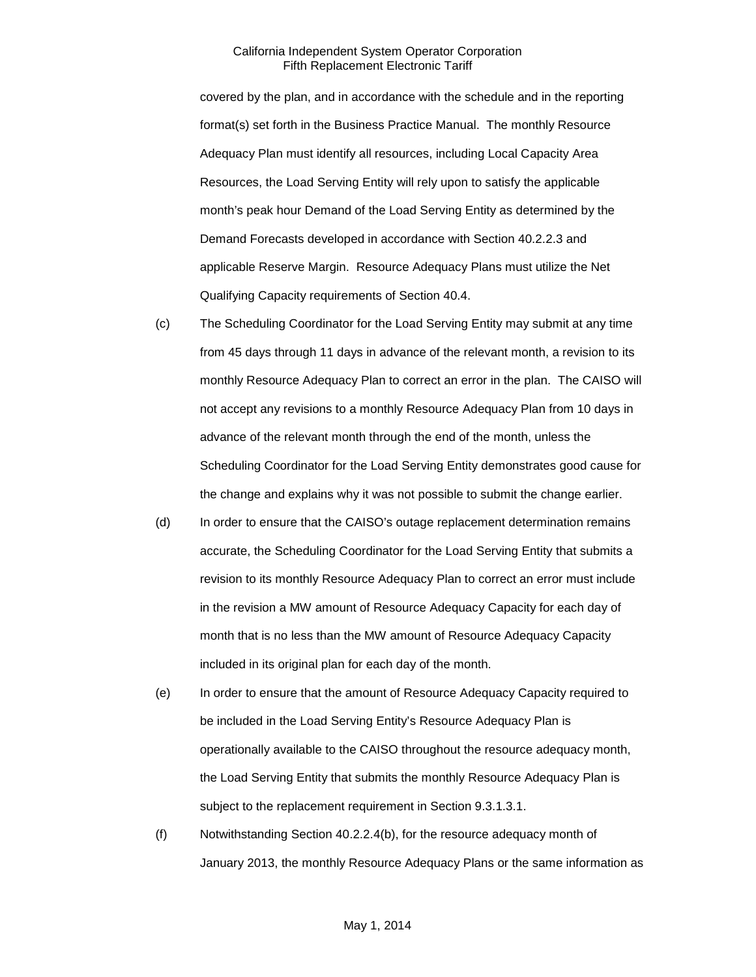covered by the plan, and in accordance with the schedule and in the reporting format(s) set forth in the Business Practice Manual. The monthly Resource Adequacy Plan must identify all resources, including Local Capacity Area Resources, the Load Serving Entity will rely upon to satisfy the applicable month's peak hour Demand of the Load Serving Entity as determined by the Demand Forecasts developed in accordance with Section 40.2.2.3 and applicable Reserve Margin. Resource Adequacy Plans must utilize the Net Qualifying Capacity requirements of Section 40.4.

- (c) The Scheduling Coordinator for the Load Serving Entity may submit at any time from 45 days through 11 days in advance of the relevant month, a revision to its monthly Resource Adequacy Plan to correct an error in the plan. The CAISO will not accept any revisions to a monthly Resource Adequacy Plan from 10 days in advance of the relevant month through the end of the month, unless the Scheduling Coordinator for the Load Serving Entity demonstrates good cause for the change and explains why it was not possible to submit the change earlier.
- (d) In order to ensure that the CAISO's outage replacement determination remains accurate, the Scheduling Coordinator for the Load Serving Entity that submits a revision to its monthly Resource Adequacy Plan to correct an error must include in the revision a MW amount of Resource Adequacy Capacity for each day of month that is no less than the MW amount of Resource Adequacy Capacity included in its original plan for each day of the month.
- (e) In order to ensure that the amount of Resource Adequacy Capacity required to be included in the Load Serving Entity's Resource Adequacy Plan is operationally available to the CAISO throughout the resource adequacy month, the Load Serving Entity that submits the monthly Resource Adequacy Plan is subject to the replacement requirement in Section 9.3.1.3.1.
- (f) Notwithstanding Section 40.2.2.4(b), for the resource adequacy month of January 2013, the monthly Resource Adequacy Plans or the same information as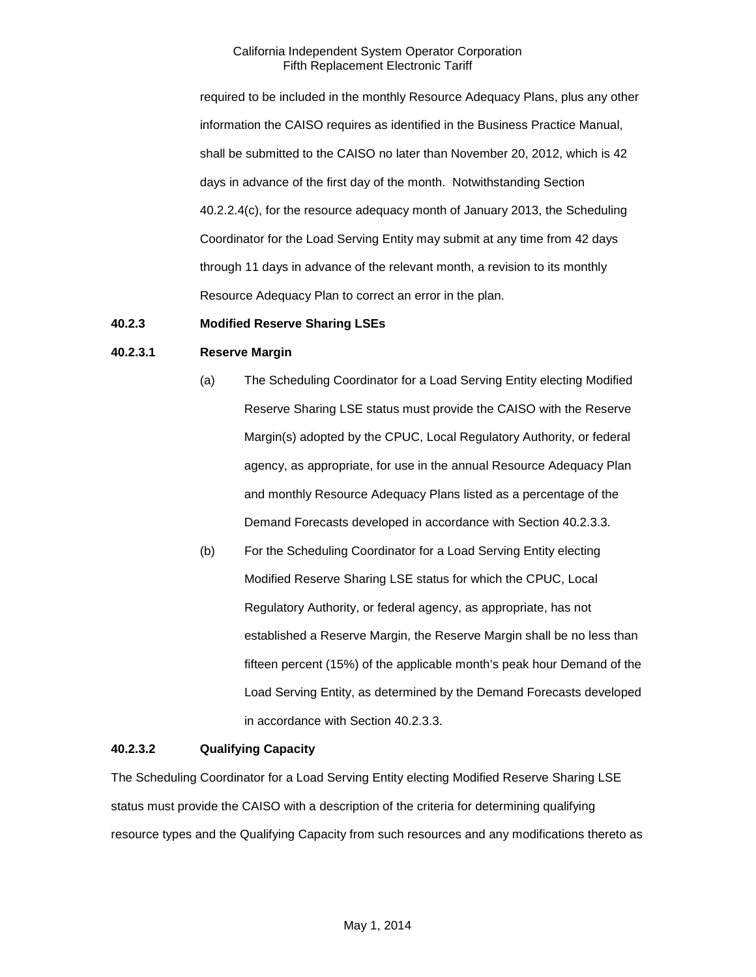required to be included in the monthly Resource Adequacy Plans, plus any other information the CAISO requires as identified in the Business Practice Manual, shall be submitted to the CAISO no later than November 20, 2012, which is 42 days in advance of the first day of the month. Notwithstanding Section 40.2.2.4(c), for the resource adequacy month of January 2013, the Scheduling Coordinator for the Load Serving Entity may submit at any time from 42 days through 11 days in advance of the relevant month, a revision to its monthly Resource Adequacy Plan to correct an error in the plan.

## <span id="page-6-0"></span>**40.2.3 Modified Reserve Sharing LSEs**

### **40.2.3.1 Reserve Margin**

- (a) The Scheduling Coordinator for a Load Serving Entity electing Modified Reserve Sharing LSE status must provide the CAISO with the Reserve Margin(s) adopted by the CPUC, Local Regulatory Authority, or federal agency, as appropriate, for use in the annual Resource Adequacy Plan and monthly Resource Adequacy Plans listed as a percentage of the Demand Forecasts developed in accordance with Section 40.2.3.3.
- (b) For the Scheduling Coordinator for a Load Serving Entity electing Modified Reserve Sharing LSE status for which the CPUC, Local Regulatory Authority, or federal agency, as appropriate, has not established a Reserve Margin, the Reserve Margin shall be no less than fifteen percent (15%) of the applicable month's peak hour Demand of the Load Serving Entity, as determined by the Demand Forecasts developed in accordance with Section 40.2.3.3.

#### **40.2.3.2 Qualifying Capacity**

The Scheduling Coordinator for a Load Serving Entity electing Modified Reserve Sharing LSE status must provide the CAISO with a description of the criteria for determining qualifying resource types and the Qualifying Capacity from such resources and any modifications thereto as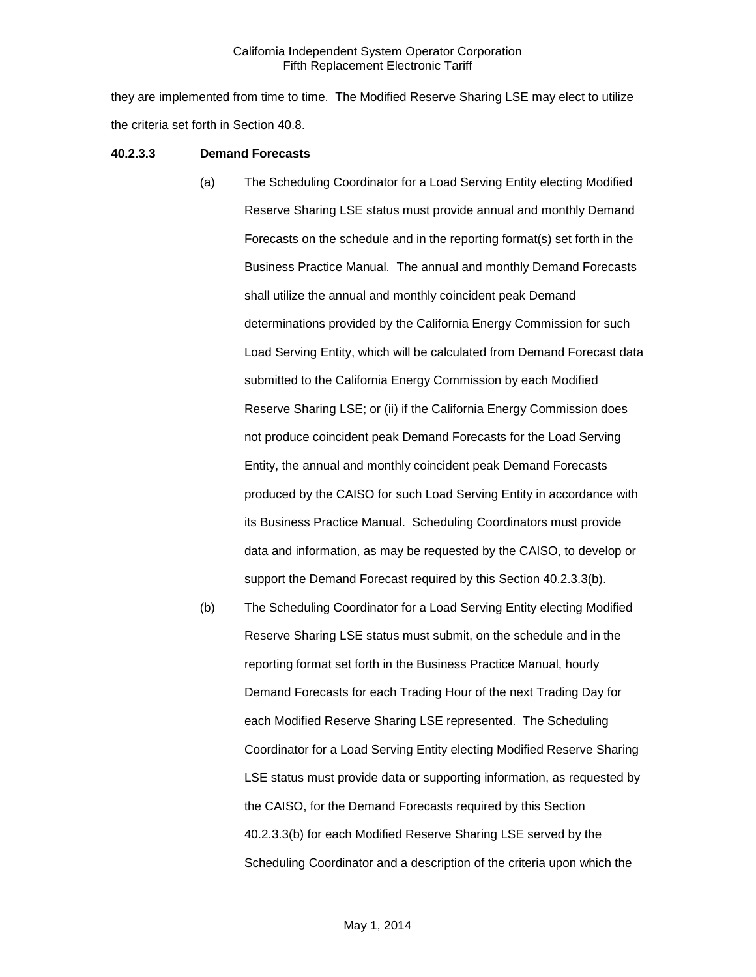they are implemented from time to time. The Modified Reserve Sharing LSE may elect to utilize the criteria set forth in Section 40.8.

#### **40.2.3.3 Demand Forecasts**

- (a) The Scheduling Coordinator for a Load Serving Entity electing Modified Reserve Sharing LSE status must provide annual and monthly Demand Forecasts on the schedule and in the reporting format(s) set forth in the Business Practice Manual. The annual and monthly Demand Forecasts shall utilize the annual and monthly coincident peak Demand determinations provided by the California Energy Commission for such Load Serving Entity, which will be calculated from Demand Forecast data submitted to the California Energy Commission by each Modified Reserve Sharing LSE; or (ii) if the California Energy Commission does not produce coincident peak Demand Forecasts for the Load Serving Entity, the annual and monthly coincident peak Demand Forecasts produced by the CAISO for such Load Serving Entity in accordance with its Business Practice Manual. Scheduling Coordinators must provide data and information, as may be requested by the CAISO, to develop or support the Demand Forecast required by this Section 40.2.3.3(b).
- (b) The Scheduling Coordinator for a Load Serving Entity electing Modified Reserve Sharing LSE status must submit, on the schedule and in the reporting format set forth in the Business Practice Manual, hourly Demand Forecasts for each Trading Hour of the next Trading Day for each Modified Reserve Sharing LSE represented. The Scheduling Coordinator for a Load Serving Entity electing Modified Reserve Sharing LSE status must provide data or supporting information, as requested by the CAISO, for the Demand Forecasts required by this Section 40.2.3.3(b) for each Modified Reserve Sharing LSE served by the Scheduling Coordinator and a description of the criteria upon which the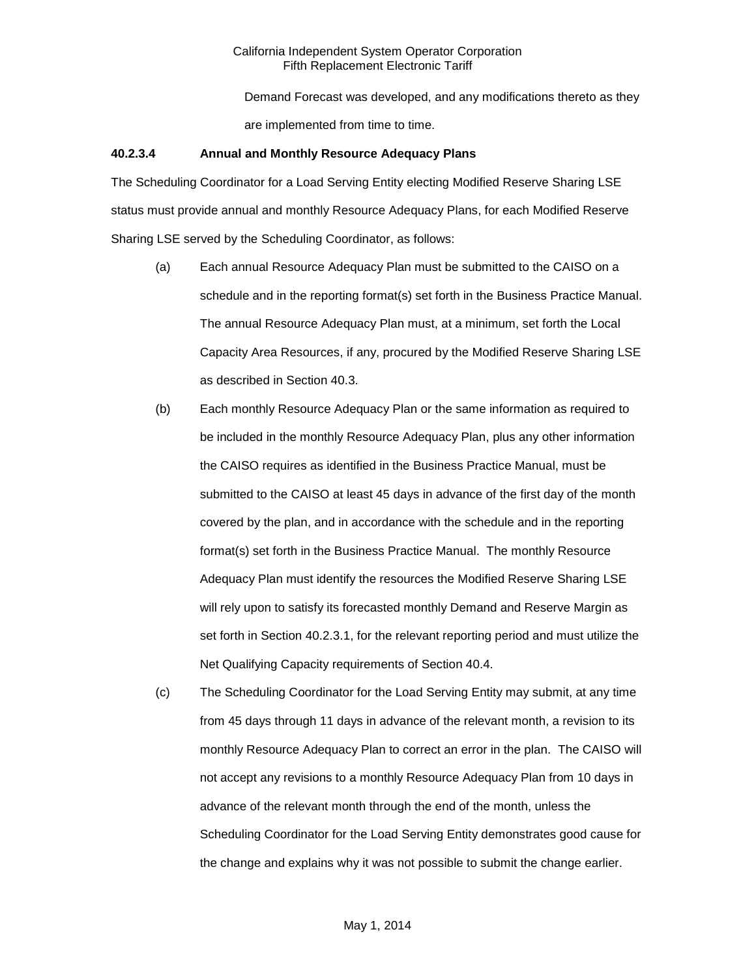Demand Forecast was developed, and any modifications thereto as they are implemented from time to time.

### **40.2.3.4 Annual and Monthly Resource Adequacy Plans**

The Scheduling Coordinator for a Load Serving Entity electing Modified Reserve Sharing LSE status must provide annual and monthly Resource Adequacy Plans, for each Modified Reserve Sharing LSE served by the Scheduling Coordinator, as follows:

- (a) Each annual Resource Adequacy Plan must be submitted to the CAISO on a schedule and in the reporting format(s) set forth in the Business Practice Manual. The annual Resource Adequacy Plan must, at a minimum, set forth the Local Capacity Area Resources, if any, procured by the Modified Reserve Sharing LSE as described in Section 40.3.
- (b) Each monthly Resource Adequacy Plan or the same information as required to be included in the monthly Resource Adequacy Plan, plus any other information the CAISO requires as identified in the Business Practice Manual, must be submitted to the CAISO at least 45 days in advance of the first day of the month covered by the plan, and in accordance with the schedule and in the reporting format(s) set forth in the Business Practice Manual. The monthly Resource Adequacy Plan must identify the resources the Modified Reserve Sharing LSE will rely upon to satisfy its forecasted monthly Demand and Reserve Margin as set forth in Section 40.2.3.1, for the relevant reporting period and must utilize the Net Qualifying Capacity requirements of Section 40.4.
- (c) The Scheduling Coordinator for the Load Serving Entity may submit, at any time from 45 days through 11 days in advance of the relevant month, a revision to its monthly Resource Adequacy Plan to correct an error in the plan. The CAISO will not accept any revisions to a monthly Resource Adequacy Plan from 10 days in advance of the relevant month through the end of the month, unless the Scheduling Coordinator for the Load Serving Entity demonstrates good cause for the change and explains why it was not possible to submit the change earlier.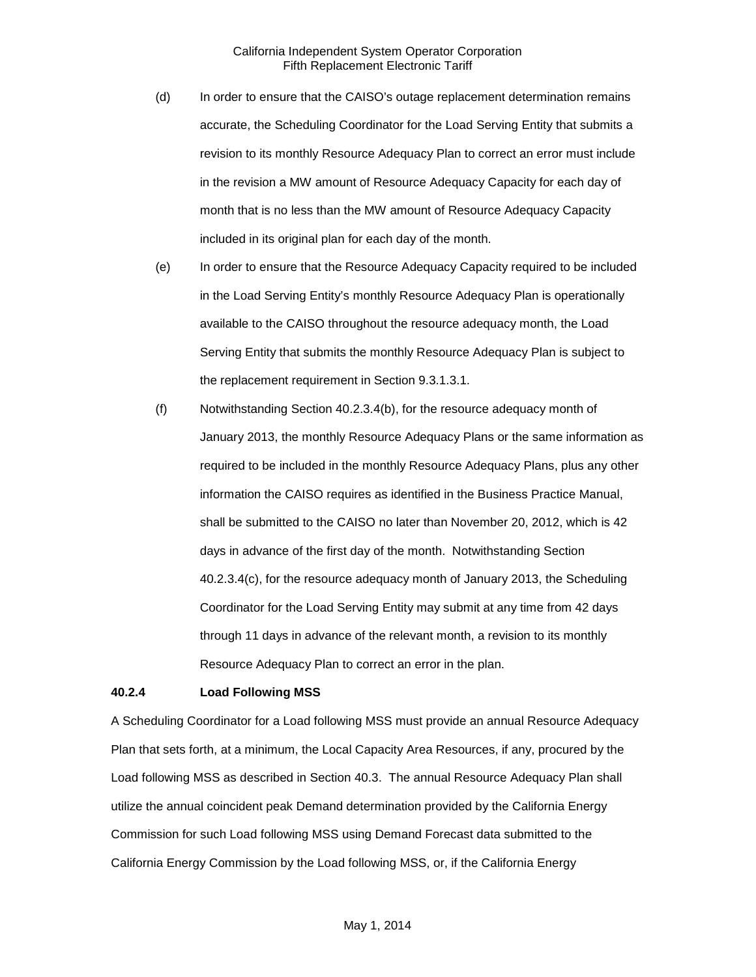- (d) In order to ensure that the CAISO's outage replacement determination remains accurate, the Scheduling Coordinator for the Load Serving Entity that submits a revision to its monthly Resource Adequacy Plan to correct an error must include in the revision a MW amount of Resource Adequacy Capacity for each day of month that is no less than the MW amount of Resource Adequacy Capacity included in its original plan for each day of the month.
- (e) In order to ensure that the Resource Adequacy Capacity required to be included in the Load Serving Entity's monthly Resource Adequacy Plan is operationally available to the CAISO throughout the resource adequacy month, the Load Serving Entity that submits the monthly Resource Adequacy Plan is subject to the replacement requirement in Section 9.3.1.3.1.
- (f) Notwithstanding Section 40.2.3.4(b), for the resource adequacy month of January 2013, the monthly Resource Adequacy Plans or the same information as required to be included in the monthly Resource Adequacy Plans, plus any other information the CAISO requires as identified in the Business Practice Manual, shall be submitted to the CAISO no later than November 20, 2012, which is 42 days in advance of the first day of the month. Notwithstanding Section 40.2.3.4(c), for the resource adequacy month of January 2013, the Scheduling Coordinator for the Load Serving Entity may submit at any time from 42 days through 11 days in advance of the relevant month, a revision to its monthly Resource Adequacy Plan to correct an error in the plan.

#### <span id="page-9-0"></span>**40.2.4 Load Following MSS**

A Scheduling Coordinator for a Load following MSS must provide an annual Resource Adequacy Plan that sets forth, at a minimum, the Local Capacity Area Resources, if any, procured by the Load following MSS as described in Section 40.3. The annual Resource Adequacy Plan shall utilize the annual coincident peak Demand determination provided by the California Energy Commission for such Load following MSS using Demand Forecast data submitted to the California Energy Commission by the Load following MSS, or, if the California Energy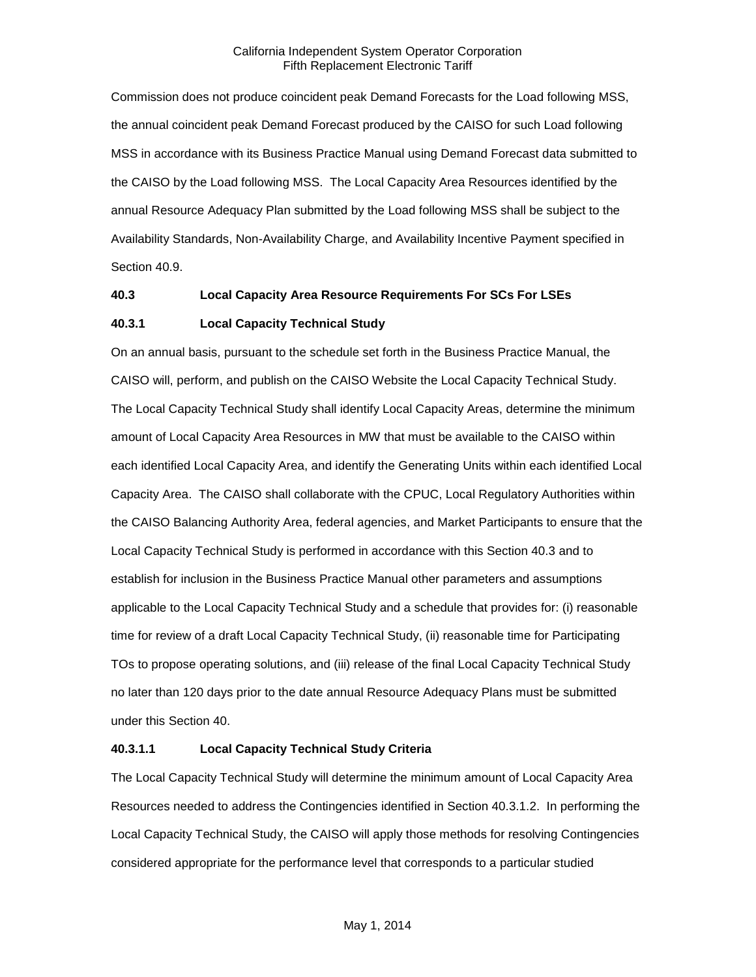Commission does not produce coincident peak Demand Forecasts for the Load following MSS, the annual coincident peak Demand Forecast produced by the CAISO for such Load following MSS in accordance with its Business Practice Manual using Demand Forecast data submitted to the CAISO by the Load following MSS. The Local Capacity Area Resources identified by the annual Resource Adequacy Plan submitted by the Load following MSS shall be subject to the Availability Standards, Non-Availability Charge, and Availability Incentive Payment specified in Section 40.9.

## <span id="page-10-0"></span>**40.3 Local Capacity Area Resource Requirements For SCs For LSEs**

## <span id="page-10-1"></span>**40.3.1 Local Capacity Technical Study**

On an annual basis, pursuant to the schedule set forth in the Business Practice Manual, the CAISO will, perform, and publish on the CAISO Website the Local Capacity Technical Study. The Local Capacity Technical Study shall identify Local Capacity Areas, determine the minimum amount of Local Capacity Area Resources in MW that must be available to the CAISO within each identified Local Capacity Area, and identify the Generating Units within each identified Local Capacity Area. The CAISO shall collaborate with the CPUC, Local Regulatory Authorities within the CAISO Balancing Authority Area, federal agencies, and Market Participants to ensure that the Local Capacity Technical Study is performed in accordance with this Section 40.3 and to establish for inclusion in the Business Practice Manual other parameters and assumptions applicable to the Local Capacity Technical Study and a schedule that provides for: (i) reasonable time for review of a draft Local Capacity Technical Study, (ii) reasonable time for Participating TOs to propose operating solutions, and (iii) release of the final Local Capacity Technical Study no later than 120 days prior to the date annual Resource Adequacy Plans must be submitted under this Section 40.

## **40.3.1.1 Local Capacity Technical Study Criteria**

The Local Capacity Technical Study will determine the minimum amount of Local Capacity Area Resources needed to address the Contingencies identified in Section 40.3.1.2. In performing the Local Capacity Technical Study, the CAISO will apply those methods for resolving Contingencies considered appropriate for the performance level that corresponds to a particular studied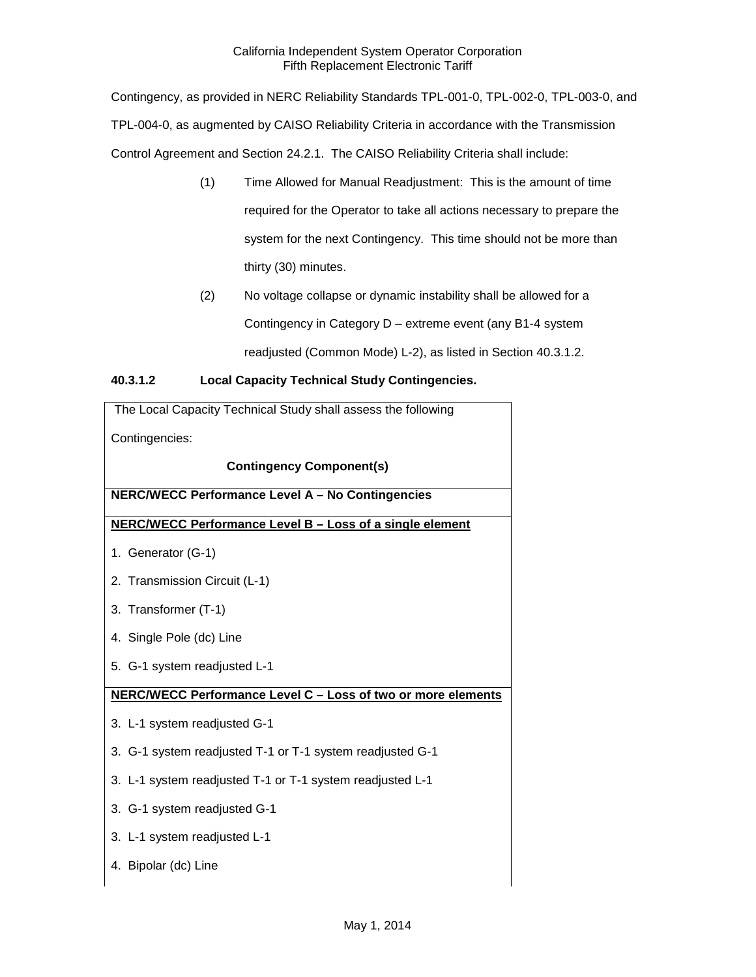Contingency, as provided in NERC Reliability Standards TPL-001-0, TPL-002-0, TPL-003-0, and TPL-004-0, as augmented by CAISO Reliability Criteria in accordance with the Transmission Control Agreement and Section 24.2.1. The CAISO Reliability Criteria shall include:

- (1) Time Allowed for Manual Readjustment: This is the amount of time required for the Operator to take all actions necessary to prepare the system for the next Contingency. This time should not be more than thirty (30) minutes.
- (2) No voltage collapse or dynamic instability shall be allowed for a Contingency in Category D – extreme event (any B1-4 system readjusted (Common Mode) L-2), as listed in Section 40.3.1.2.

## **40.3.1.2 Local Capacity Technical Study Contingencies.**

| The Local Capacity Technical Study shall assess the following |
|---------------------------------------------------------------|
| Contingencies:                                                |
| <b>Contingency Component(s)</b>                               |
| NERC/WECC Performance Level A - No Contingencies              |
| NERC/WECC Performance Level B - Loss of a single element      |
| 1. Generator (G-1)                                            |
| 2. Transmission Circuit (L-1)                                 |
| 3. Transformer (T-1)                                          |
| 4. Single Pole (dc) Line                                      |
| 5. G-1 system readjusted L-1                                  |
| NERC/WECC Performance Level C - Loss of two or more elements  |
| 3. L-1 system readjusted G-1                                  |
| 3. G-1 system readjusted T-1 or T-1 system readjusted G-1     |
| 3. L-1 system readjusted T-1 or T-1 system readjusted L-1     |
| 3. G-1 system readjusted G-1                                  |
| 3. L-1 system readjusted L-1                                  |
| 4. Bipolar (dc) Line                                          |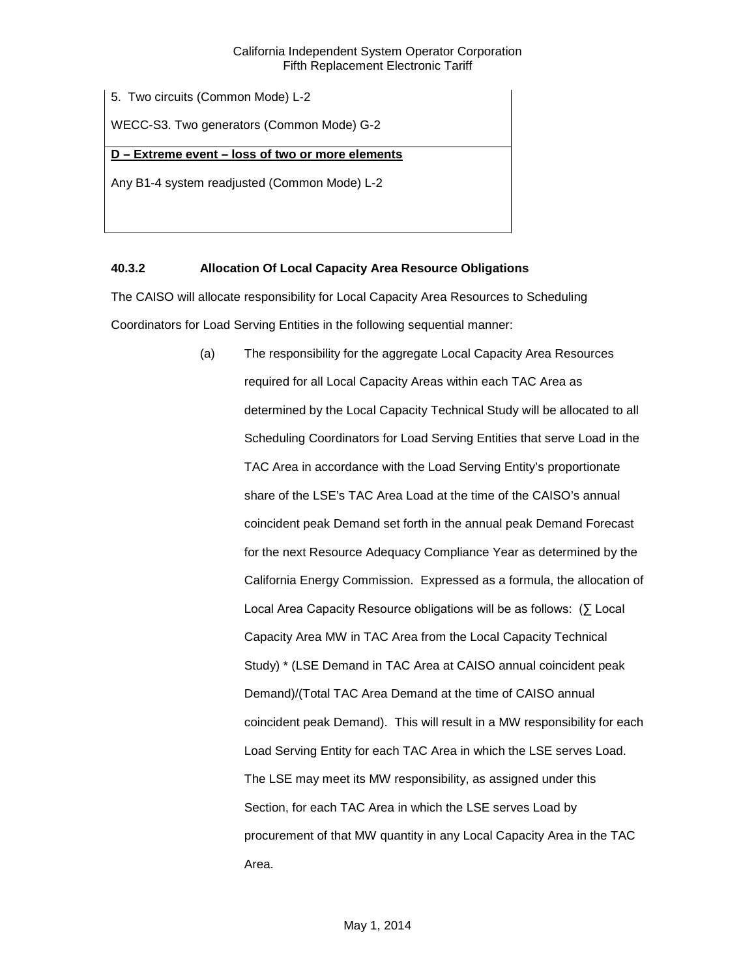5. Two circuits (Common Mode) L-2

WECC-S3. Two generators (Common Mode) G-2

## **D – Extreme event – loss of two or more elements**

Any B1-4 system readjusted (Common Mode) L-2

## <span id="page-12-0"></span>**40.3.2 Allocation Of Local Capacity Area Resource Obligations**

The CAISO will allocate responsibility for Local Capacity Area Resources to Scheduling Coordinators for Load Serving Entities in the following sequential manner:

> (a) The responsibility for the aggregate Local Capacity Area Resources required for all Local Capacity Areas within each TAC Area as determined by the Local Capacity Technical Study will be allocated to all Scheduling Coordinators for Load Serving Entities that serve Load in the TAC Area in accordance with the Load Serving Entity's proportionate share of the LSE's TAC Area Load at the time of the CAISO's annual coincident peak Demand set forth in the annual peak Demand Forecast for the next Resource Adequacy Compliance Year as determined by the California Energy Commission. Expressed as a formula, the allocation of Local Area Capacity Resource obligations will be as follows: (∑ Local Capacity Area MW in TAC Area from the Local Capacity Technical Study) \* (LSE Demand in TAC Area at CAISO annual coincident peak Demand)/(Total TAC Area Demand at the time of CAISO annual coincident peak Demand). This will result in a MW responsibility for each Load Serving Entity for each TAC Area in which the LSE serves Load. The LSE may meet its MW responsibility, as assigned under this Section, for each TAC Area in which the LSE serves Load by procurement of that MW quantity in any Local Capacity Area in the TAC Area.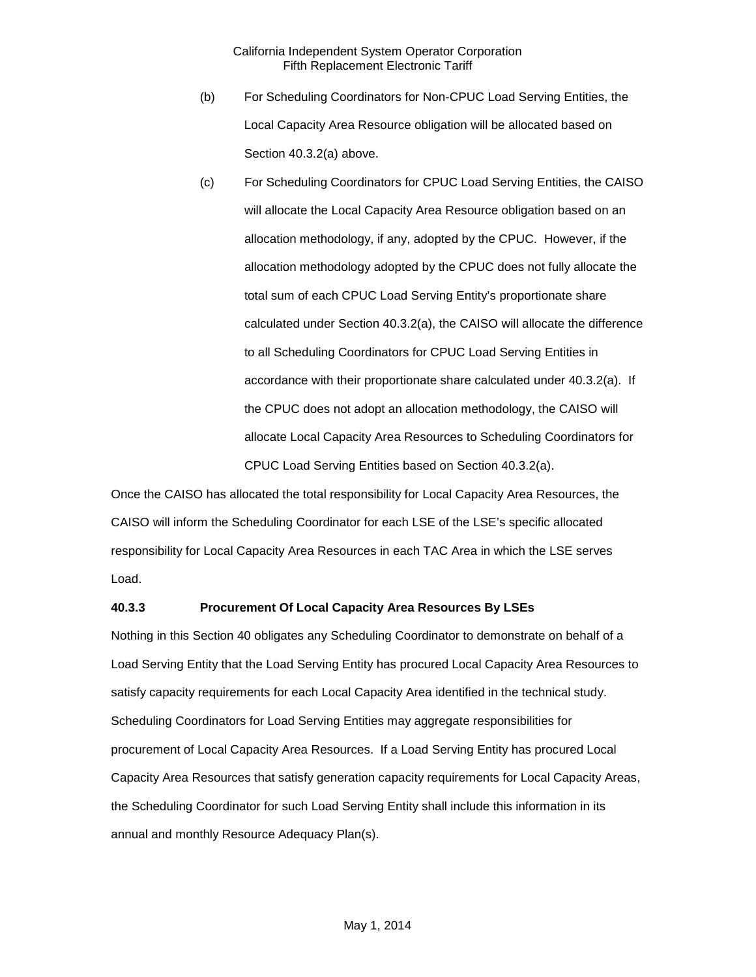- (b) For Scheduling Coordinators for Non-CPUC Load Serving Entities, the Local Capacity Area Resource obligation will be allocated based on Section 40.3.2(a) above.
- (c) For Scheduling Coordinators for CPUC Load Serving Entities, the CAISO will allocate the Local Capacity Area Resource obligation based on an allocation methodology, if any, adopted by the CPUC. However, if the allocation methodology adopted by the CPUC does not fully allocate the total sum of each CPUC Load Serving Entity's proportionate share calculated under Section 40.3.2(a), the CAISO will allocate the difference to all Scheduling Coordinators for CPUC Load Serving Entities in accordance with their proportionate share calculated under 40.3.2(a). If the CPUC does not adopt an allocation methodology, the CAISO will allocate Local Capacity Area Resources to Scheduling Coordinators for CPUC Load Serving Entities based on Section 40.3.2(a).

Once the CAISO has allocated the total responsibility for Local Capacity Area Resources, the CAISO will inform the Scheduling Coordinator for each LSE of the LSE's specific allocated responsibility for Local Capacity Area Resources in each TAC Area in which the LSE serves Load.

## <span id="page-13-0"></span>**40.3.3 Procurement Of Local Capacity Area Resources By LSEs**

Nothing in this Section 40 obligates any Scheduling Coordinator to demonstrate on behalf of a Load Serving Entity that the Load Serving Entity has procured Local Capacity Area Resources to satisfy capacity requirements for each Local Capacity Area identified in the technical study. Scheduling Coordinators for Load Serving Entities may aggregate responsibilities for procurement of Local Capacity Area Resources. If a Load Serving Entity has procured Local Capacity Area Resources that satisfy generation capacity requirements for Local Capacity Areas, the Scheduling Coordinator for such Load Serving Entity shall include this information in its annual and monthly Resource Adequacy Plan(s).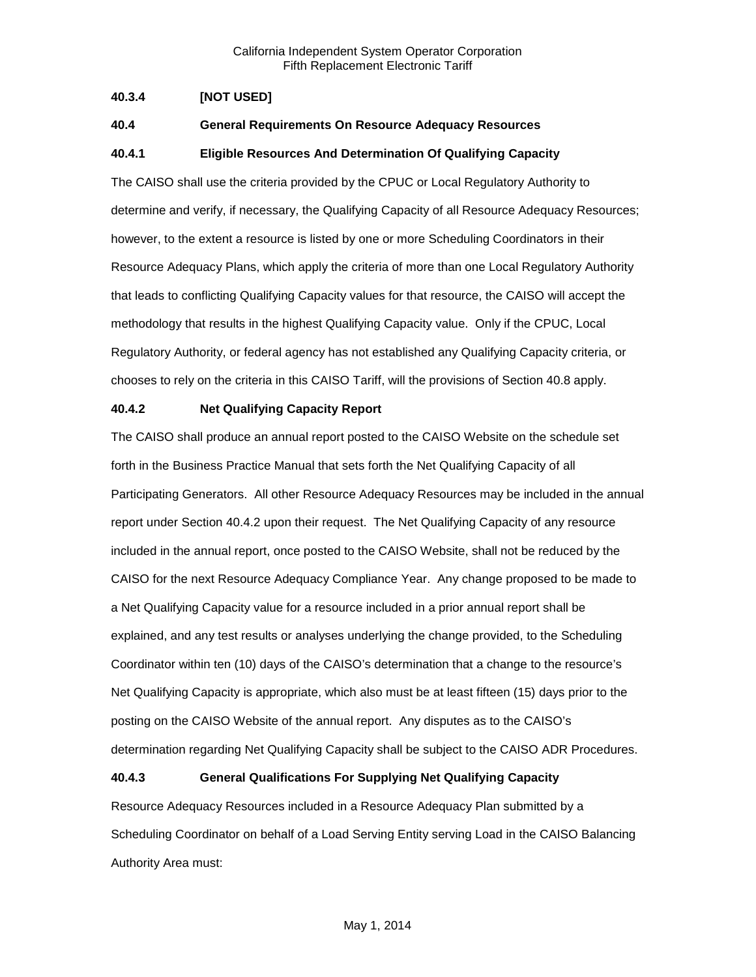## <span id="page-14-0"></span>**40.3.4 [NOT USED]**

## <span id="page-14-1"></span>**40.4 General Requirements On Resource Adequacy Resources**

## <span id="page-14-2"></span>**40.4.1 Eligible Resources And Determination Of Qualifying Capacity**

The CAISO shall use the criteria provided by the CPUC or Local Regulatory Authority to determine and verify, if necessary, the Qualifying Capacity of all Resource Adequacy Resources; however, to the extent a resource is listed by one or more Scheduling Coordinators in their Resource Adequacy Plans, which apply the criteria of more than one Local Regulatory Authority that leads to conflicting Qualifying Capacity values for that resource, the CAISO will accept the methodology that results in the highest Qualifying Capacity value. Only if the CPUC, Local Regulatory Authority, or federal agency has not established any Qualifying Capacity criteria, or chooses to rely on the criteria in this CAISO Tariff, will the provisions of Section 40.8 apply.

#### <span id="page-14-3"></span>**40.4.2 Net Qualifying Capacity Report**

The CAISO shall produce an annual report posted to the CAISO Website on the schedule set forth in the Business Practice Manual that sets forth the Net Qualifying Capacity of all Participating Generators. All other Resource Adequacy Resources may be included in the annual report under Section 40.4.2 upon their request. The Net Qualifying Capacity of any resource included in the annual report, once posted to the CAISO Website, shall not be reduced by the CAISO for the next Resource Adequacy Compliance Year. Any change proposed to be made to a Net Qualifying Capacity value for a resource included in a prior annual report shall be explained, and any test results or analyses underlying the change provided, to the Scheduling Coordinator within ten (10) days of the CAISO's determination that a change to the resource's Net Qualifying Capacity is appropriate, which also must be at least fifteen (15) days prior to the posting on the CAISO Website of the annual report. Any disputes as to the CAISO's determination regarding Net Qualifying Capacity shall be subject to the CAISO ADR Procedures.

## <span id="page-14-4"></span>**40.4.3 General Qualifications For Supplying Net Qualifying Capacity**

Resource Adequacy Resources included in a Resource Adequacy Plan submitted by a Scheduling Coordinator on behalf of a Load Serving Entity serving Load in the CAISO Balancing Authority Area must: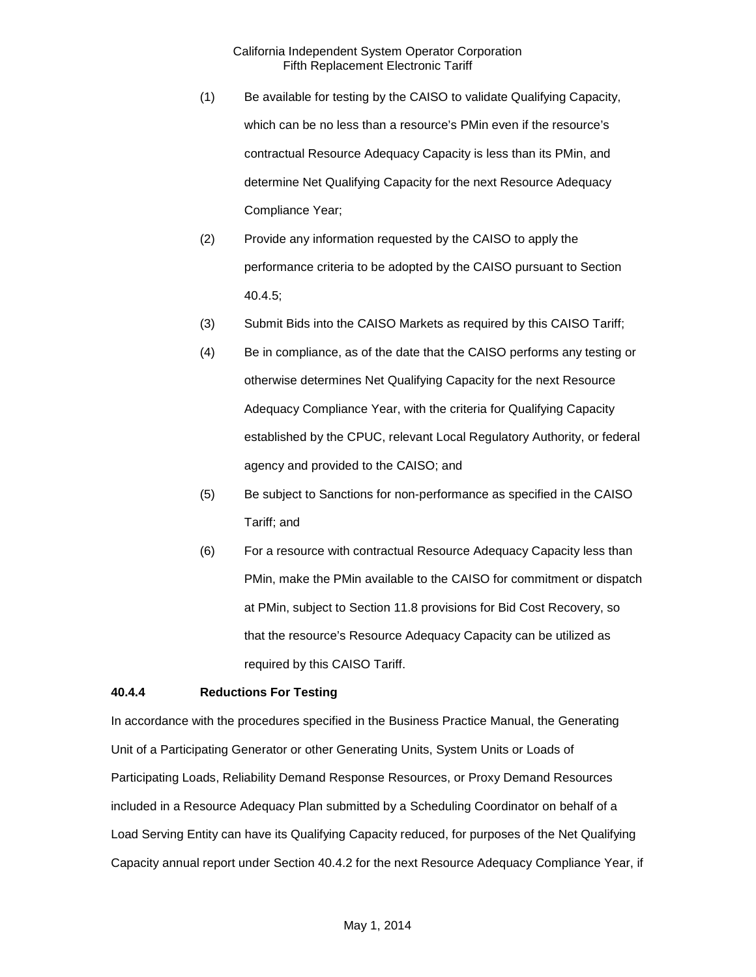- (1) Be available for testing by the CAISO to validate Qualifying Capacity, which can be no less than a resource's PMin even if the resource's contractual Resource Adequacy Capacity is less than its PMin, and determine Net Qualifying Capacity for the next Resource Adequacy Compliance Year;
- (2) Provide any information requested by the CAISO to apply the performance criteria to be adopted by the CAISO pursuant to Section 40.4.5;
- (3) Submit Bids into the CAISO Markets as required by this CAISO Tariff;
- (4) Be in compliance, as of the date that the CAISO performs any testing or otherwise determines Net Qualifying Capacity for the next Resource Adequacy Compliance Year, with the criteria for Qualifying Capacity established by the CPUC, relevant Local Regulatory Authority, or federal agency and provided to the CAISO; and
- (5) Be subject to Sanctions for non-performance as specified in the CAISO Tariff; and
- (6) For a resource with contractual Resource Adequacy Capacity less than PMin, make the PMin available to the CAISO for commitment or dispatch at PMin, subject to Section 11.8 provisions for Bid Cost Recovery, so that the resource's Resource Adequacy Capacity can be utilized as required by this CAISO Tariff.

## <span id="page-15-0"></span>**40.4.4 Reductions For Testing**

In accordance with the procedures specified in the Business Practice Manual, the Generating Unit of a Participating Generator or other Generating Units, System Units or Loads of Participating Loads, Reliability Demand Response Resources, or Proxy Demand Resources included in a Resource Adequacy Plan submitted by a Scheduling Coordinator on behalf of a Load Serving Entity can have its Qualifying Capacity reduced, for purposes of the Net Qualifying Capacity annual report under Section 40.4.2 for the next Resource Adequacy Compliance Year, if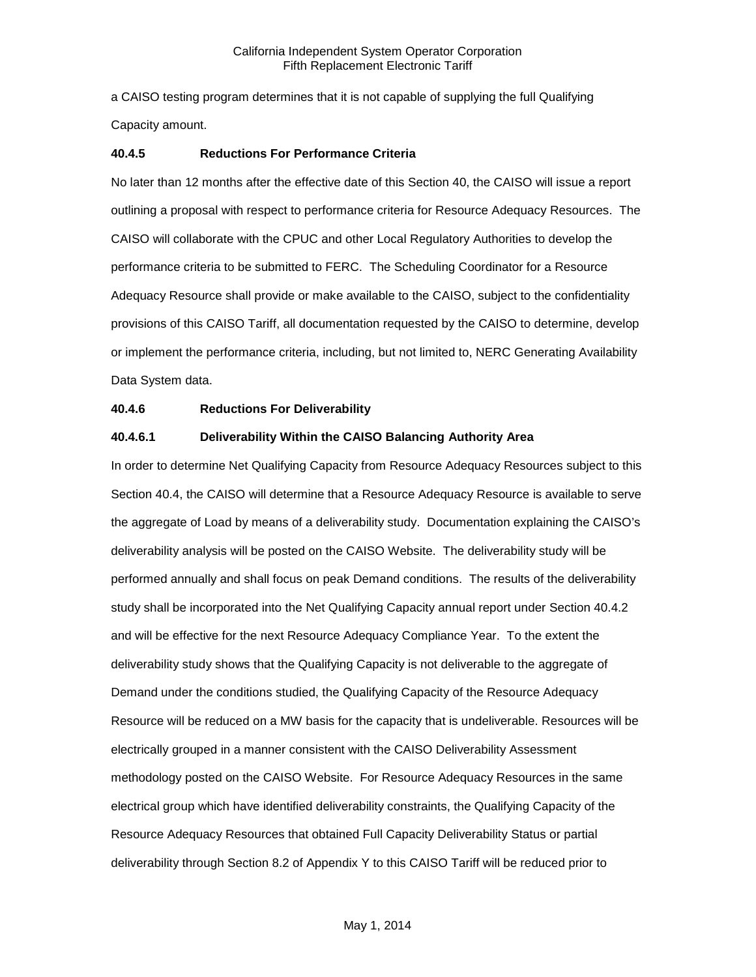a CAISO testing program determines that it is not capable of supplying the full Qualifying Capacity amount.

## <span id="page-16-0"></span>**40.4.5 Reductions For Performance Criteria**

No later than 12 months after the effective date of this Section 40, the CAISO will issue a report outlining a proposal with respect to performance criteria for Resource Adequacy Resources. The CAISO will collaborate with the CPUC and other Local Regulatory Authorities to develop the performance criteria to be submitted to FERC. The Scheduling Coordinator for a Resource Adequacy Resource shall provide or make available to the CAISO, subject to the confidentiality provisions of this CAISO Tariff, all documentation requested by the CAISO to determine, develop or implement the performance criteria, including, but not limited to, NERC Generating Availability Data System data.

## <span id="page-16-1"></span>**40.4.6 Reductions For Deliverability**

## **40.4.6.1 Deliverability Within the CAISO Balancing Authority Area**

In order to determine Net Qualifying Capacity from Resource Adequacy Resources subject to this Section 40.4, the CAISO will determine that a Resource Adequacy Resource is available to serve the aggregate of Load by means of a deliverability study. Documentation explaining the CAISO's deliverability analysis will be posted on the CAISO Website. The deliverability study will be performed annually and shall focus on peak Demand conditions. The results of the deliverability study shall be incorporated into the Net Qualifying Capacity annual report under Section 40.4.2 and will be effective for the next Resource Adequacy Compliance Year. To the extent the deliverability study shows that the Qualifying Capacity is not deliverable to the aggregate of Demand under the conditions studied, the Qualifying Capacity of the Resource Adequacy Resource will be reduced on a MW basis for the capacity that is undeliverable. Resources will be electrically grouped in a manner consistent with the CAISO Deliverability Assessment methodology posted on the CAISO Website. For Resource Adequacy Resources in the same electrical group which have identified deliverability constraints, the Qualifying Capacity of the Resource Adequacy Resources that obtained Full Capacity Deliverability Status or partial deliverability through Section 8.2 of Appendix Y to this CAISO Tariff will be reduced prior to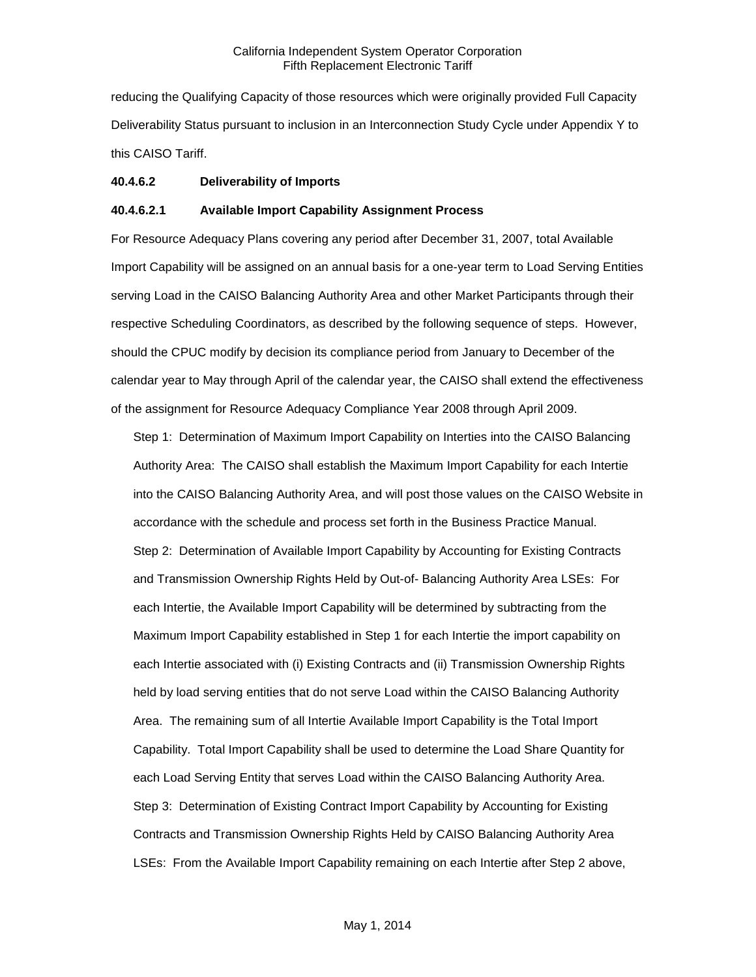reducing the Qualifying Capacity of those resources which were originally provided Full Capacity Deliverability Status pursuant to inclusion in an Interconnection Study Cycle under Appendix Y to this CAISO Tariff.

### **40.4.6.2 Deliverability of Imports**

### **40.4.6.2.1 Available Import Capability Assignment Process**

For Resource Adequacy Plans covering any period after December 31, 2007, total Available Import Capability will be assigned on an annual basis for a one-year term to Load Serving Entities serving Load in the CAISO Balancing Authority Area and other Market Participants through their respective Scheduling Coordinators, as described by the following sequence of steps. However, should the CPUC modify by decision its compliance period from January to December of the calendar year to May through April of the calendar year, the CAISO shall extend the effectiveness of the assignment for Resource Adequacy Compliance Year 2008 through April 2009.

Step 1: Determination of Maximum Import Capability on Interties into the CAISO Balancing Authority Area: The CAISO shall establish the Maximum Import Capability for each Intertie into the CAISO Balancing Authority Area, and will post those values on the CAISO Website in accordance with the schedule and process set forth in the Business Practice Manual. Step 2: Determination of Available Import Capability by Accounting for Existing Contracts and Transmission Ownership Rights Held by Out-of- Balancing Authority Area LSEs: For each Intertie, the Available Import Capability will be determined by subtracting from the Maximum Import Capability established in Step 1 for each Intertie the import capability on each Intertie associated with (i) Existing Contracts and (ii) Transmission Ownership Rights held by load serving entities that do not serve Load within the CAISO Balancing Authority Area. The remaining sum of all Intertie Available Import Capability is the Total Import Capability. Total Import Capability shall be used to determine the Load Share Quantity for each Load Serving Entity that serves Load within the CAISO Balancing Authority Area. Step 3: Determination of Existing Contract Import Capability by Accounting for Existing Contracts and Transmission Ownership Rights Held by CAISO Balancing Authority Area LSEs: From the Available Import Capability remaining on each Intertie after Step 2 above,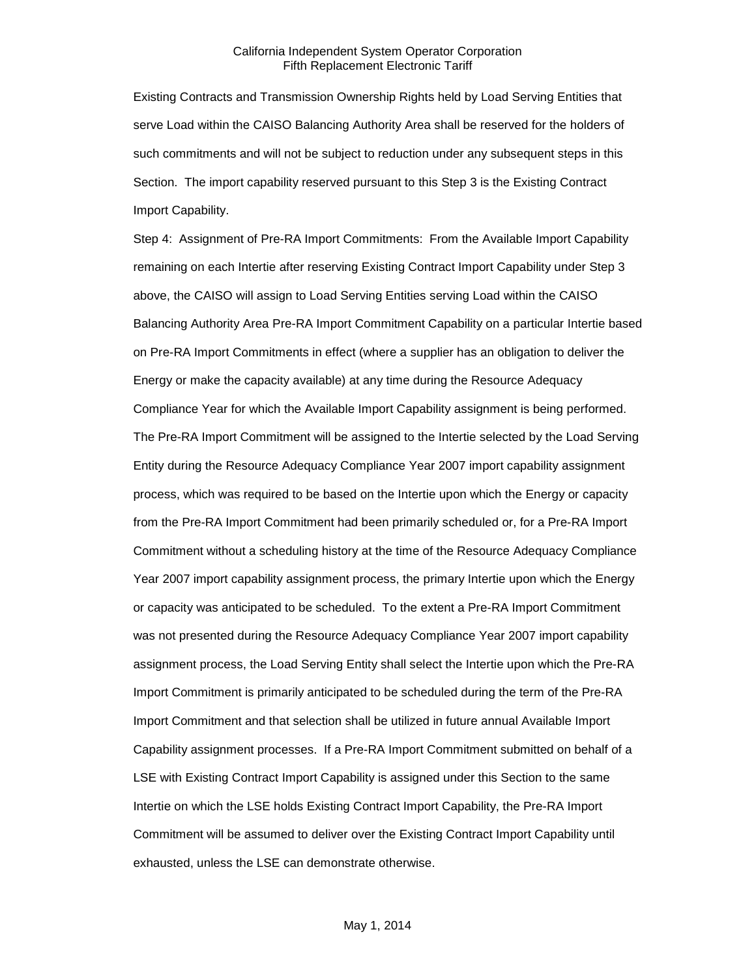Existing Contracts and Transmission Ownership Rights held by Load Serving Entities that serve Load within the CAISO Balancing Authority Area shall be reserved for the holders of such commitments and will not be subject to reduction under any subsequent steps in this Section. The import capability reserved pursuant to this Step 3 is the Existing Contract Import Capability.

Step 4: Assignment of Pre-RA Import Commitments: From the Available Import Capability remaining on each Intertie after reserving Existing Contract Import Capability under Step 3 above, the CAISO will assign to Load Serving Entities serving Load within the CAISO Balancing Authority Area Pre-RA Import Commitment Capability on a particular Intertie based on Pre-RA Import Commitments in effect (where a supplier has an obligation to deliver the Energy or make the capacity available) at any time during the Resource Adequacy Compliance Year for which the Available Import Capability assignment is being performed. The Pre-RA Import Commitment will be assigned to the Intertie selected by the Load Serving Entity during the Resource Adequacy Compliance Year 2007 import capability assignment process, which was required to be based on the Intertie upon which the Energy or capacity from the Pre-RA Import Commitment had been primarily scheduled or, for a Pre-RA Import Commitment without a scheduling history at the time of the Resource Adequacy Compliance Year 2007 import capability assignment process, the primary Intertie upon which the Energy or capacity was anticipated to be scheduled. To the extent a Pre-RA Import Commitment was not presented during the Resource Adequacy Compliance Year 2007 import capability assignment process, the Load Serving Entity shall select the Intertie upon which the Pre-RA Import Commitment is primarily anticipated to be scheduled during the term of the Pre-RA Import Commitment and that selection shall be utilized in future annual Available Import Capability assignment processes. If a Pre-RA Import Commitment submitted on behalf of a LSE with Existing Contract Import Capability is assigned under this Section to the same Intertie on which the LSE holds Existing Contract Import Capability, the Pre-RA Import Commitment will be assumed to deliver over the Existing Contract Import Capability until exhausted, unless the LSE can demonstrate otherwise.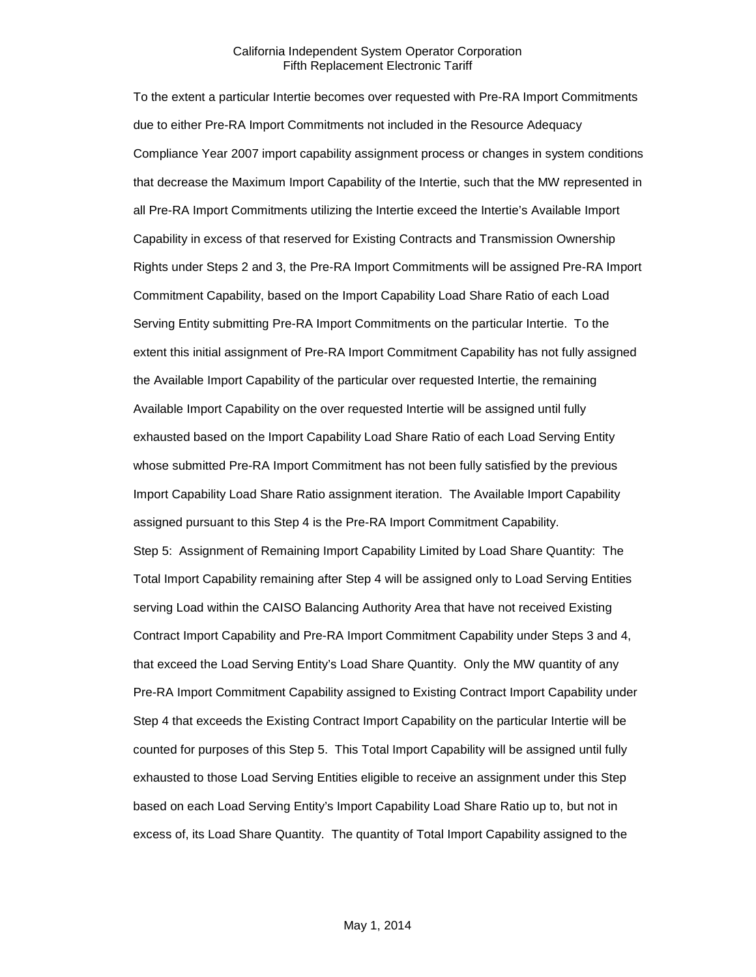To the extent a particular Intertie becomes over requested with Pre-RA Import Commitments due to either Pre-RA Import Commitments not included in the Resource Adequacy Compliance Year 2007 import capability assignment process or changes in system conditions that decrease the Maximum Import Capability of the Intertie, such that the MW represented in all Pre-RA Import Commitments utilizing the Intertie exceed the Intertie's Available Import Capability in excess of that reserved for Existing Contracts and Transmission Ownership Rights under Steps 2 and 3, the Pre-RA Import Commitments will be assigned Pre-RA Import Commitment Capability, based on the Import Capability Load Share Ratio of each Load Serving Entity submitting Pre-RA Import Commitments on the particular Intertie. To the extent this initial assignment of Pre-RA Import Commitment Capability has not fully assigned the Available Import Capability of the particular over requested Intertie, the remaining Available Import Capability on the over requested Intertie will be assigned until fully exhausted based on the Import Capability Load Share Ratio of each Load Serving Entity whose submitted Pre-RA Import Commitment has not been fully satisfied by the previous Import Capability Load Share Ratio assignment iteration. The Available Import Capability assigned pursuant to this Step 4 is the Pre-RA Import Commitment Capability. Step 5: Assignment of Remaining Import Capability Limited by Load Share Quantity: The Total Import Capability remaining after Step 4 will be assigned only to Load Serving Entities serving Load within the CAISO Balancing Authority Area that have not received Existing Contract Import Capability and Pre-RA Import Commitment Capability under Steps 3 and 4, that exceed the Load Serving Entity's Load Share Quantity. Only the MW quantity of any Pre-RA Import Commitment Capability assigned to Existing Contract Import Capability under Step 4 that exceeds the Existing Contract Import Capability on the particular Intertie will be counted for purposes of this Step 5. This Total Import Capability will be assigned until fully exhausted to those Load Serving Entities eligible to receive an assignment under this Step based on each Load Serving Entity's Import Capability Load Share Ratio up to, but not in excess of, its Load Share Quantity. The quantity of Total Import Capability assigned to the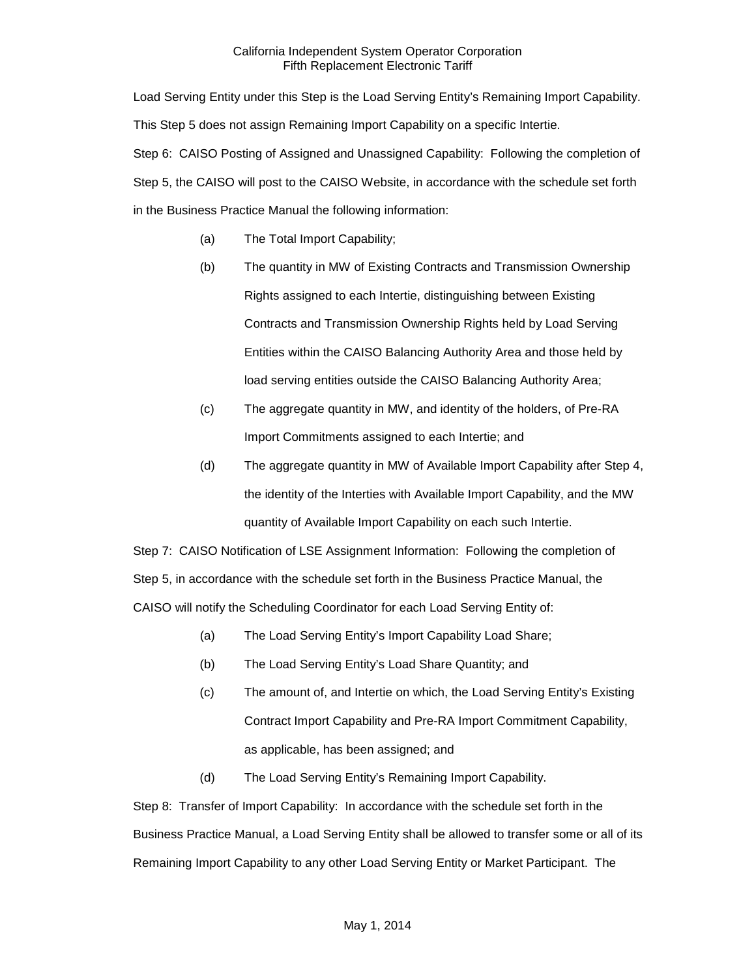Load Serving Entity under this Step is the Load Serving Entity's Remaining Import Capability. This Step 5 does not assign Remaining Import Capability on a specific Intertie. Step 6: CAISO Posting of Assigned and Unassigned Capability: Following the completion of Step 5, the CAISO will post to the CAISO Website, in accordance with the schedule set forth in the Business Practice Manual the following information:

- (a) The Total Import Capability;
- (b) The quantity in MW of Existing Contracts and Transmission Ownership Rights assigned to each Intertie, distinguishing between Existing Contracts and Transmission Ownership Rights held by Load Serving Entities within the CAISO Balancing Authority Area and those held by load serving entities outside the CAISO Balancing Authority Area;
- (c) The aggregate quantity in MW, and identity of the holders, of Pre-RA Import Commitments assigned to each Intertie; and
- (d) The aggregate quantity in MW of Available Import Capability after Step 4, the identity of the Interties with Available Import Capability, and the MW quantity of Available Import Capability on each such Intertie.

Step 7: CAISO Notification of LSE Assignment Information: Following the completion of Step 5, in accordance with the schedule set forth in the Business Practice Manual, the CAISO will notify the Scheduling Coordinator for each Load Serving Entity of:

- (a) The Load Serving Entity's Import Capability Load Share;
- (b) The Load Serving Entity's Load Share Quantity; and
- (c) The amount of, and Intertie on which, the Load Serving Entity's Existing Contract Import Capability and Pre-RA Import Commitment Capability, as applicable, has been assigned; and
- (d) The Load Serving Entity's Remaining Import Capability.

Step 8: Transfer of Import Capability: In accordance with the schedule set forth in the Business Practice Manual, a Load Serving Entity shall be allowed to transfer some or all of its Remaining Import Capability to any other Load Serving Entity or Market Participant. The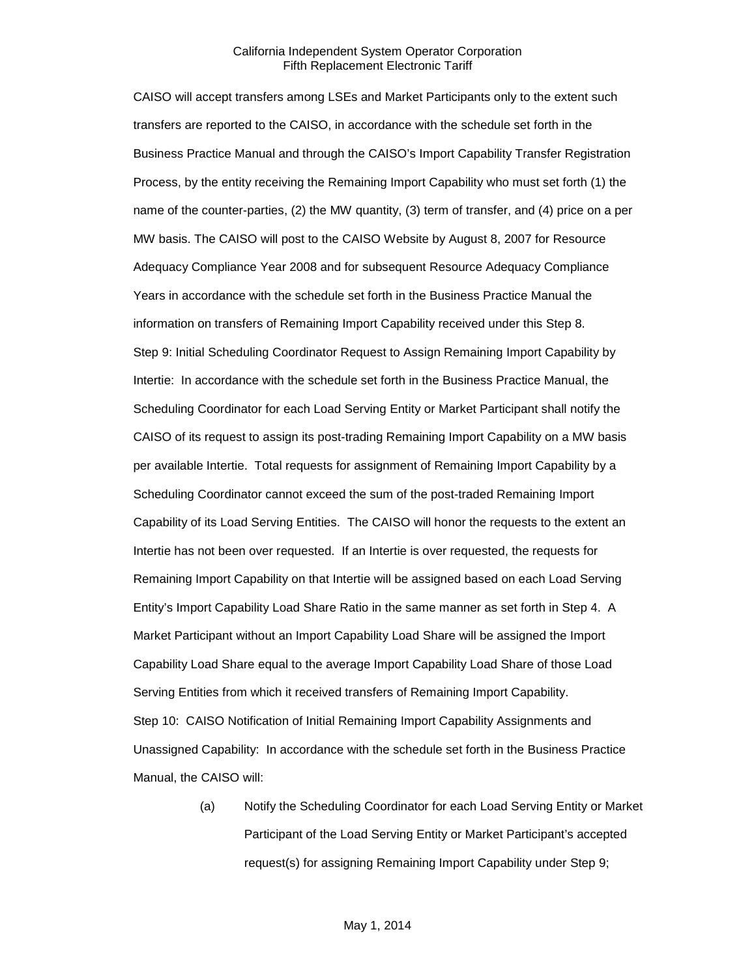CAISO will accept transfers among LSEs and Market Participants only to the extent such transfers are reported to the CAISO, in accordance with the schedule set forth in the Business Practice Manual and through the CAISO's Import Capability Transfer Registration Process, by the entity receiving the Remaining Import Capability who must set forth (1) the name of the counter-parties, (2) the MW quantity, (3) term of transfer, and (4) price on a per MW basis. The CAISO will post to the CAISO Website by August 8, 2007 for Resource Adequacy Compliance Year 2008 and for subsequent Resource Adequacy Compliance Years in accordance with the schedule set forth in the Business Practice Manual the information on transfers of Remaining Import Capability received under this Step 8. Step 9: Initial Scheduling Coordinator Request to Assign Remaining Import Capability by Intertie: In accordance with the schedule set forth in the Business Practice Manual, the Scheduling Coordinator for each Load Serving Entity or Market Participant shall notify the CAISO of its request to assign its post-trading Remaining Import Capability on a MW basis per available Intertie. Total requests for assignment of Remaining Import Capability by a Scheduling Coordinator cannot exceed the sum of the post-traded Remaining Import Capability of its Load Serving Entities. The CAISO will honor the requests to the extent an Intertie has not been over requested. If an Intertie is over requested, the requests for Remaining Import Capability on that Intertie will be assigned based on each Load Serving Entity's Import Capability Load Share Ratio in the same manner as set forth in Step 4. A Market Participant without an Import Capability Load Share will be assigned the Import Capability Load Share equal to the average Import Capability Load Share of those Load Serving Entities from which it received transfers of Remaining Import Capability. Step 10: CAISO Notification of Initial Remaining Import Capability Assignments and Unassigned Capability: In accordance with the schedule set forth in the Business Practice Manual, the CAISO will:

> (a) Notify the Scheduling Coordinator for each Load Serving Entity or Market Participant of the Load Serving Entity or Market Participant's accepted request(s) for assigning Remaining Import Capability under Step 9;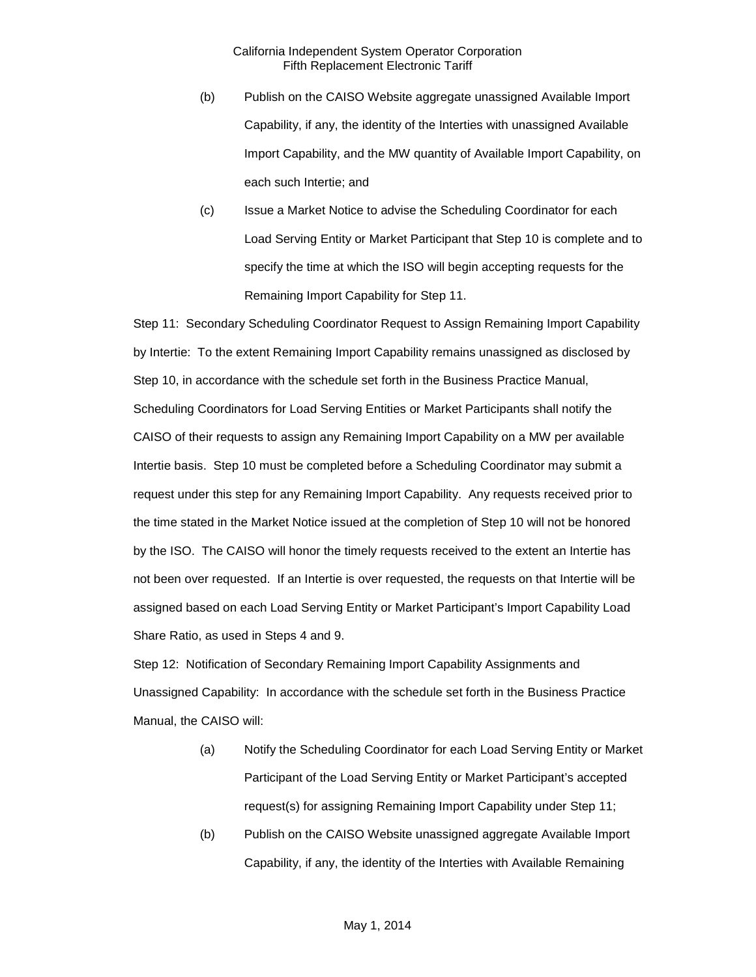- (b) Publish on the CAISO Website aggregate unassigned Available Import Capability, if any, the identity of the Interties with unassigned Available Import Capability, and the MW quantity of Available Import Capability, on each such Intertie; and
- (c) Issue a Market Notice to advise the Scheduling Coordinator for each Load Serving Entity or Market Participant that Step 10 is complete and to specify the time at which the ISO will begin accepting requests for the Remaining Import Capability for Step 11.

Step 11: Secondary Scheduling Coordinator Request to Assign Remaining Import Capability by Intertie: To the extent Remaining Import Capability remains unassigned as disclosed by Step 10, in accordance with the schedule set forth in the Business Practice Manual, Scheduling Coordinators for Load Serving Entities or Market Participants shall notify the CAISO of their requests to assign any Remaining Import Capability on a MW per available Intertie basis. Step 10 must be completed before a Scheduling Coordinator may submit a request under this step for any Remaining Import Capability. Any requests received prior to the time stated in the Market Notice issued at the completion of Step 10 will not be honored by the ISO. The CAISO will honor the timely requests received to the extent an Intertie has not been over requested. If an Intertie is over requested, the requests on that Intertie will be assigned based on each Load Serving Entity or Market Participant's Import Capability Load Share Ratio, as used in Steps 4 and 9.

Step 12: Notification of Secondary Remaining Import Capability Assignments and Unassigned Capability: In accordance with the schedule set forth in the Business Practice Manual, the CAISO will:

- (a) Notify the Scheduling Coordinator for each Load Serving Entity or Market Participant of the Load Serving Entity or Market Participant's accepted request(s) for assigning Remaining Import Capability under Step 11;
- (b) Publish on the CAISO Website unassigned aggregate Available Import Capability, if any, the identity of the Interties with Available Remaining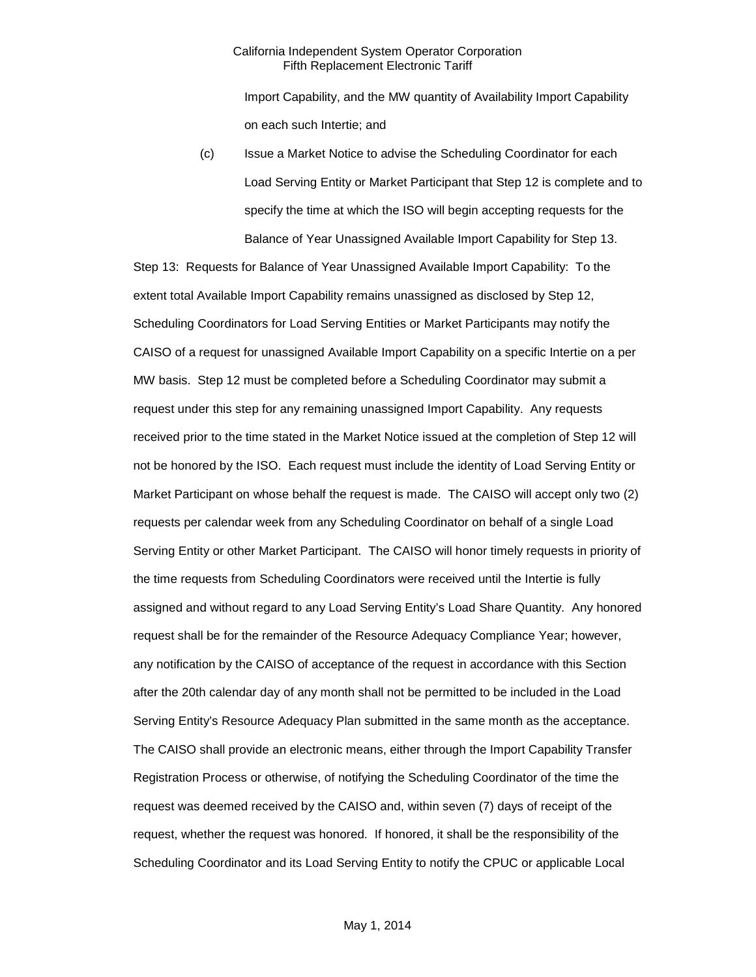Import Capability, and the MW quantity of Availability Import Capability on each such Intertie; and

(c) Issue a Market Notice to advise the Scheduling Coordinator for each Load Serving Entity or Market Participant that Step 12 is complete and to specify the time at which the ISO will begin accepting requests for the Balance of Year Unassigned Available Import Capability for Step 13.

Step 13: Requests for Balance of Year Unassigned Available Import Capability: To the extent total Available Import Capability remains unassigned as disclosed by Step 12, Scheduling Coordinators for Load Serving Entities or Market Participants may notify the CAISO of a request for unassigned Available Import Capability on a specific Intertie on a per MW basis. Step 12 must be completed before a Scheduling Coordinator may submit a request under this step for any remaining unassigned Import Capability. Any requests received prior to the time stated in the Market Notice issued at the completion of Step 12 will not be honored by the ISO. Each request must include the identity of Load Serving Entity or Market Participant on whose behalf the request is made. The CAISO will accept only two (2) requests per calendar week from any Scheduling Coordinator on behalf of a single Load Serving Entity or other Market Participant. The CAISO will honor timely requests in priority of the time requests from Scheduling Coordinators were received until the Intertie is fully assigned and without regard to any Load Serving Entity's Load Share Quantity. Any honored request shall be for the remainder of the Resource Adequacy Compliance Year; however, any notification by the CAISO of acceptance of the request in accordance with this Section after the 20th calendar day of any month shall not be permitted to be included in the Load Serving Entity's Resource Adequacy Plan submitted in the same month as the acceptance. The CAISO shall provide an electronic means, either through the Import Capability Transfer Registration Process or otherwise, of notifying the Scheduling Coordinator of the time the request was deemed received by the CAISO and, within seven (7) days of receipt of the request, whether the request was honored. If honored, it shall be the responsibility of the Scheduling Coordinator and its Load Serving Entity to notify the CPUC or applicable Local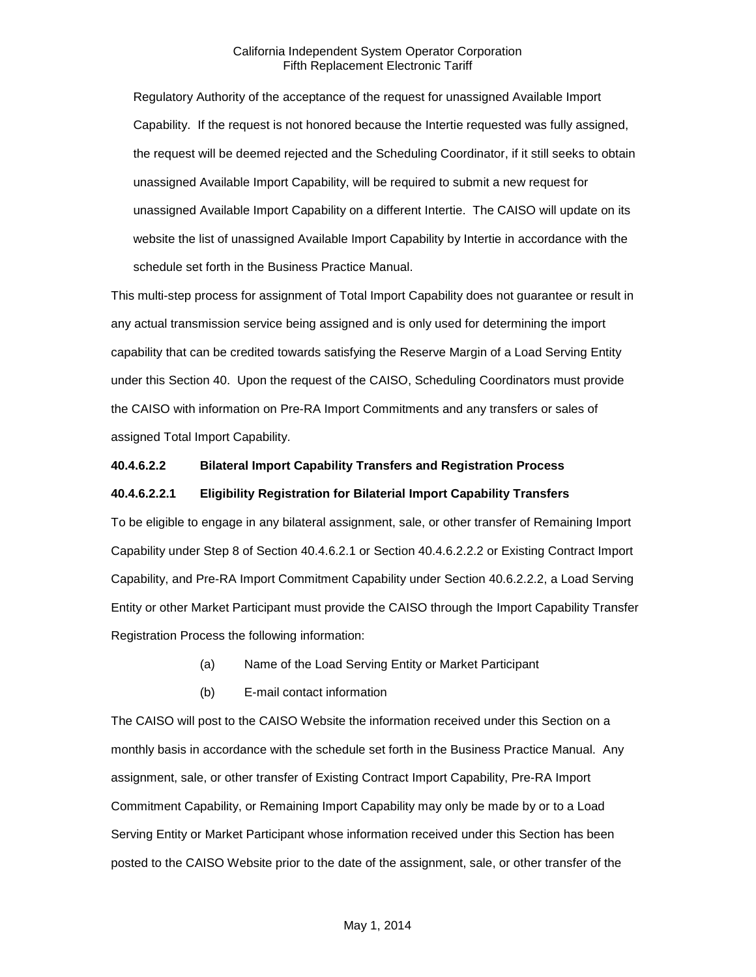Regulatory Authority of the acceptance of the request for unassigned Available Import Capability. If the request is not honored because the Intertie requested was fully assigned, the request will be deemed rejected and the Scheduling Coordinator, if it still seeks to obtain unassigned Available Import Capability, will be required to submit a new request for unassigned Available Import Capability on a different Intertie. The CAISO will update on its website the list of unassigned Available Import Capability by Intertie in accordance with the schedule set forth in the Business Practice Manual.

This multi-step process for assignment of Total Import Capability does not guarantee or result in any actual transmission service being assigned and is only used for determining the import capability that can be credited towards satisfying the Reserve Margin of a Load Serving Entity under this Section 40. Upon the request of the CAISO, Scheduling Coordinators must provide the CAISO with information on Pre-RA Import Commitments and any transfers or sales of assigned Total Import Capability.

## **40.4.6.2.2 Bilateral Import Capability Transfers and Registration Process**

### **40.4.6.2.2.1 Eligibility Registration for Bilaterial Import Capability Transfers**

To be eligible to engage in any bilateral assignment, sale, or other transfer of Remaining Import Capability under Step 8 of Section 40.4.6.2.1 or Section 40.4.6.2.2.2 or Existing Contract Import Capability, and Pre-RA Import Commitment Capability under Section 40.6.2.2.2, a Load Serving Entity or other Market Participant must provide the CAISO through the Import Capability Transfer Registration Process the following information:

- (a) Name of the Load Serving Entity or Market Participant
- (b) E-mail contact information

The CAISO will post to the CAISO Website the information received under this Section on a monthly basis in accordance with the schedule set forth in the Business Practice Manual. Any assignment, sale, or other transfer of Existing Contract Import Capability, Pre-RA Import Commitment Capability, or Remaining Import Capability may only be made by or to a Load Serving Entity or Market Participant whose information received under this Section has been posted to the CAISO Website prior to the date of the assignment, sale, or other transfer of the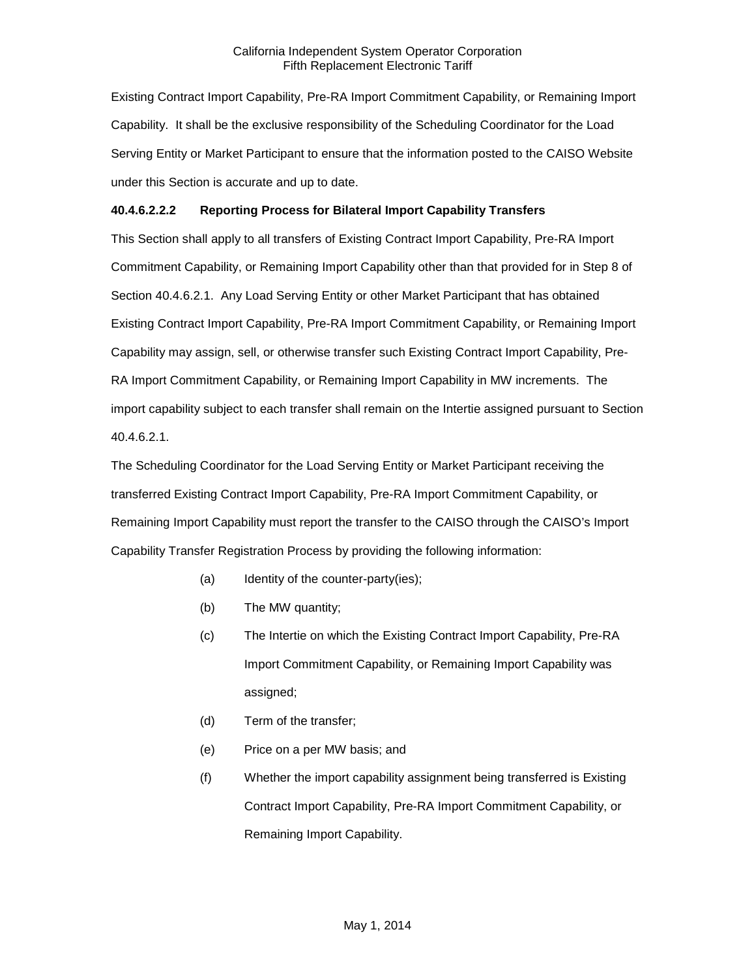Existing Contract Import Capability, Pre-RA Import Commitment Capability, or Remaining Import Capability. It shall be the exclusive responsibility of the Scheduling Coordinator for the Load Serving Entity or Market Participant to ensure that the information posted to the CAISO Website under this Section is accurate and up to date.

## **40.4.6.2.2.2 Reporting Process for Bilateral Import Capability Transfers**

This Section shall apply to all transfers of Existing Contract Import Capability, Pre-RA Import Commitment Capability, or Remaining Import Capability other than that provided for in Step 8 of Section 40.4.6.2.1. Any Load Serving Entity or other Market Participant that has obtained Existing Contract Import Capability, Pre-RA Import Commitment Capability, or Remaining Import Capability may assign, sell, or otherwise transfer such Existing Contract Import Capability, Pre-RA Import Commitment Capability, or Remaining Import Capability in MW increments. The import capability subject to each transfer shall remain on the Intertie assigned pursuant to Section 40.4.6.2.1.

The Scheduling Coordinator for the Load Serving Entity or Market Participant receiving the transferred Existing Contract Import Capability, Pre-RA Import Commitment Capability, or Remaining Import Capability must report the transfer to the CAISO through the CAISO's Import Capability Transfer Registration Process by providing the following information:

- (a) Identity of the counter-party(ies);
- (b) The MW quantity;
- (c) The Intertie on which the Existing Contract Import Capability, Pre-RA Import Commitment Capability, or Remaining Import Capability was assigned;
- (d) Term of the transfer;
- (e) Price on a per MW basis; and
- (f) Whether the import capability assignment being transferred is Existing Contract Import Capability, Pre-RA Import Commitment Capability, or Remaining Import Capability.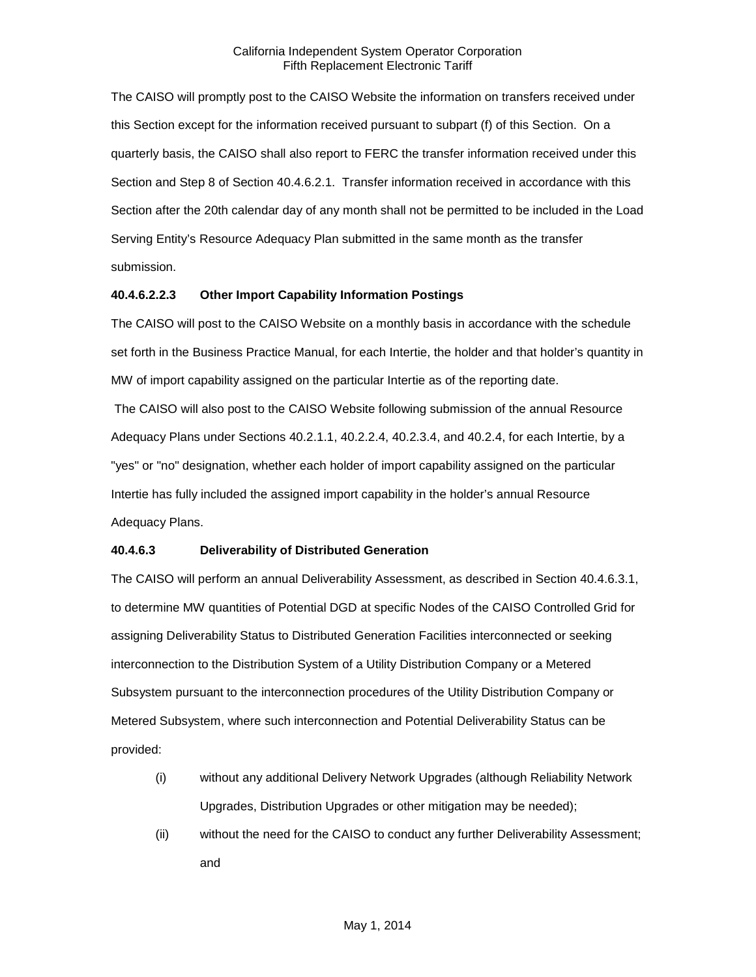The CAISO will promptly post to the CAISO Website the information on transfers received under this Section except for the information received pursuant to subpart (f) of this Section. On a quarterly basis, the CAISO shall also report to FERC the transfer information received under this Section and Step 8 of Section 40.4.6.2.1. Transfer information received in accordance with this Section after the 20th calendar day of any month shall not be permitted to be included in the Load Serving Entity's Resource Adequacy Plan submitted in the same month as the transfer submission.

## **40.4.6.2.2.3 Other Import Capability Information Postings**

The CAISO will post to the CAISO Website on a monthly basis in accordance with the schedule set forth in the Business Practice Manual, for each Intertie, the holder and that holder's quantity in MW of import capability assigned on the particular Intertie as of the reporting date.

The CAISO will also post to the CAISO Website following submission of the annual Resource Adequacy Plans under Sections 40.2.1.1, 40.2.2.4, 40.2.3.4, and 40.2.4, for each Intertie, by a "yes" or "no" designation, whether each holder of import capability assigned on the particular Intertie has fully included the assigned import capability in the holder's annual Resource Adequacy Plans.

## **40.4.6.3 Deliverability of Distributed Generation**

The CAISO will perform an annual Deliverability Assessment, as described in Section 40.4.6.3.1, to determine MW quantities of Potential DGD at specific Nodes of the CAISO Controlled Grid for assigning Deliverability Status to Distributed Generation Facilities interconnected or seeking interconnection to the Distribution System of a Utility Distribution Company or a Metered Subsystem pursuant to the interconnection procedures of the Utility Distribution Company or Metered Subsystem, where such interconnection and Potential Deliverability Status can be provided:

- (i) without any additional Delivery Network Upgrades (although Reliability Network Upgrades, Distribution Upgrades or other mitigation may be needed);
- (ii) without the need for the CAISO to conduct any further Deliverability Assessment; and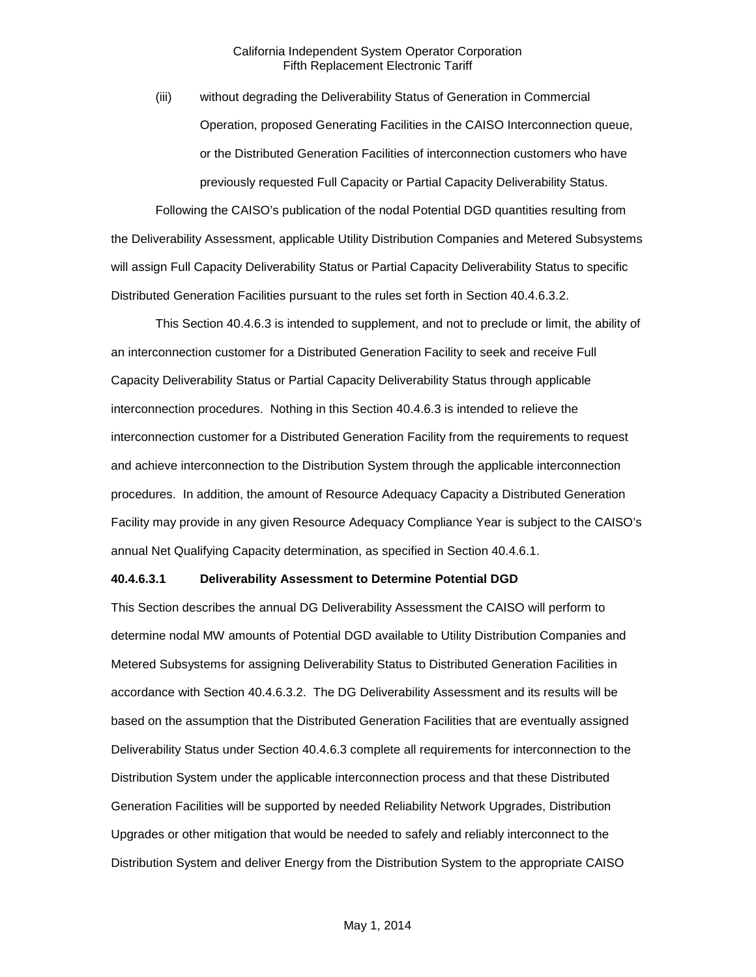(iii) without degrading the Deliverability Status of Generation in Commercial Operation, proposed Generating Facilities in the CAISO Interconnection queue, or the Distributed Generation Facilities of interconnection customers who have previously requested Full Capacity or Partial Capacity Deliverability Status.

Following the CAISO's publication of the nodal Potential DGD quantities resulting from the Deliverability Assessment, applicable Utility Distribution Companies and Metered Subsystems will assign Full Capacity Deliverability Status or Partial Capacity Deliverability Status to specific Distributed Generation Facilities pursuant to the rules set forth in Section 40.4.6.3.2.

This Section 40.4.6.3 is intended to supplement, and not to preclude or limit, the ability of an interconnection customer for a Distributed Generation Facility to seek and receive Full Capacity Deliverability Status or Partial Capacity Deliverability Status through applicable interconnection procedures. Nothing in this Section 40.4.6.3 is intended to relieve the interconnection customer for a Distributed Generation Facility from the requirements to request and achieve interconnection to the Distribution System through the applicable interconnection procedures. In addition, the amount of Resource Adequacy Capacity a Distributed Generation Facility may provide in any given Resource Adequacy Compliance Year is subject to the CAISO's annual Net Qualifying Capacity determination, as specified in Section 40.4.6.1.

#### **40.4.6.3.1 Deliverability Assessment to Determine Potential DGD**

This Section describes the annual DG Deliverability Assessment the CAISO will perform to determine nodal MW amounts of Potential DGD available to Utility Distribution Companies and Metered Subsystems for assigning Deliverability Status to Distributed Generation Facilities in accordance with Section 40.4.6.3.2. The DG Deliverability Assessment and its results will be based on the assumption that the Distributed Generation Facilities that are eventually assigned Deliverability Status under Section 40.4.6.3 complete all requirements for interconnection to the Distribution System under the applicable interconnection process and that these Distributed Generation Facilities will be supported by needed Reliability Network Upgrades, Distribution Upgrades or other mitigation that would be needed to safely and reliably interconnect to the Distribution System and deliver Energy from the Distribution System to the appropriate CAISO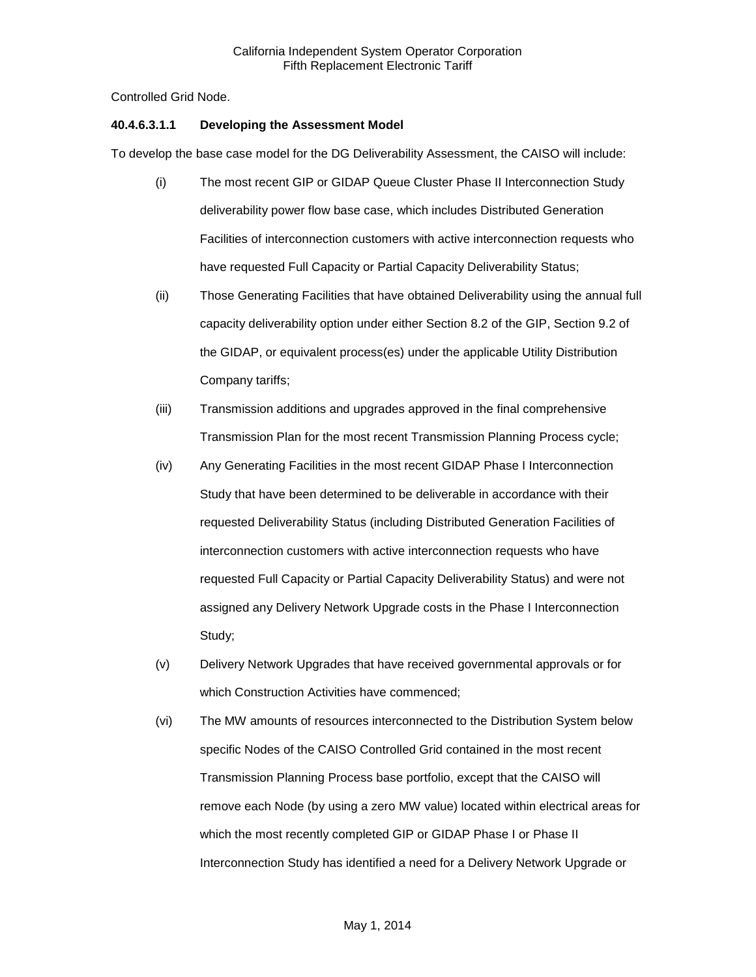Controlled Grid Node.

## **40.4.6.3.1.1 Developing the Assessment Model**

To develop the base case model for the DG Deliverability Assessment, the CAISO will include:

- (i) The most recent GIP or GIDAP Queue Cluster Phase II Interconnection Study deliverability power flow base case, which includes Distributed Generation Facilities of interconnection customers with active interconnection requests who have requested Full Capacity or Partial Capacity Deliverability Status;
- (ii) Those Generating Facilities that have obtained Deliverability using the annual full capacity deliverability option under either Section 8.2 of the GIP, Section 9.2 of the GIDAP, or equivalent process(es) under the applicable Utility Distribution Company tariffs;
- (iii) Transmission additions and upgrades approved in the final comprehensive Transmission Plan for the most recent Transmission Planning Process cycle;
- (iv) Any Generating Facilities in the most recent GIDAP Phase I Interconnection Study that have been determined to be deliverable in accordance with their requested Deliverability Status (including Distributed Generation Facilities of interconnection customers with active interconnection requests who have requested Full Capacity or Partial Capacity Deliverability Status) and were not assigned any Delivery Network Upgrade costs in the Phase I Interconnection Study;
- (v) Delivery Network Upgrades that have received governmental approvals or for which Construction Activities have commenced;
- (vi) The MW amounts of resources interconnected to the Distribution System below specific Nodes of the CAISO Controlled Grid contained in the most recent Transmission Planning Process base portfolio, except that the CAISO will remove each Node (by using a zero MW value) located within electrical areas for which the most recently completed GIP or GIDAP Phase I or Phase II Interconnection Study has identified a need for a Delivery Network Upgrade or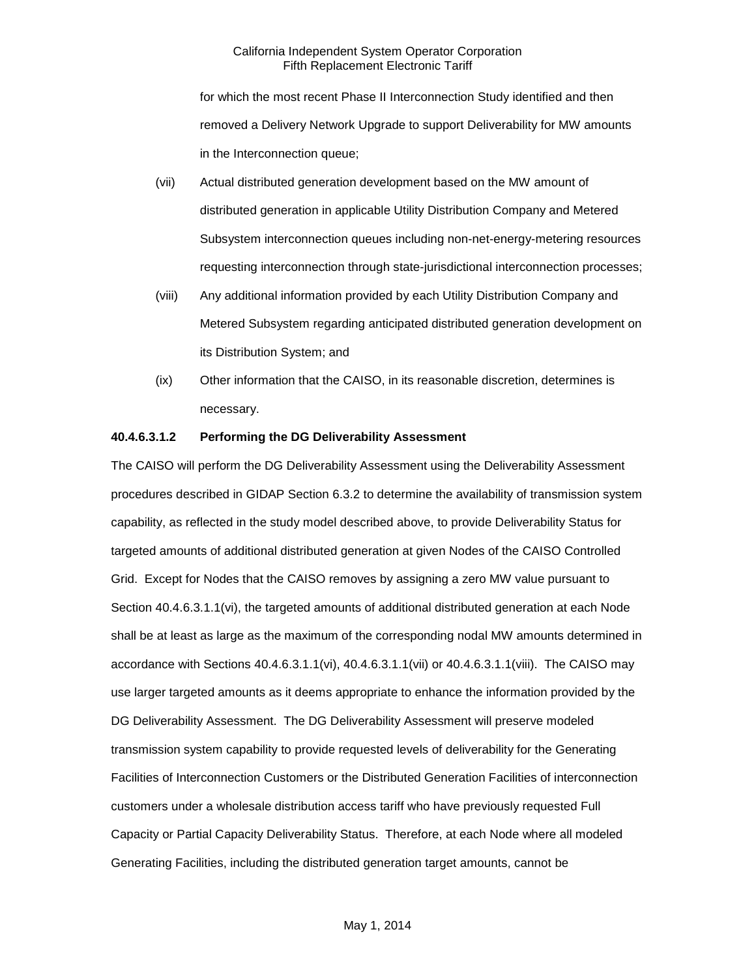for which the most recent Phase II Interconnection Study identified and then removed a Delivery Network Upgrade to support Deliverability for MW amounts in the Interconnection queue;

- (vii) Actual distributed generation development based on the MW amount of distributed generation in applicable Utility Distribution Company and Metered Subsystem interconnection queues including non-net-energy-metering resources requesting interconnection through state-jurisdictional interconnection processes;
- (viii) Any additional information provided by each Utility Distribution Company and Metered Subsystem regarding anticipated distributed generation development on its Distribution System; and
- (ix) Other information that the CAISO, in its reasonable discretion, determines is necessary.

## **40.4.6.3.1.2 Performing the DG Deliverability Assessment**

The CAISO will perform the DG Deliverability Assessment using the Deliverability Assessment procedures described in GIDAP Section 6.3.2 to determine the availability of transmission system capability, as reflected in the study model described above, to provide Deliverability Status for targeted amounts of additional distributed generation at given Nodes of the CAISO Controlled Grid. Except for Nodes that the CAISO removes by assigning a zero MW value pursuant to Section 40.4.6.3.1.1(vi), the targeted amounts of additional distributed generation at each Node shall be at least as large as the maximum of the corresponding nodal MW amounts determined in accordance with Sections 40.4.6.3.1.1(vi), 40.4.6.3.1.1(vii) or 40.4.6.3.1.1(viii). The CAISO may use larger targeted amounts as it deems appropriate to enhance the information provided by the DG Deliverability Assessment. The DG Deliverability Assessment will preserve modeled transmission system capability to provide requested levels of deliverability for the Generating Facilities of Interconnection Customers or the Distributed Generation Facilities of interconnection customers under a wholesale distribution access tariff who have previously requested Full Capacity or Partial Capacity Deliverability Status. Therefore, at each Node where all modeled Generating Facilities, including the distributed generation target amounts, cannot be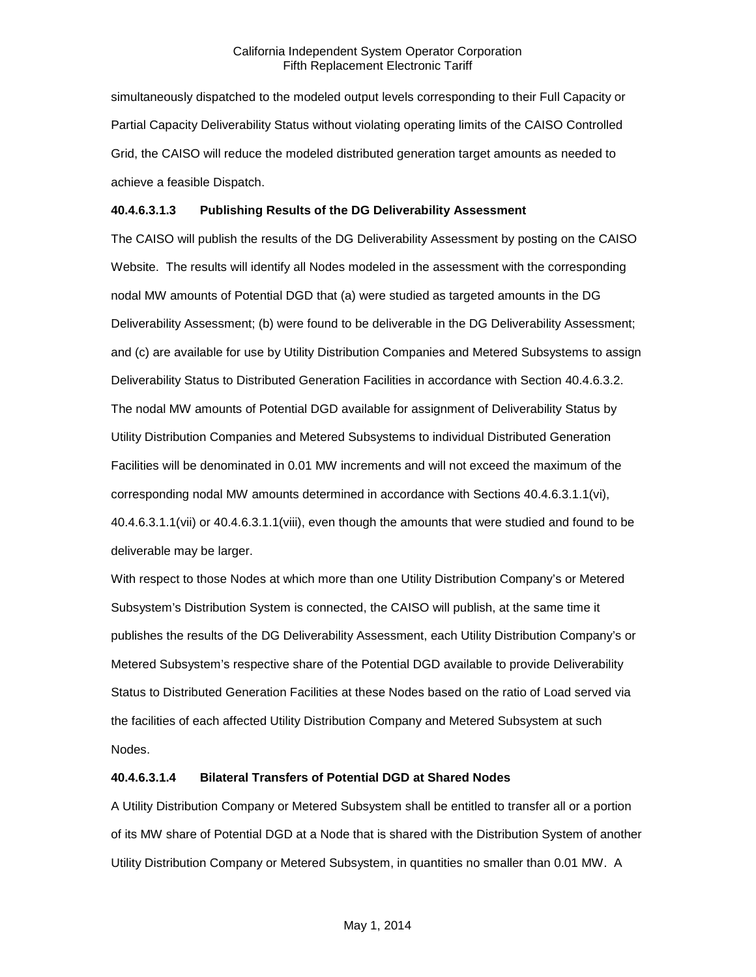simultaneously dispatched to the modeled output levels corresponding to their Full Capacity or Partial Capacity Deliverability Status without violating operating limits of the CAISO Controlled Grid, the CAISO will reduce the modeled distributed generation target amounts as needed to achieve a feasible Dispatch.

## **40.4.6.3.1.3 Publishing Results of the DG Deliverability Assessment**

The CAISO will publish the results of the DG Deliverability Assessment by posting on the CAISO Website. The results will identify all Nodes modeled in the assessment with the corresponding nodal MW amounts of Potential DGD that (a) were studied as targeted amounts in the DG Deliverability Assessment; (b) were found to be deliverable in the DG Deliverability Assessment; and (c) are available for use by Utility Distribution Companies and Metered Subsystems to assign Deliverability Status to Distributed Generation Facilities in accordance with Section 40.4.6.3.2. The nodal MW amounts of Potential DGD available for assignment of Deliverability Status by Utility Distribution Companies and Metered Subsystems to individual Distributed Generation Facilities will be denominated in 0.01 MW increments and will not exceed the maximum of the corresponding nodal MW amounts determined in accordance with Sections 40.4.6.3.1.1(vi), 40.4.6.3.1.1(vii) or 40.4.6.3.1.1(viii), even though the amounts that were studied and found to be deliverable may be larger.

With respect to those Nodes at which more than one Utility Distribution Company's or Metered Subsystem's Distribution System is connected, the CAISO will publish, at the same time it publishes the results of the DG Deliverability Assessment, each Utility Distribution Company's or Metered Subsystem's respective share of the Potential DGD available to provide Deliverability Status to Distributed Generation Facilities at these Nodes based on the ratio of Load served via the facilities of each affected Utility Distribution Company and Metered Subsystem at such Nodes.

#### **40.4.6.3.1.4 Bilateral Transfers of Potential DGD at Shared Nodes**

A Utility Distribution Company or Metered Subsystem shall be entitled to transfer all or a portion of its MW share of Potential DGD at a Node that is shared with the Distribution System of another Utility Distribution Company or Metered Subsystem, in quantities no smaller than 0.01 MW. A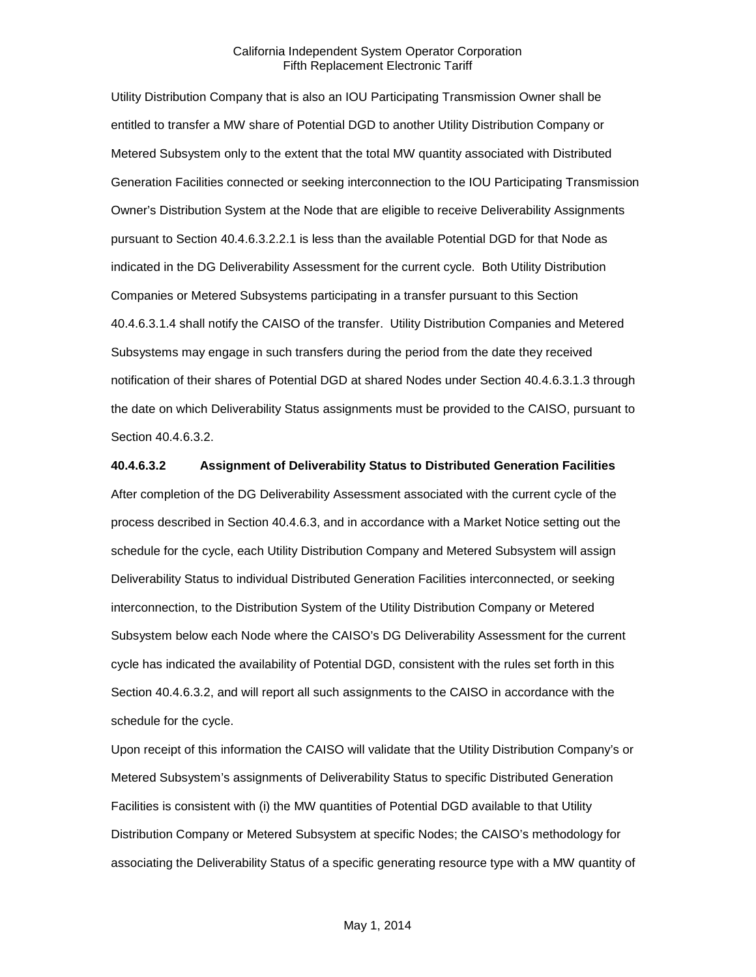Utility Distribution Company that is also an IOU Participating Transmission Owner shall be entitled to transfer a MW share of Potential DGD to another Utility Distribution Company or Metered Subsystem only to the extent that the total MW quantity associated with Distributed Generation Facilities connected or seeking interconnection to the IOU Participating Transmission Owner's Distribution System at the Node that are eligible to receive Deliverability Assignments pursuant to Section 40.4.6.3.2.2.1 is less than the available Potential DGD for that Node as indicated in the DG Deliverability Assessment for the current cycle. Both Utility Distribution Companies or Metered Subsystems participating in a transfer pursuant to this Section 40.4.6.3.1.4 shall notify the CAISO of the transfer. Utility Distribution Companies and Metered Subsystems may engage in such transfers during the period from the date they received notification of their shares of Potential DGD at shared Nodes under Section 40.4.6.3.1.3 through the date on which Deliverability Status assignments must be provided to the CAISO, pursuant to Section 40.4.6.3.2.

#### **40.4.6.3.2 Assignment of Deliverability Status to Distributed Generation Facilities**

After completion of the DG Deliverability Assessment associated with the current cycle of the process described in Section 40.4.6.3, and in accordance with a Market Notice setting out the schedule for the cycle, each Utility Distribution Company and Metered Subsystem will assign Deliverability Status to individual Distributed Generation Facilities interconnected, or seeking interconnection, to the Distribution System of the Utility Distribution Company or Metered Subsystem below each Node where the CAISO's DG Deliverability Assessment for the current cycle has indicated the availability of Potential DGD, consistent with the rules set forth in this Section 40.4.6.3.2, and will report all such assignments to the CAISO in accordance with the schedule for the cycle.

Upon receipt of this information the CAISO will validate that the Utility Distribution Company's or Metered Subsystem's assignments of Deliverability Status to specific Distributed Generation Facilities is consistent with (i) the MW quantities of Potential DGD available to that Utility Distribution Company or Metered Subsystem at specific Nodes; the CAISO's methodology for associating the Deliverability Status of a specific generating resource type with a MW quantity of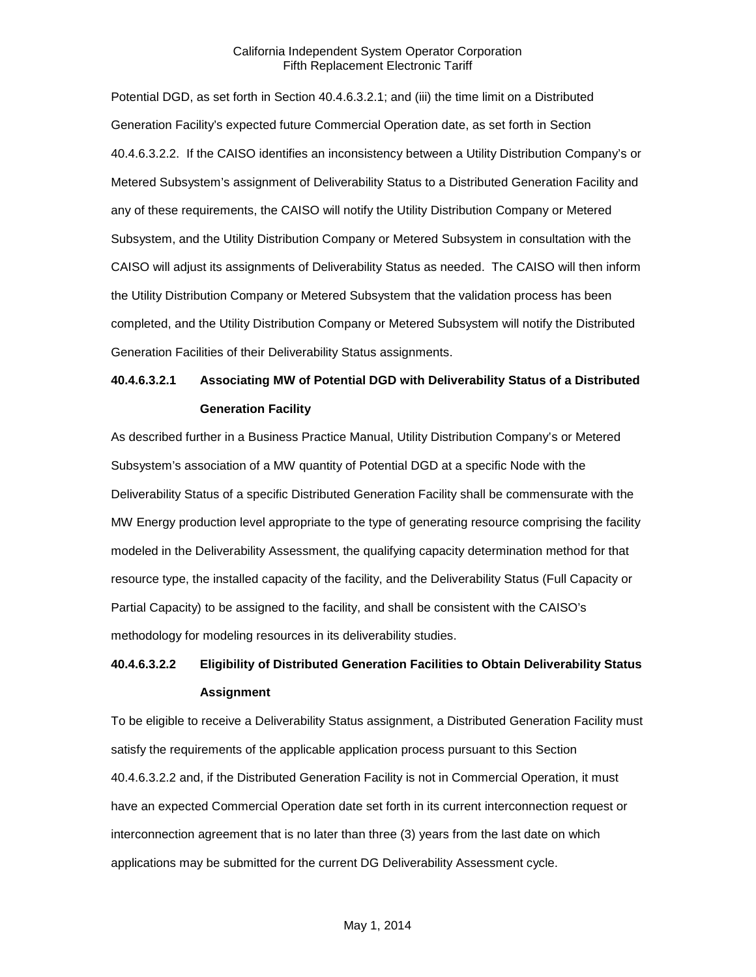Potential DGD, as set forth in Section 40.4.6.3.2.1; and (iii) the time limit on a Distributed Generation Facility's expected future Commercial Operation date, as set forth in Section 40.4.6.3.2.2. If the CAISO identifies an inconsistency between a Utility Distribution Company's or Metered Subsystem's assignment of Deliverability Status to a Distributed Generation Facility and any of these requirements, the CAISO will notify the Utility Distribution Company or Metered Subsystem, and the Utility Distribution Company or Metered Subsystem in consultation with the CAISO will adjust its assignments of Deliverability Status as needed. The CAISO will then inform the Utility Distribution Company or Metered Subsystem that the validation process has been completed, and the Utility Distribution Company or Metered Subsystem will notify the Distributed Generation Facilities of their Deliverability Status assignments.

## **40.4.6.3.2.1 Associating MW of Potential DGD with Deliverability Status of a Distributed Generation Facility**

As described further in a Business Practice Manual, Utility Distribution Company's or Metered Subsystem's association of a MW quantity of Potential DGD at a specific Node with the Deliverability Status of a specific Distributed Generation Facility shall be commensurate with the MW Energy production level appropriate to the type of generating resource comprising the facility modeled in the Deliverability Assessment, the qualifying capacity determination method for that resource type, the installed capacity of the facility, and the Deliverability Status (Full Capacity or Partial Capacity) to be assigned to the facility, and shall be consistent with the CAISO's methodology for modeling resources in its deliverability studies.

## **40.4.6.3.2.2 Eligibility of Distributed Generation Facilities to Obtain Deliverability Status Assignment**

To be eligible to receive a Deliverability Status assignment, a Distributed Generation Facility must satisfy the requirements of the applicable application process pursuant to this Section 40.4.6.3.2.2 and, if the Distributed Generation Facility is not in Commercial Operation, it must have an expected Commercial Operation date set forth in its current interconnection request or interconnection agreement that is no later than three (3) years from the last date on which applications may be submitted for the current DG Deliverability Assessment cycle.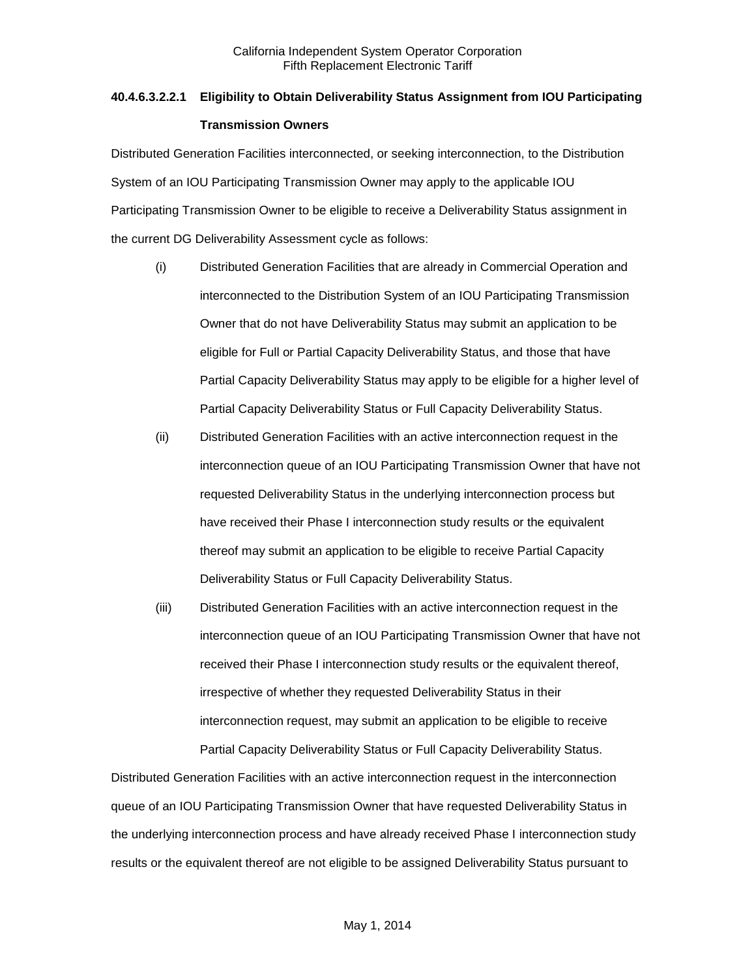# **40.4.6.3.2.2.1 Eligibility to Obtain Deliverability Status Assignment from IOU Participating Transmission Owners**

Distributed Generation Facilities interconnected, or seeking interconnection, to the Distribution System of an IOU Participating Transmission Owner may apply to the applicable IOU Participating Transmission Owner to be eligible to receive a Deliverability Status assignment in the current DG Deliverability Assessment cycle as follows:

- (i) Distributed Generation Facilities that are already in Commercial Operation and interconnected to the Distribution System of an IOU Participating Transmission Owner that do not have Deliverability Status may submit an application to be eligible for Full or Partial Capacity Deliverability Status, and those that have Partial Capacity Deliverability Status may apply to be eligible for a higher level of Partial Capacity Deliverability Status or Full Capacity Deliverability Status.
- (ii) Distributed Generation Facilities with an active interconnection request in the interconnection queue of an IOU Participating Transmission Owner that have not requested Deliverability Status in the underlying interconnection process but have received their Phase I interconnection study results or the equivalent thereof may submit an application to be eligible to receive Partial Capacity Deliverability Status or Full Capacity Deliverability Status.
- (iii) Distributed Generation Facilities with an active interconnection request in the interconnection queue of an IOU Participating Transmission Owner that have not received their Phase I interconnection study results or the equivalent thereof, irrespective of whether they requested Deliverability Status in their interconnection request, may submit an application to be eligible to receive Partial Capacity Deliverability Status or Full Capacity Deliverability Status.

Distributed Generation Facilities with an active interconnection request in the interconnection queue of an IOU Participating Transmission Owner that have requested Deliverability Status in the underlying interconnection process and have already received Phase I interconnection study results or the equivalent thereof are not eligible to be assigned Deliverability Status pursuant to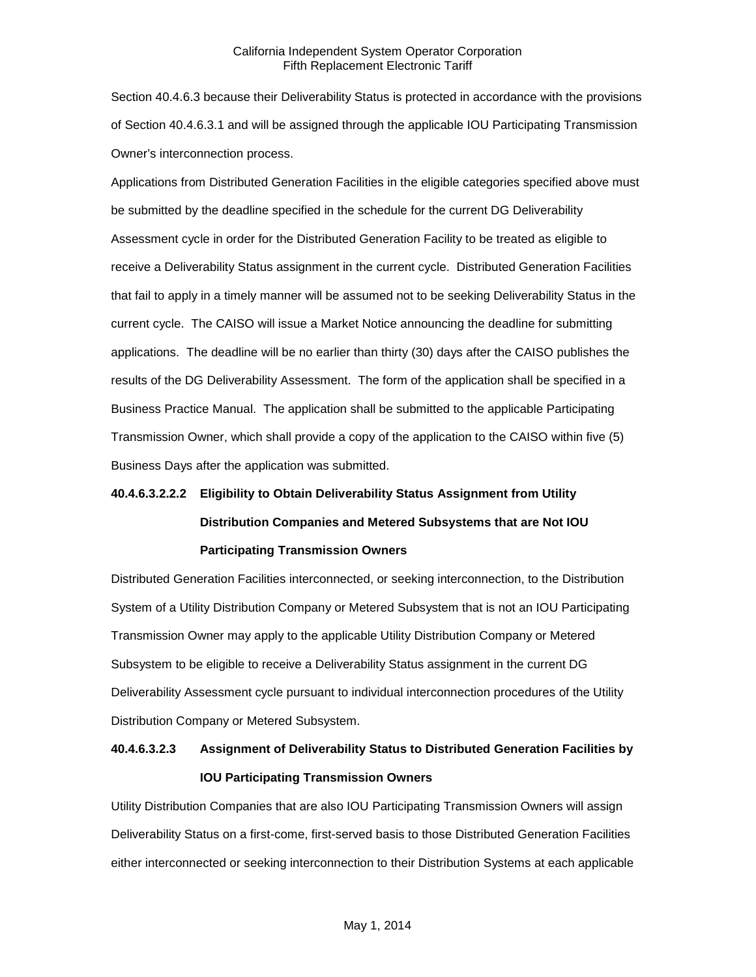Section 40.4.6.3 because their Deliverability Status is protected in accordance with the provisions of Section 40.4.6.3.1 and will be assigned through the applicable IOU Participating Transmission Owner's interconnection process.

Applications from Distributed Generation Facilities in the eligible categories specified above must be submitted by the deadline specified in the schedule for the current DG Deliverability Assessment cycle in order for the Distributed Generation Facility to be treated as eligible to receive a Deliverability Status assignment in the current cycle. Distributed Generation Facilities that fail to apply in a timely manner will be assumed not to be seeking Deliverability Status in the current cycle. The CAISO will issue a Market Notice announcing the deadline for submitting applications. The deadline will be no earlier than thirty (30) days after the CAISO publishes the results of the DG Deliverability Assessment. The form of the application shall be specified in a Business Practice Manual. The application shall be submitted to the applicable Participating Transmission Owner, which shall provide a copy of the application to the CAISO within five (5) Business Days after the application was submitted.

# **40.4.6.3.2.2.2 Eligibility to Obtain Deliverability Status Assignment from Utility Distribution Companies and Metered Subsystems that are Not IOU Participating Transmission Owners**

Distributed Generation Facilities interconnected, or seeking interconnection, to the Distribution System of a Utility Distribution Company or Metered Subsystem that is not an IOU Participating Transmission Owner may apply to the applicable Utility Distribution Company or Metered Subsystem to be eligible to receive a Deliverability Status assignment in the current DG Deliverability Assessment cycle pursuant to individual interconnection procedures of the Utility Distribution Company or Metered Subsystem.

## **40.4.6.3.2.3 Assignment of Deliverability Status to Distributed Generation Facilities by IOU Participating Transmission Owners**

Utility Distribution Companies that are also IOU Participating Transmission Owners will assign Deliverability Status on a first-come, first-served basis to those Distributed Generation Facilities either interconnected or seeking interconnection to their Distribution Systems at each applicable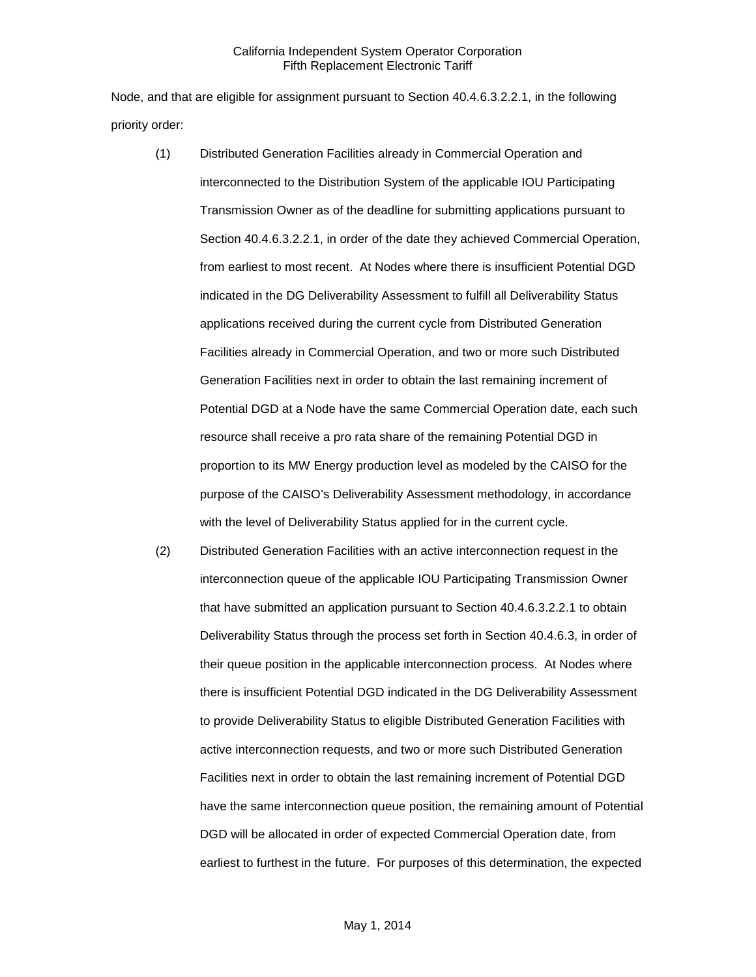Node, and that are eligible for assignment pursuant to Section 40.4.6.3.2.2.1, in the following priority order:

- (1) Distributed Generation Facilities already in Commercial Operation and interconnected to the Distribution System of the applicable IOU Participating Transmission Owner as of the deadline for submitting applications pursuant to Section 40.4.6.3.2.2.1, in order of the date they achieved Commercial Operation, from earliest to most recent. At Nodes where there is insufficient Potential DGD indicated in the DG Deliverability Assessment to fulfill all Deliverability Status applications received during the current cycle from Distributed Generation Facilities already in Commercial Operation, and two or more such Distributed Generation Facilities next in order to obtain the last remaining increment of Potential DGD at a Node have the same Commercial Operation date, each such resource shall receive a pro rata share of the remaining Potential DGD in proportion to its MW Energy production level as modeled by the CAISO for the purpose of the CAISO's Deliverability Assessment methodology, in accordance with the level of Deliverability Status applied for in the current cycle.
- (2) Distributed Generation Facilities with an active interconnection request in the interconnection queue of the applicable IOU Participating Transmission Owner that have submitted an application pursuant to Section 40.4.6.3.2.2.1 to obtain Deliverability Status through the process set forth in Section 40.4.6.3, in order of their queue position in the applicable interconnection process. At Nodes where there is insufficient Potential DGD indicated in the DG Deliverability Assessment to provide Deliverability Status to eligible Distributed Generation Facilities with active interconnection requests, and two or more such Distributed Generation Facilities next in order to obtain the last remaining increment of Potential DGD have the same interconnection queue position, the remaining amount of Potential DGD will be allocated in order of expected Commercial Operation date, from earliest to furthest in the future. For purposes of this determination, the expected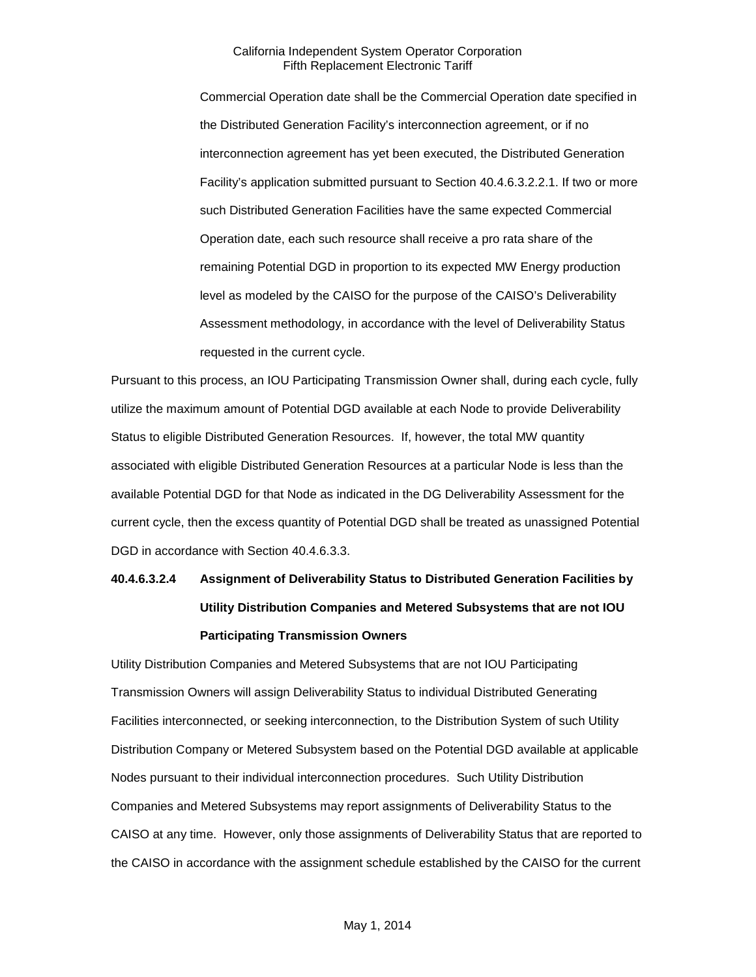Commercial Operation date shall be the Commercial Operation date specified in the Distributed Generation Facility's interconnection agreement, or if no interconnection agreement has yet been executed, the Distributed Generation Facility's application submitted pursuant to Section 40.4.6.3.2.2.1. If two or more such Distributed Generation Facilities have the same expected Commercial Operation date, each such resource shall receive a pro rata share of the remaining Potential DGD in proportion to its expected MW Energy production level as modeled by the CAISO for the purpose of the CAISO's Deliverability Assessment methodology, in accordance with the level of Deliverability Status requested in the current cycle.

Pursuant to this process, an IOU Participating Transmission Owner shall, during each cycle, fully utilize the maximum amount of Potential DGD available at each Node to provide Deliverability Status to eligible Distributed Generation Resources. If, however, the total MW quantity associated with eligible Distributed Generation Resources at a particular Node is less than the available Potential DGD for that Node as indicated in the DG Deliverability Assessment for the current cycle, then the excess quantity of Potential DGD shall be treated as unassigned Potential DGD in accordance with Section 40.4.6.3.3.

# **40.4.6.3.2.4 Assignment of Deliverability Status to Distributed Generation Facilities by Utility Distribution Companies and Metered Subsystems that are not IOU Participating Transmission Owners**

Utility Distribution Companies and Metered Subsystems that are not IOU Participating Transmission Owners will assign Deliverability Status to individual Distributed Generating Facilities interconnected, or seeking interconnection, to the Distribution System of such Utility Distribution Company or Metered Subsystem based on the Potential DGD available at applicable Nodes pursuant to their individual interconnection procedures. Such Utility Distribution Companies and Metered Subsystems may report assignments of Deliverability Status to the CAISO at any time. However, only those assignments of Deliverability Status that are reported to the CAISO in accordance with the assignment schedule established by the CAISO for the current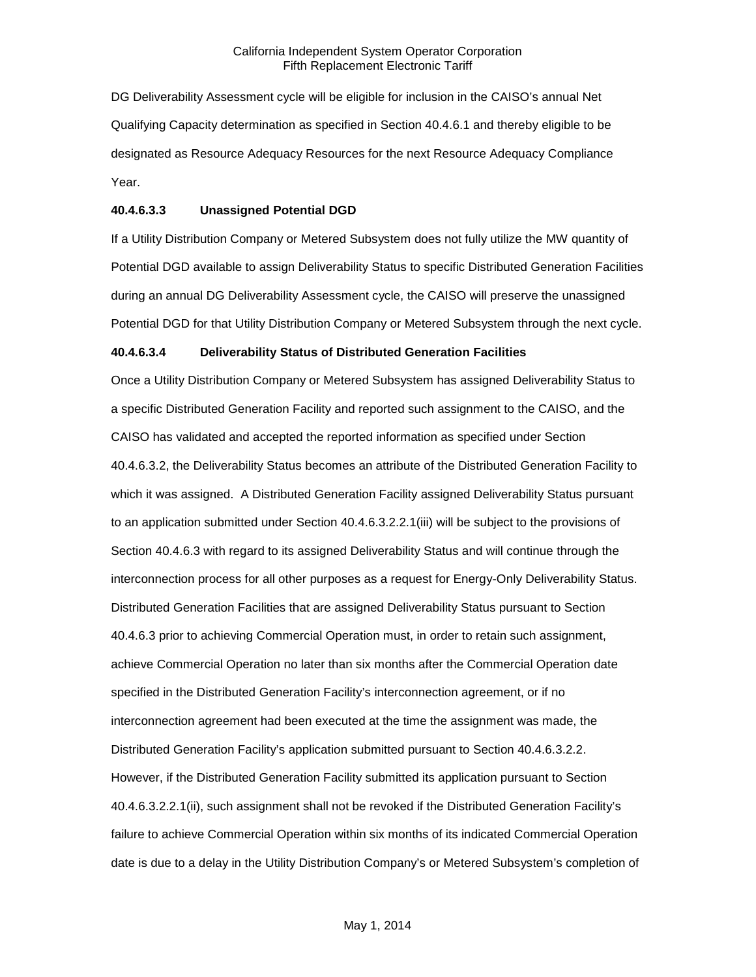DG Deliverability Assessment cycle will be eligible for inclusion in the CAISO's annual Net Qualifying Capacity determination as specified in Section 40.4.6.1 and thereby eligible to be designated as Resource Adequacy Resources for the next Resource Adequacy Compliance Year.

# **40.4.6.3.3 Unassigned Potential DGD**

If a Utility Distribution Company or Metered Subsystem does not fully utilize the MW quantity of Potential DGD available to assign Deliverability Status to specific Distributed Generation Facilities during an annual DG Deliverability Assessment cycle, the CAISO will preserve the unassigned Potential DGD for that Utility Distribution Company or Metered Subsystem through the next cycle.

#### **40.4.6.3.4 Deliverability Status of Distributed Generation Facilities**

Once a Utility Distribution Company or Metered Subsystem has assigned Deliverability Status to a specific Distributed Generation Facility and reported such assignment to the CAISO, and the CAISO has validated and accepted the reported information as specified under Section 40.4.6.3.2, the Deliverability Status becomes an attribute of the Distributed Generation Facility to which it was assigned. A Distributed Generation Facility assigned Deliverability Status pursuant to an application submitted under Section 40.4.6.3.2.2.1(iii) will be subject to the provisions of Section 40.4.6.3 with regard to its assigned Deliverability Status and will continue through the interconnection process for all other purposes as a request for Energy-Only Deliverability Status. Distributed Generation Facilities that are assigned Deliverability Status pursuant to Section 40.4.6.3 prior to achieving Commercial Operation must, in order to retain such assignment, achieve Commercial Operation no later than six months after the Commercial Operation date specified in the Distributed Generation Facility's interconnection agreement, or if no interconnection agreement had been executed at the time the assignment was made, the Distributed Generation Facility's application submitted pursuant to Section 40.4.6.3.2.2. However, if the Distributed Generation Facility submitted its application pursuant to Section 40.4.6.3.2.2.1(ii), such assignment shall not be revoked if the Distributed Generation Facility's failure to achieve Commercial Operation within six months of its indicated Commercial Operation date is due to a delay in the Utility Distribution Company's or Metered Subsystem's completion of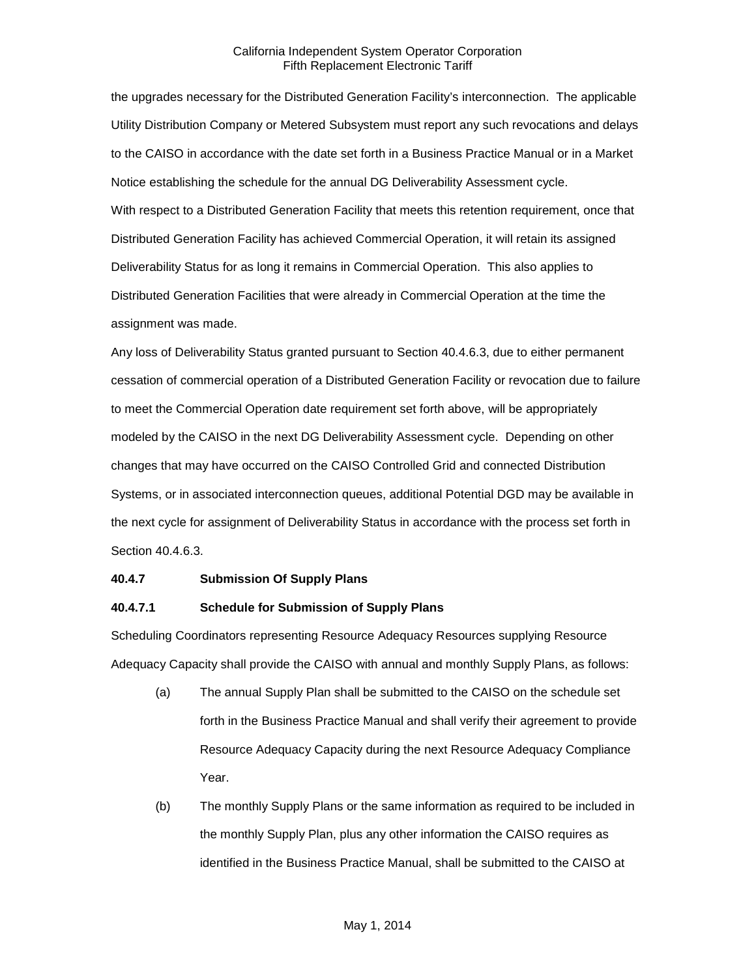the upgrades necessary for the Distributed Generation Facility's interconnection. The applicable Utility Distribution Company or Metered Subsystem must report any such revocations and delays to the CAISO in accordance with the date set forth in a Business Practice Manual or in a Market Notice establishing the schedule for the annual DG Deliverability Assessment cycle. With respect to a Distributed Generation Facility that meets this retention requirement, once that Distributed Generation Facility has achieved Commercial Operation, it will retain its assigned Deliverability Status for as long it remains in Commercial Operation. This also applies to Distributed Generation Facilities that were already in Commercial Operation at the time the assignment was made.

Any loss of Deliverability Status granted pursuant to Section 40.4.6.3, due to either permanent cessation of commercial operation of a Distributed Generation Facility or revocation due to failure to meet the Commercial Operation date requirement set forth above, will be appropriately modeled by the CAISO in the next DG Deliverability Assessment cycle. Depending on other changes that may have occurred on the CAISO Controlled Grid and connected Distribution Systems, or in associated interconnection queues, additional Potential DGD may be available in the next cycle for assignment of Deliverability Status in accordance with the process set forth in Section 40.4.6.3.

#### **40.4.7 Submission Of Supply Plans**

## **40.4.7.1 Schedule for Submission of Supply Plans**

Scheduling Coordinators representing Resource Adequacy Resources supplying Resource Adequacy Capacity shall provide the CAISO with annual and monthly Supply Plans, as follows:

- (a) The annual Supply Plan shall be submitted to the CAISO on the schedule set forth in the Business Practice Manual and shall verify their agreement to provide Resource Adequacy Capacity during the next Resource Adequacy Compliance Year.
- (b) The monthly Supply Plans or the same information as required to be included in the monthly Supply Plan, plus any other information the CAISO requires as identified in the Business Practice Manual, shall be submitted to the CAISO at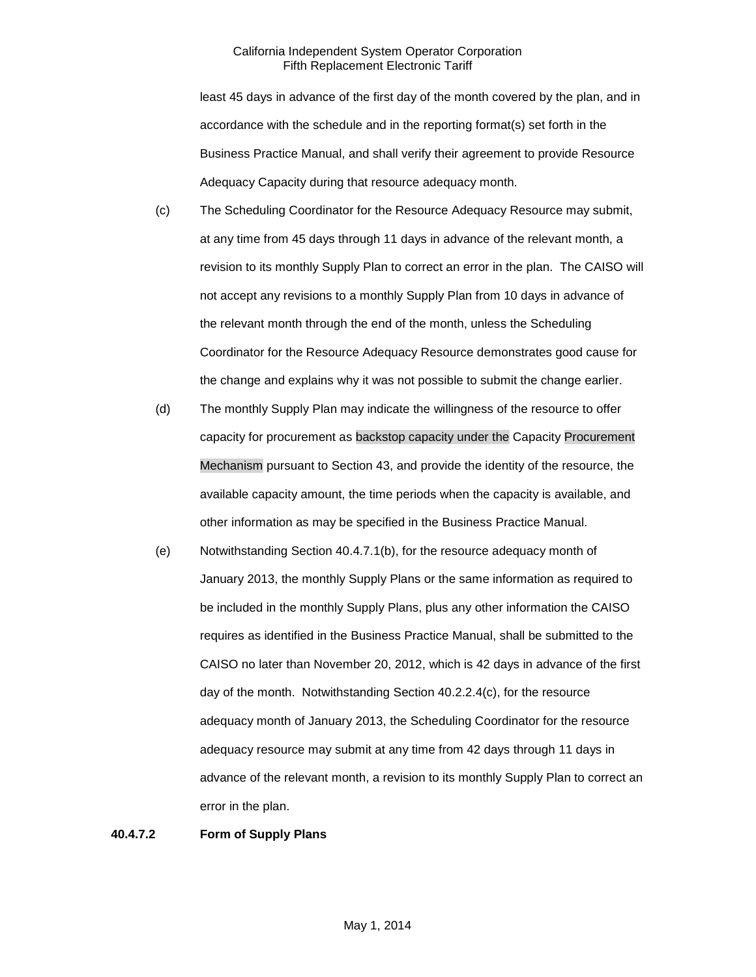least 45 days in advance of the first day of the month covered by the plan, and in accordance with the schedule and in the reporting format(s) set forth in the Business Practice Manual, and shall verify their agreement to provide Resource Adequacy Capacity during that resource adequacy month.

- (c) The Scheduling Coordinator for the Resource Adequacy Resource may submit, at any time from 45 days through 11 days in advance of the relevant month, a revision to its monthly Supply Plan to correct an error in the plan. The CAISO will not accept any revisions to a monthly Supply Plan from 10 days in advance of the relevant month through the end of the month, unless the Scheduling Coordinator for the Resource Adequacy Resource demonstrates good cause for the change and explains why it was not possible to submit the change earlier.
- (d) The monthly Supply Plan may indicate the willingness of the resource to offer capacity for procurement as backstop capacity under the Capacity Procurement Mechanism pursuant to Section 43, and provide the identity of the resource, the available capacity amount, the time periods when the capacity is available, and other information as may be specified in the Business Practice Manual.
- (e) Notwithstanding Section 40.4.7.1(b), for the resource adequacy month of January 2013, the monthly Supply Plans or the same information as required to be included in the monthly Supply Plans, plus any other information the CAISO requires as identified in the Business Practice Manual, shall be submitted to the CAISO no later than November 20, 2012, which is 42 days in advance of the first day of the month. Notwithstanding Section 40.2.2.4(c), for the resource adequacy month of January 2013, the Scheduling Coordinator for the resource adequacy resource may submit at any time from 42 days through 11 days in advance of the relevant month, a revision to its monthly Supply Plan to correct an error in the plan.

#### **40.4.7.2 Form of Supply Plans**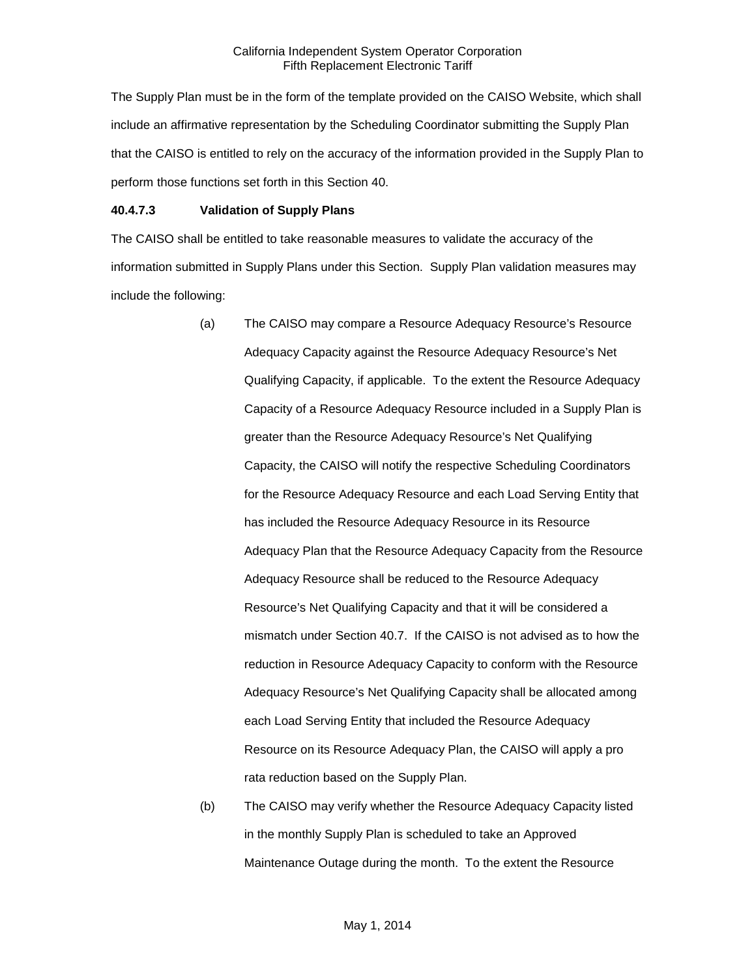The Supply Plan must be in the form of the template provided on the CAISO Website, which shall include an affirmative representation by the Scheduling Coordinator submitting the Supply Plan that the CAISO is entitled to rely on the accuracy of the information provided in the Supply Plan to perform those functions set forth in this Section 40.

### **40.4.7.3 Validation of Supply Plans**

The CAISO shall be entitled to take reasonable measures to validate the accuracy of the information submitted in Supply Plans under this Section. Supply Plan validation measures may include the following:

- (a) The CAISO may compare a Resource Adequacy Resource's Resource Adequacy Capacity against the Resource Adequacy Resource's Net Qualifying Capacity, if applicable. To the extent the Resource Adequacy Capacity of a Resource Adequacy Resource included in a Supply Plan is greater than the Resource Adequacy Resource's Net Qualifying Capacity, the CAISO will notify the respective Scheduling Coordinators for the Resource Adequacy Resource and each Load Serving Entity that has included the Resource Adequacy Resource in its Resource Adequacy Plan that the Resource Adequacy Capacity from the Resource Adequacy Resource shall be reduced to the Resource Adequacy Resource's Net Qualifying Capacity and that it will be considered a mismatch under Section 40.7. If the CAISO is not advised as to how the reduction in Resource Adequacy Capacity to conform with the Resource Adequacy Resource's Net Qualifying Capacity shall be allocated among each Load Serving Entity that included the Resource Adequacy Resource on its Resource Adequacy Plan, the CAISO will apply a pro rata reduction based on the Supply Plan.
- (b) The CAISO may verify whether the Resource Adequacy Capacity listed in the monthly Supply Plan is scheduled to take an Approved Maintenance Outage during the month. To the extent the Resource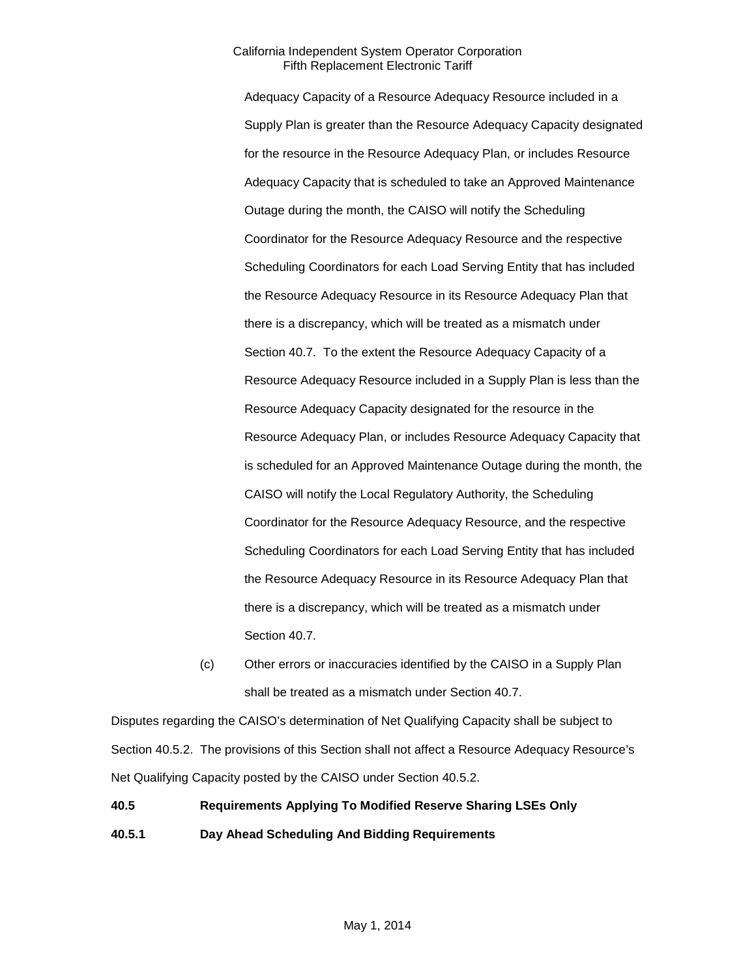Adequacy Capacity of a Resource Adequacy Resource included in a Supply Plan is greater than the Resource Adequacy Capacity designated for the resource in the Resource Adequacy Plan, or includes Resource Adequacy Capacity that is scheduled to take an Approved Maintenance Outage during the month, the CAISO will notify the Scheduling Coordinator for the Resource Adequacy Resource and the respective Scheduling Coordinators for each Load Serving Entity that has included the Resource Adequacy Resource in its Resource Adequacy Plan that there is a discrepancy, which will be treated as a mismatch under Section 40.7. To the extent the Resource Adequacy Capacity of a Resource Adequacy Resource included in a Supply Plan is less than the Resource Adequacy Capacity designated for the resource in the Resource Adequacy Plan, or includes Resource Adequacy Capacity that is scheduled for an Approved Maintenance Outage during the month, the CAISO will notify the Local Regulatory Authority, the Scheduling Coordinator for the Resource Adequacy Resource, and the respective Scheduling Coordinators for each Load Serving Entity that has included the Resource Adequacy Resource in its Resource Adequacy Plan that there is a discrepancy, which will be treated as a mismatch under Section 40.7.

(c) Other errors or inaccuracies identified by the CAISO in a Supply Plan shall be treated as a mismatch under Section 40.7.

Disputes regarding the CAISO's determination of Net Qualifying Capacity shall be subject to Section 40.5.2. The provisions of this Section shall not affect a Resource Adequacy Resource's Net Qualifying Capacity posted by the CAISO under Section 40.5.2.

# **40.5 Requirements Applying To Modified Reserve Sharing LSEs Only 40.5.1 Day Ahead Scheduling And Bidding Requirements**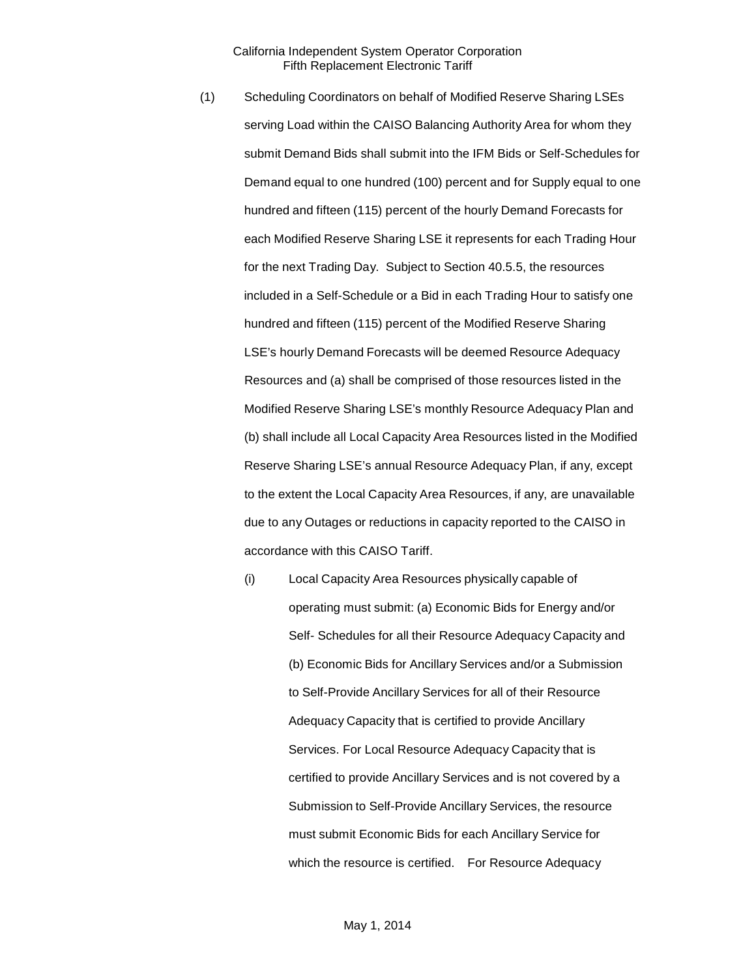- (1) Scheduling Coordinators on behalf of Modified Reserve Sharing LSEs serving Load within the CAISO Balancing Authority Area for whom they submit Demand Bids shall submit into the IFM Bids or Self-Schedules for Demand equal to one hundred (100) percent and for Supply equal to one hundred and fifteen (115) percent of the hourly Demand Forecasts for each Modified Reserve Sharing LSE it represents for each Trading Hour for the next Trading Day. Subject to Section 40.5.5, the resources included in a Self-Schedule or a Bid in each Trading Hour to satisfy one hundred and fifteen (115) percent of the Modified Reserve Sharing LSE's hourly Demand Forecasts will be deemed Resource Adequacy Resources and (a) shall be comprised of those resources listed in the Modified Reserve Sharing LSE's monthly Resource Adequacy Plan and (b) shall include all Local Capacity Area Resources listed in the Modified Reserve Sharing LSE's annual Resource Adequacy Plan, if any, except to the extent the Local Capacity Area Resources, if any, are unavailable due to any Outages or reductions in capacity reported to the CAISO in accordance with this CAISO Tariff.
	- (i) Local Capacity Area Resources physically capable of operating must submit: (a) Economic Bids for Energy and/or Self- Schedules for all their Resource Adequacy Capacity and (b) Economic Bids for Ancillary Services and/or a Submission to Self-Provide Ancillary Services for all of their Resource Adequacy Capacity that is certified to provide Ancillary Services. For Local Resource Adequacy Capacity that is certified to provide Ancillary Services and is not covered by a Submission to Self-Provide Ancillary Services, the resource must submit Economic Bids for each Ancillary Service for which the resource is certified. For Resource Adequacy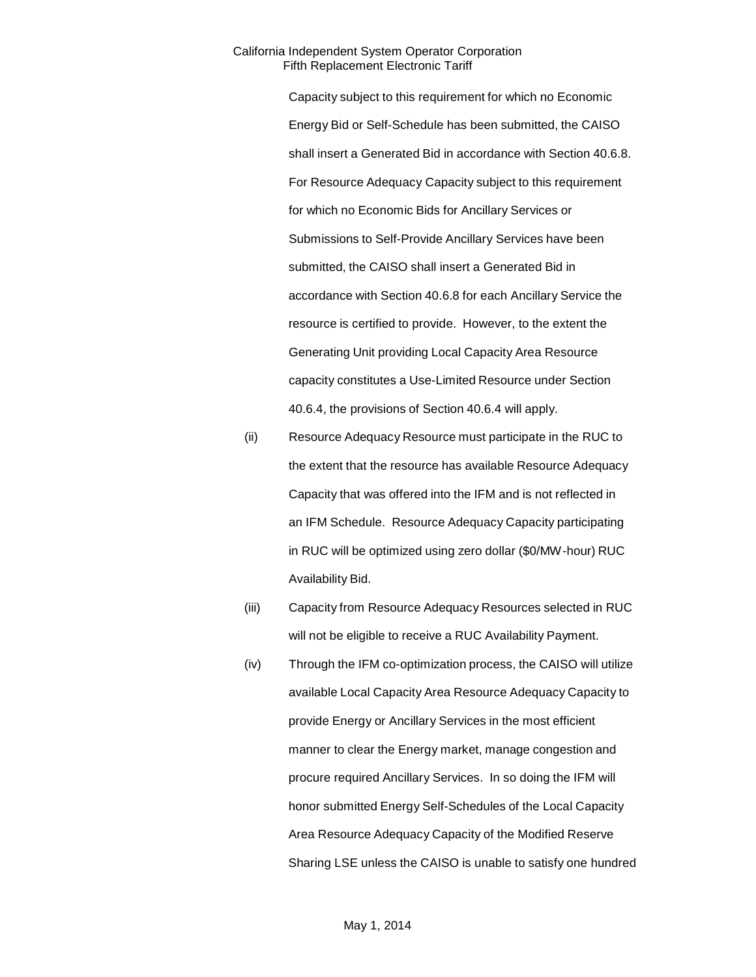Capacity subject to this requirement for which no Economic Energy Bid or Self-Schedule has been submitted, the CAISO shall insert a Generated Bid in accordance with Section 40.6.8. For Resource Adequacy Capacity subject to this requirement for which no Economic Bids for Ancillary Services or Submissions to Self-Provide Ancillary Services have been submitted, the CAISO shall insert a Generated Bid in accordance with Section 40.6.8 for each Ancillary Service the resource is certified to provide. However, to the extent the Generating Unit providing Local Capacity Area Resource capacity constitutes a Use-Limited Resource under Section 40.6.4, the provisions of Section 40.6.4 will apply.

(ii) Resource Adequacy Resource must participate in the RUC to the extent that the resource has available Resource Adequacy Capacity that was offered into the IFM and is not reflected in an IFM Schedule. Resource Adequacy Capacity participating in RUC will be optimized using zero dollar (\$0/MW-hour) RUC Availability Bid.

- (iii) Capacity from Resource Adequacy Resources selected in RUC will not be eligible to receive a RUC Availability Payment.
- (iv) Through the IFM co-optimization process, the CAISO will utilize available Local Capacity Area Resource Adequacy Capacity to provide Energy or Ancillary Services in the most efficient manner to clear the Energy market, manage congestion and procure required Ancillary Services. In so doing the IFM will honor submitted Energy Self-Schedules of the Local Capacity Area Resource Adequacy Capacity of the Modified Reserve Sharing LSE unless the CAISO is unable to satisfy one hundred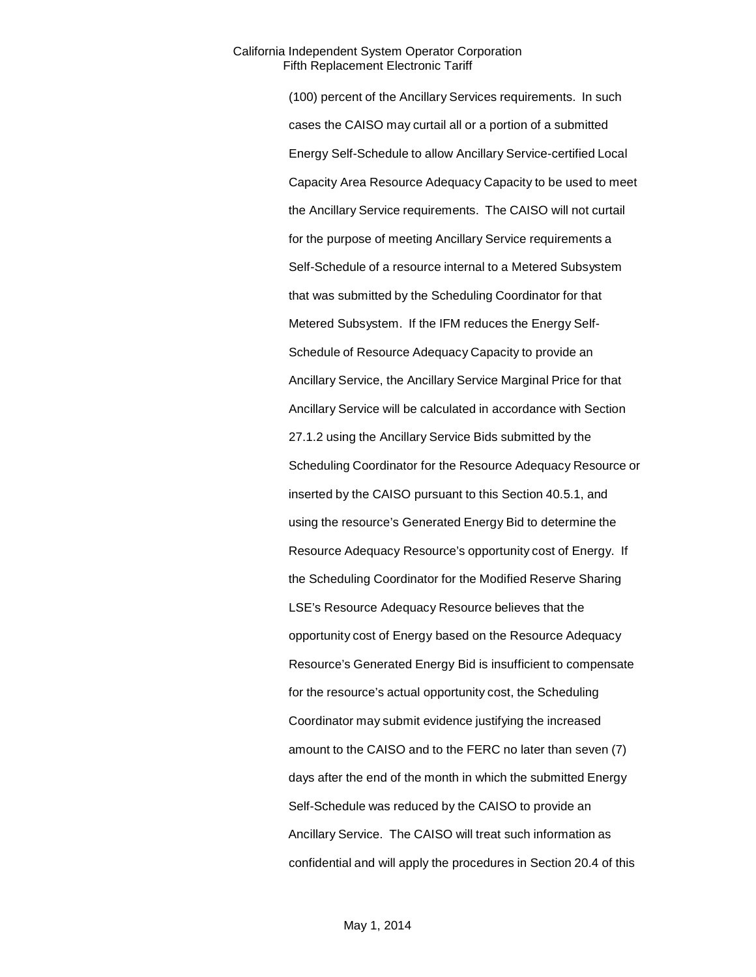(100) percent of the Ancillary Services requirements. In such cases the CAISO may curtail all or a portion of a submitted Energy Self-Schedule to allow Ancillary Service-certified Local Capacity Area Resource Adequacy Capacity to be used to meet the Ancillary Service requirements. The CAISO will not curtail for the purpose of meeting Ancillary Service requirements a Self-Schedule of a resource internal to a Metered Subsystem that was submitted by the Scheduling Coordinator for that Metered Subsystem. If the IFM reduces the Energy Self-Schedule of Resource Adequacy Capacity to provide an Ancillary Service, the Ancillary Service Marginal Price for that Ancillary Service will be calculated in accordance with Section 27.1.2 using the Ancillary Service Bids submitted by the Scheduling Coordinator for the Resource Adequacy Resource or inserted by the CAISO pursuant to this Section 40.5.1, and using the resource's Generated Energy Bid to determine the Resource Adequacy Resource's opportunity cost of Energy. If the Scheduling Coordinator for the Modified Reserve Sharing LSE's Resource Adequacy Resource believes that the opportunity cost of Energy based on the Resource Adequacy Resource's Generated Energy Bid is insufficient to compensate for the resource's actual opportunity cost, the Scheduling Coordinator may submit evidence justifying the increased amount to the CAISO and to the FERC no later than seven (7) days after the end of the month in which the submitted Energy Self-Schedule was reduced by the CAISO to provide an Ancillary Service. The CAISO will treat such information as confidential and will apply the procedures in Section 20.4 of this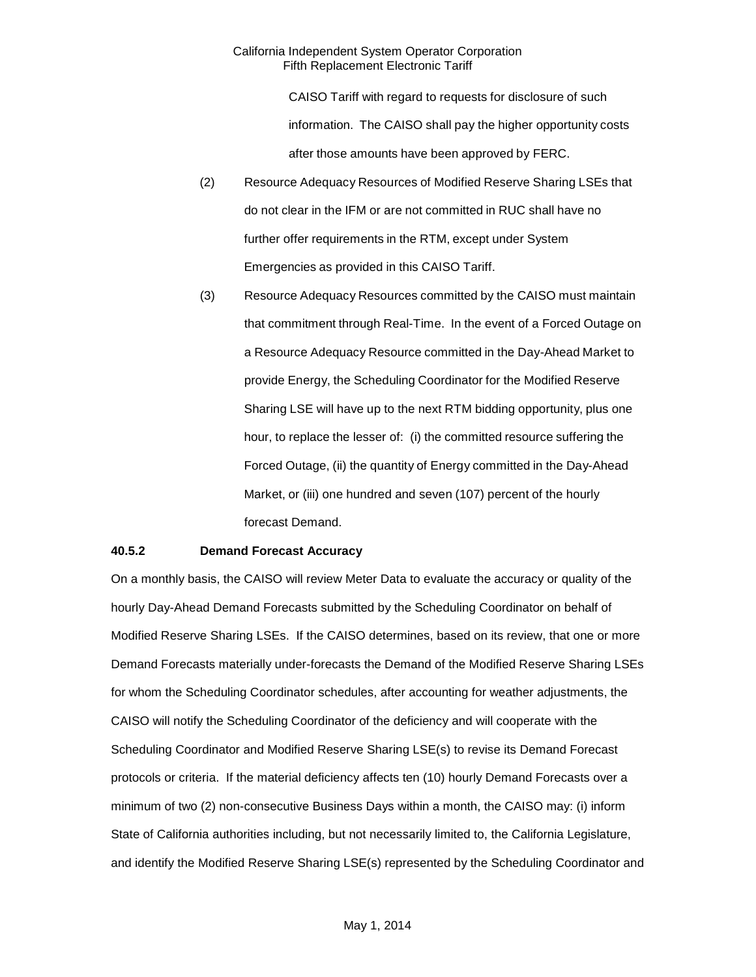CAISO Tariff with regard to requests for disclosure of such information. The CAISO shall pay the higher opportunity costs after those amounts have been approved by FERC.

- (2) Resource Adequacy Resources of Modified Reserve Sharing LSEs that do not clear in the IFM or are not committed in RUC shall have no further offer requirements in the RTM, except under System Emergencies as provided in this CAISO Tariff.
- (3) Resource Adequacy Resources committed by the CAISO must maintain that commitment through Real-Time. In the event of a Forced Outage on a Resource Adequacy Resource committed in the Day-Ahead Market to provide Energy, the Scheduling Coordinator for the Modified Reserve Sharing LSE will have up to the next RTM bidding opportunity, plus one hour, to replace the lesser of: (i) the committed resource suffering the Forced Outage, (ii) the quantity of Energy committed in the Day-Ahead Market, or (iii) one hundred and seven (107) percent of the hourly forecast Demand.

## **40.5.2 Demand Forecast Accuracy**

On a monthly basis, the CAISO will review Meter Data to evaluate the accuracy or quality of the hourly Day-Ahead Demand Forecasts submitted by the Scheduling Coordinator on behalf of Modified Reserve Sharing LSEs. If the CAISO determines, based on its review, that one or more Demand Forecasts materially under-forecasts the Demand of the Modified Reserve Sharing LSEs for whom the Scheduling Coordinator schedules, after accounting for weather adjustments, the CAISO will notify the Scheduling Coordinator of the deficiency and will cooperate with the Scheduling Coordinator and Modified Reserve Sharing LSE(s) to revise its Demand Forecast protocols or criteria. If the material deficiency affects ten (10) hourly Demand Forecasts over a minimum of two (2) non-consecutive Business Days within a month, the CAISO may: (i) inform State of California authorities including, but not necessarily limited to, the California Legislature, and identify the Modified Reserve Sharing LSE(s) represented by the Scheduling Coordinator and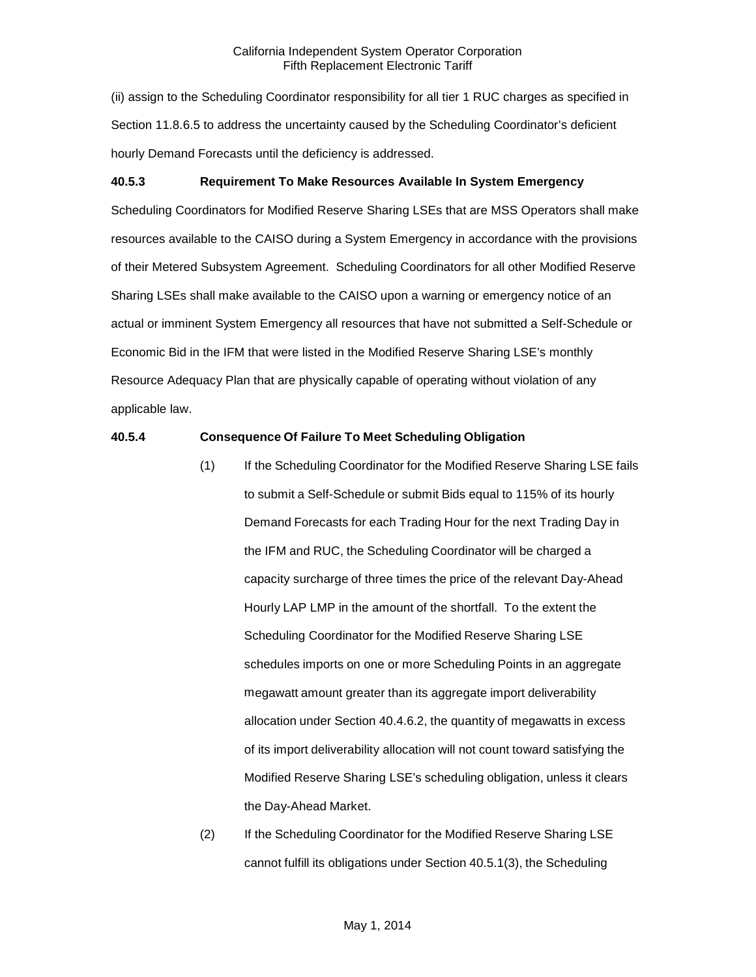(ii) assign to the Scheduling Coordinator responsibility for all tier 1 RUC charges as specified in Section 11.8.6.5 to address the uncertainty caused by the Scheduling Coordinator's deficient hourly Demand Forecasts until the deficiency is addressed.

# **40.5.3 Requirement To Make Resources Available In System Emergency**

Scheduling Coordinators for Modified Reserve Sharing LSEs that are MSS Operators shall make resources available to the CAISO during a System Emergency in accordance with the provisions of their Metered Subsystem Agreement. Scheduling Coordinators for all other Modified Reserve Sharing LSEs shall make available to the CAISO upon a warning or emergency notice of an actual or imminent System Emergency all resources that have not submitted a Self-Schedule or Economic Bid in the IFM that were listed in the Modified Reserve Sharing LSE's monthly Resource Adequacy Plan that are physically capable of operating without violation of any applicable law.

# **40.5.4 Consequence Of Failure To Meet Scheduling Obligation**

- (1) If the Scheduling Coordinator for the Modified Reserve Sharing LSE fails to submit a Self-Schedule or submit Bids equal to 115% of its hourly Demand Forecasts for each Trading Hour for the next Trading Day in the IFM and RUC, the Scheduling Coordinator will be charged a capacity surcharge of three times the price of the relevant Day-Ahead Hourly LAP LMP in the amount of the shortfall. To the extent the Scheduling Coordinator for the Modified Reserve Sharing LSE schedules imports on one or more Scheduling Points in an aggregate megawatt amount greater than its aggregate import deliverability allocation under Section 40.4.6.2, the quantity of megawatts in excess of its import deliverability allocation will not count toward satisfying the Modified Reserve Sharing LSE's scheduling obligation, unless it clears the Day-Ahead Market.
- (2) If the Scheduling Coordinator for the Modified Reserve Sharing LSE cannot fulfill its obligations under Section 40.5.1(3), the Scheduling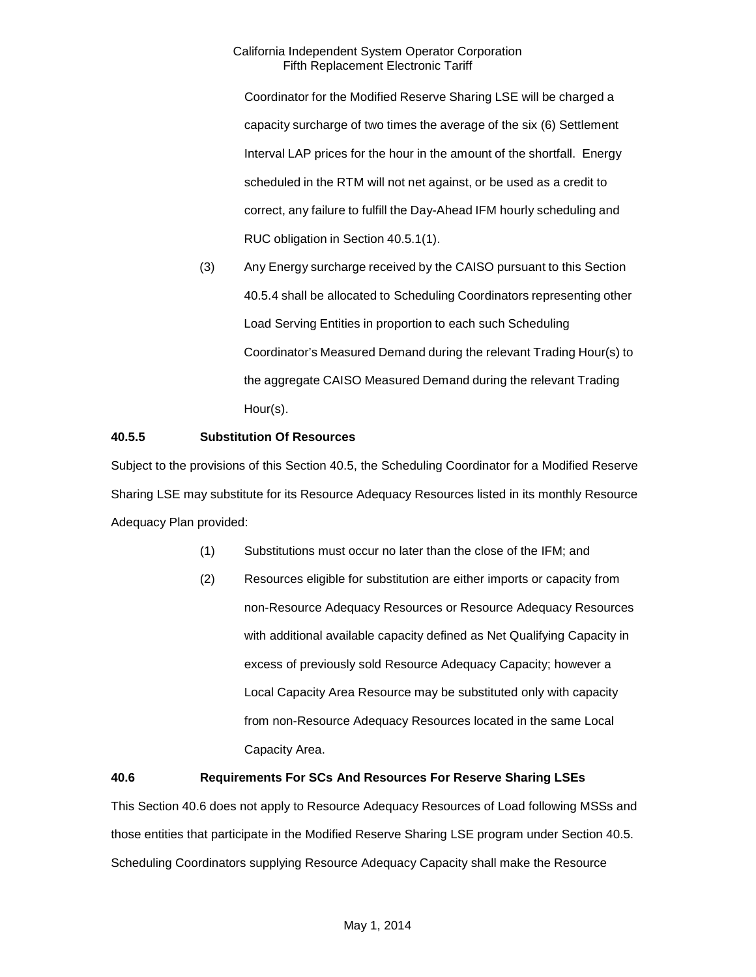Coordinator for the Modified Reserve Sharing LSE will be charged a capacity surcharge of two times the average of the six (6) Settlement Interval LAP prices for the hour in the amount of the shortfall. Energy scheduled in the RTM will not net against, or be used as a credit to correct, any failure to fulfill the Day-Ahead IFM hourly scheduling and RUC obligation in Section 40.5.1(1).

(3) Any Energy surcharge received by the CAISO pursuant to this Section 40.5.4 shall be allocated to Scheduling Coordinators representing other Load Serving Entities in proportion to each such Scheduling Coordinator's Measured Demand during the relevant Trading Hour(s) to the aggregate CAISO Measured Demand during the relevant Trading Hour(s).

# **40.5.5 Substitution Of Resources**

Subject to the provisions of this Section 40.5, the Scheduling Coordinator for a Modified Reserve Sharing LSE may substitute for its Resource Adequacy Resources listed in its monthly Resource Adequacy Plan provided:

- (1) Substitutions must occur no later than the close of the IFM; and
- (2) Resources eligible for substitution are either imports or capacity from non-Resource Adequacy Resources or Resource Adequacy Resources with additional available capacity defined as Net Qualifying Capacity in excess of previously sold Resource Adequacy Capacity; however a Local Capacity Area Resource may be substituted only with capacity from non-Resource Adequacy Resources located in the same Local Capacity Area.

# **40.6 Requirements For SCs And Resources For Reserve Sharing LSEs**

This Section 40.6 does not apply to Resource Adequacy Resources of Load following MSSs and those entities that participate in the Modified Reserve Sharing LSE program under Section 40.5. Scheduling Coordinators supplying Resource Adequacy Capacity shall make the Resource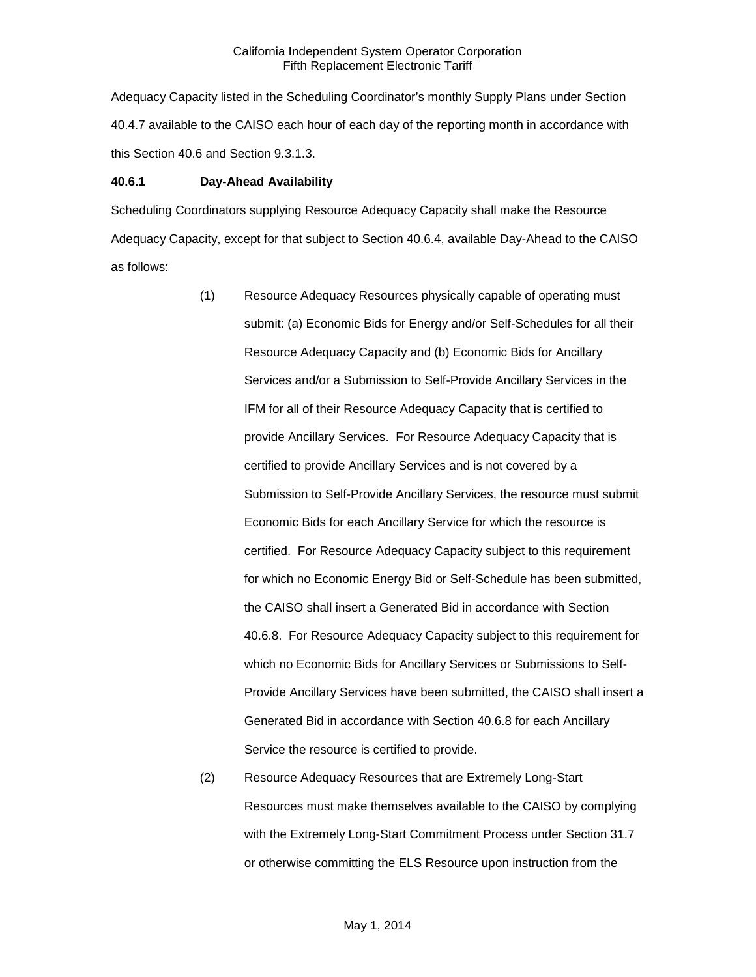Adequacy Capacity listed in the Scheduling Coordinator's monthly Supply Plans under Section 40.4.7 available to the CAISO each hour of each day of the reporting month in accordance with this Section 40.6 and Section 9.3.1.3.

#### **40.6.1 Day-Ahead Availability**

Scheduling Coordinators supplying Resource Adequacy Capacity shall make the Resource Adequacy Capacity, except for that subject to Section 40.6.4, available Day-Ahead to the CAISO as follows:

- (1) Resource Adequacy Resources physically capable of operating must submit: (a) Economic Bids for Energy and/or Self-Schedules for all their Resource Adequacy Capacity and (b) Economic Bids for Ancillary Services and/or a Submission to Self-Provide Ancillary Services in the IFM for all of their Resource Adequacy Capacity that is certified to provide Ancillary Services. For Resource Adequacy Capacity that is certified to provide Ancillary Services and is not covered by a Submission to Self-Provide Ancillary Services, the resource must submit Economic Bids for each Ancillary Service for which the resource is certified. For Resource Adequacy Capacity subject to this requirement for which no Economic Energy Bid or Self-Schedule has been submitted, the CAISO shall insert a Generated Bid in accordance with Section 40.6.8. For Resource Adequacy Capacity subject to this requirement for which no Economic Bids for Ancillary Services or Submissions to Self-Provide Ancillary Services have been submitted, the CAISO shall insert a Generated Bid in accordance with Section 40.6.8 for each Ancillary Service the resource is certified to provide.
- (2) Resource Adequacy Resources that are Extremely Long-Start Resources must make themselves available to the CAISO by complying with the Extremely Long-Start Commitment Process under Section 31.7 or otherwise committing the ELS Resource upon instruction from the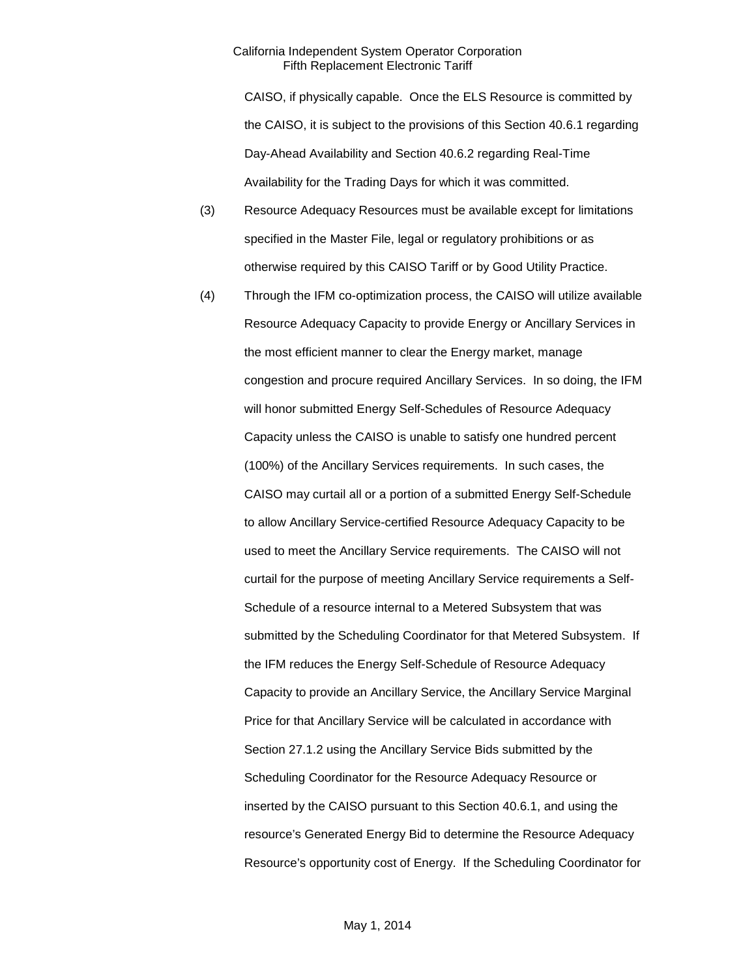CAISO, if physically capable. Once the ELS Resource is committed by the CAISO, it is subject to the provisions of this Section 40.6.1 regarding Day-Ahead Availability and Section 40.6.2 regarding Real-Time Availability for the Trading Days for which it was committed.

- (3) Resource Adequacy Resources must be available except for limitations specified in the Master File, legal or regulatory prohibitions or as otherwise required by this CAISO Tariff or by Good Utility Practice.
- (4) Through the IFM co-optimization process, the CAISO will utilize available Resource Adequacy Capacity to provide Energy or Ancillary Services in the most efficient manner to clear the Energy market, manage congestion and procure required Ancillary Services. In so doing, the IFM will honor submitted Energy Self-Schedules of Resource Adequacy Capacity unless the CAISO is unable to satisfy one hundred percent (100%) of the Ancillary Services requirements. In such cases, the CAISO may curtail all or a portion of a submitted Energy Self-Schedule to allow Ancillary Service-certified Resource Adequacy Capacity to be used to meet the Ancillary Service requirements. The CAISO will not curtail for the purpose of meeting Ancillary Service requirements a Self-Schedule of a resource internal to a Metered Subsystem that was submitted by the Scheduling Coordinator for that Metered Subsystem. If the IFM reduces the Energy Self-Schedule of Resource Adequacy Capacity to provide an Ancillary Service, the Ancillary Service Marginal Price for that Ancillary Service will be calculated in accordance with Section 27.1.2 using the Ancillary Service Bids submitted by the Scheduling Coordinator for the Resource Adequacy Resource or inserted by the CAISO pursuant to this Section 40.6.1, and using the resource's Generated Energy Bid to determine the Resource Adequacy Resource's opportunity cost of Energy. If the Scheduling Coordinator for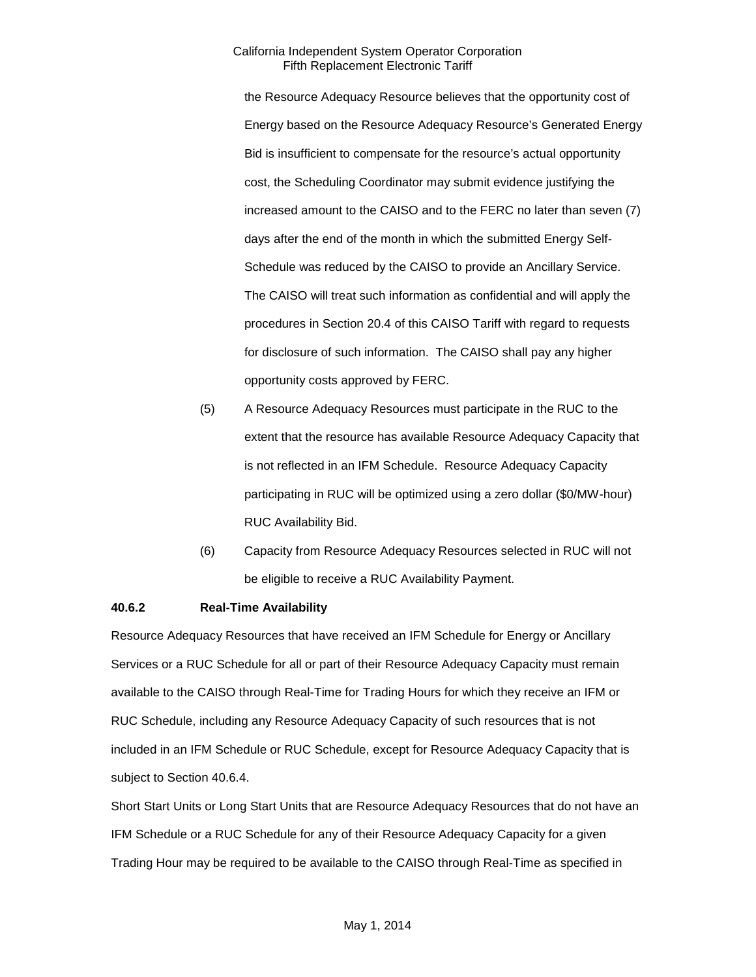the Resource Adequacy Resource believes that the opportunity cost of Energy based on the Resource Adequacy Resource's Generated Energy Bid is insufficient to compensate for the resource's actual opportunity cost, the Scheduling Coordinator may submit evidence justifying the increased amount to the CAISO and to the FERC no later than seven (7) days after the end of the month in which the submitted Energy Self-Schedule was reduced by the CAISO to provide an Ancillary Service. The CAISO will treat such information as confidential and will apply the procedures in Section 20.4 of this CAISO Tariff with regard to requests for disclosure of such information. The CAISO shall pay any higher opportunity costs approved by FERC.

- (5) A Resource Adequacy Resources must participate in the RUC to the extent that the resource has available Resource Adequacy Capacity that is not reflected in an IFM Schedule. Resource Adequacy Capacity participating in RUC will be optimized using a zero dollar (\$0/MW-hour) RUC Availability Bid.
- (6) Capacity from Resource Adequacy Resources selected in RUC will not be eligible to receive a RUC Availability Payment.

## **40.6.2 Real-Time Availability**

Resource Adequacy Resources that have received an IFM Schedule for Energy or Ancillary Services or a RUC Schedule for all or part of their Resource Adequacy Capacity must remain available to the CAISO through Real-Time for Trading Hours for which they receive an IFM or RUC Schedule, including any Resource Adequacy Capacity of such resources that is not included in an IFM Schedule or RUC Schedule, except for Resource Adequacy Capacity that is subject to Section 40.6.4.

Short Start Units or Long Start Units that are Resource Adequacy Resources that do not have an IFM Schedule or a RUC Schedule for any of their Resource Adequacy Capacity for a given Trading Hour may be required to be available to the CAISO through Real-Time as specified in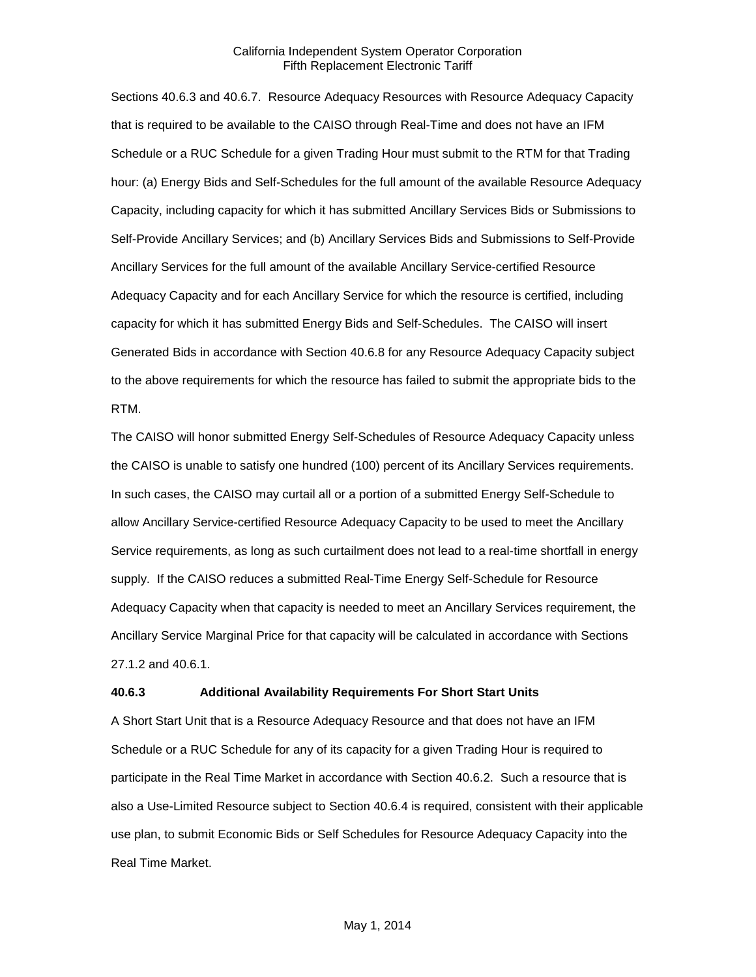Sections 40.6.3 and 40.6.7. Resource Adequacy Resources with Resource Adequacy Capacity that is required to be available to the CAISO through Real-Time and does not have an IFM Schedule or a RUC Schedule for a given Trading Hour must submit to the RTM for that Trading hour: (a) Energy Bids and Self-Schedules for the full amount of the available Resource Adequacy Capacity, including capacity for which it has submitted Ancillary Services Bids or Submissions to Self-Provide Ancillary Services; and (b) Ancillary Services Bids and Submissions to Self-Provide Ancillary Services for the full amount of the available Ancillary Service-certified Resource Adequacy Capacity and for each Ancillary Service for which the resource is certified, including capacity for which it has submitted Energy Bids and Self-Schedules. The CAISO will insert Generated Bids in accordance with Section 40.6.8 for any Resource Adequacy Capacity subject to the above requirements for which the resource has failed to submit the appropriate bids to the RTM.

The CAISO will honor submitted Energy Self-Schedules of Resource Adequacy Capacity unless the CAISO is unable to satisfy one hundred (100) percent of its Ancillary Services requirements. In such cases, the CAISO may curtail all or a portion of a submitted Energy Self-Schedule to allow Ancillary Service-certified Resource Adequacy Capacity to be used to meet the Ancillary Service requirements, as long as such curtailment does not lead to a real-time shortfall in energy supply. If the CAISO reduces a submitted Real-Time Energy Self-Schedule for Resource Adequacy Capacity when that capacity is needed to meet an Ancillary Services requirement, the Ancillary Service Marginal Price for that capacity will be calculated in accordance with Sections 27.1.2 and 40.6.1.

#### **40.6.3 Additional Availability Requirements For Short Start Units**

A Short Start Unit that is a Resource Adequacy Resource and that does not have an IFM Schedule or a RUC Schedule for any of its capacity for a given Trading Hour is required to participate in the Real Time Market in accordance with Section 40.6.2. Such a resource that is also a Use-Limited Resource subject to Section 40.6.4 is required, consistent with their applicable use plan, to submit Economic Bids or Self Schedules for Resource Adequacy Capacity into the Real Time Market.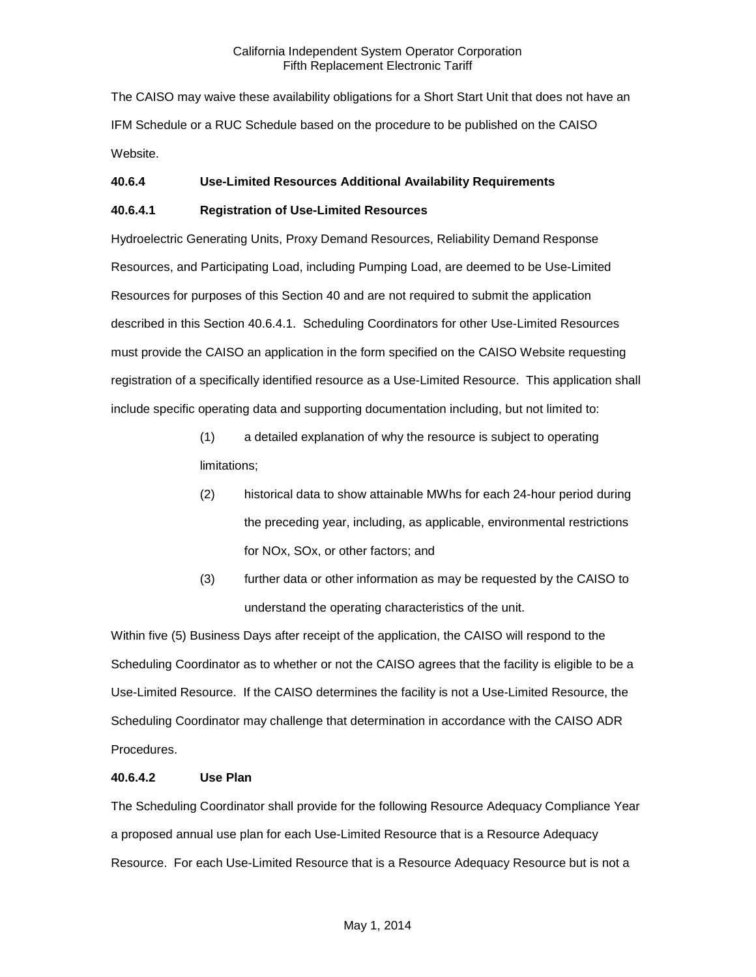The CAISO may waive these availability obligations for a Short Start Unit that does not have an IFM Schedule or a RUC Schedule based on the procedure to be published on the CAISO Website.

# **40.6.4 Use-Limited Resources Additional Availability Requirements**

# **40.6.4.1 Registration of Use-Limited Resources**

Hydroelectric Generating Units, Proxy Demand Resources, Reliability Demand Response Resources, and Participating Load, including Pumping Load, are deemed to be Use-Limited Resources for purposes of this Section 40 and are not required to submit the application described in this Section 40.6.4.1. Scheduling Coordinators for other Use-Limited Resources must provide the CAISO an application in the form specified on the CAISO Website requesting registration of a specifically identified resource as a Use-Limited Resource. This application shall include specific operating data and supporting documentation including, but not limited to:

- (1) a detailed explanation of why the resource is subject to operating limitations;
- (2) historical data to show attainable MWhs for each 24-hour period during the preceding year, including, as applicable, environmental restrictions for NOx, SOx, or other factors; and
- (3) further data or other information as may be requested by the CAISO to understand the operating characteristics of the unit.

Within five (5) Business Days after receipt of the application, the CAISO will respond to the Scheduling Coordinator as to whether or not the CAISO agrees that the facility is eligible to be a Use-Limited Resource. If the CAISO determines the facility is not a Use-Limited Resource, the Scheduling Coordinator may challenge that determination in accordance with the CAISO ADR Procedures.

## **40.6.4.2 Use Plan**

The Scheduling Coordinator shall provide for the following Resource Adequacy Compliance Year a proposed annual use plan for each Use-Limited Resource that is a Resource Adequacy Resource. For each Use-Limited Resource that is a Resource Adequacy Resource but is not a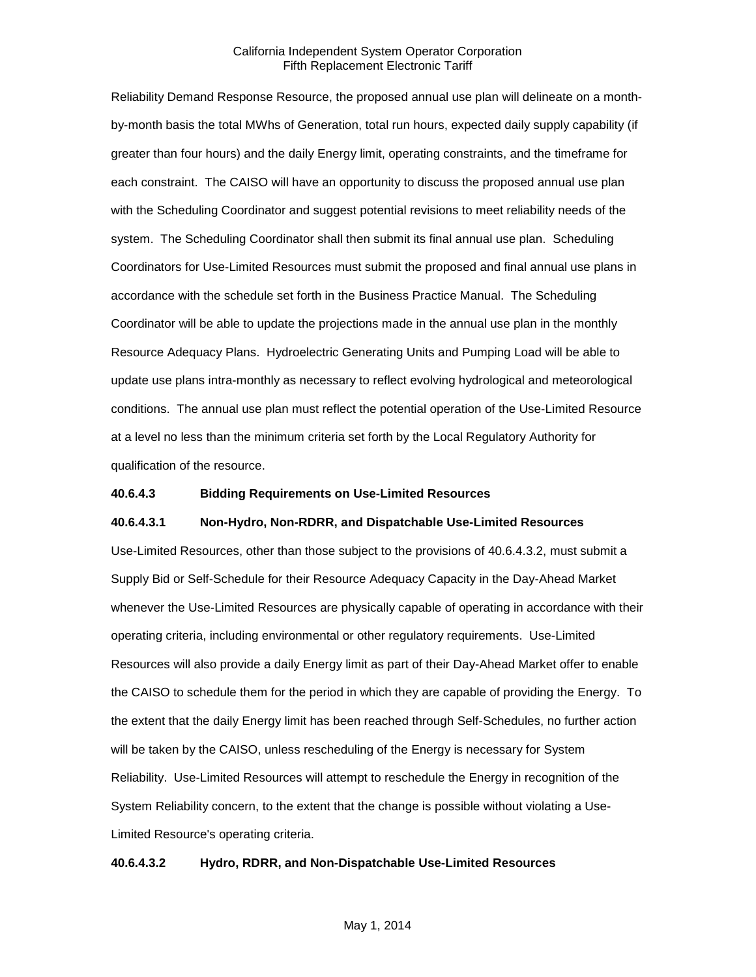Reliability Demand Response Resource, the proposed annual use plan will delineate on a monthby-month basis the total MWhs of Generation, total run hours, expected daily supply capability (if greater than four hours) and the daily Energy limit, operating constraints, and the timeframe for each constraint. The CAISO will have an opportunity to discuss the proposed annual use plan with the Scheduling Coordinator and suggest potential revisions to meet reliability needs of the system. The Scheduling Coordinator shall then submit its final annual use plan. Scheduling Coordinators for Use-Limited Resources must submit the proposed and final annual use plans in accordance with the schedule set forth in the Business Practice Manual. The Scheduling Coordinator will be able to update the projections made in the annual use plan in the monthly Resource Adequacy Plans. Hydroelectric Generating Units and Pumping Load will be able to update use plans intra-monthly as necessary to reflect evolving hydrological and meteorological conditions. The annual use plan must reflect the potential operation of the Use-Limited Resource at a level no less than the minimum criteria set forth by the Local Regulatory Authority for qualification of the resource.

#### **40.6.4.3 Bidding Requirements on Use-Limited Resources**

#### **40.6.4.3.1 Non-Hydro, Non-RDRR, and Dispatchable Use-Limited Resources**

Use-Limited Resources, other than those subject to the provisions of 40.6.4.3.2, must submit a Supply Bid or Self-Schedule for their Resource Adequacy Capacity in the Day-Ahead Market whenever the Use-Limited Resources are physically capable of operating in accordance with their operating criteria, including environmental or other regulatory requirements. Use-Limited Resources will also provide a daily Energy limit as part of their Day-Ahead Market offer to enable the CAISO to schedule them for the period in which they are capable of providing the Energy. To the extent that the daily Energy limit has been reached through Self-Schedules, no further action will be taken by the CAISO, unless rescheduling of the Energy is necessary for System Reliability. Use-Limited Resources will attempt to reschedule the Energy in recognition of the System Reliability concern, to the extent that the change is possible without violating a Use-Limited Resource's operating criteria.

#### **40.6.4.3.2 Hydro, RDRR, and Non-Dispatchable Use-Limited Resources**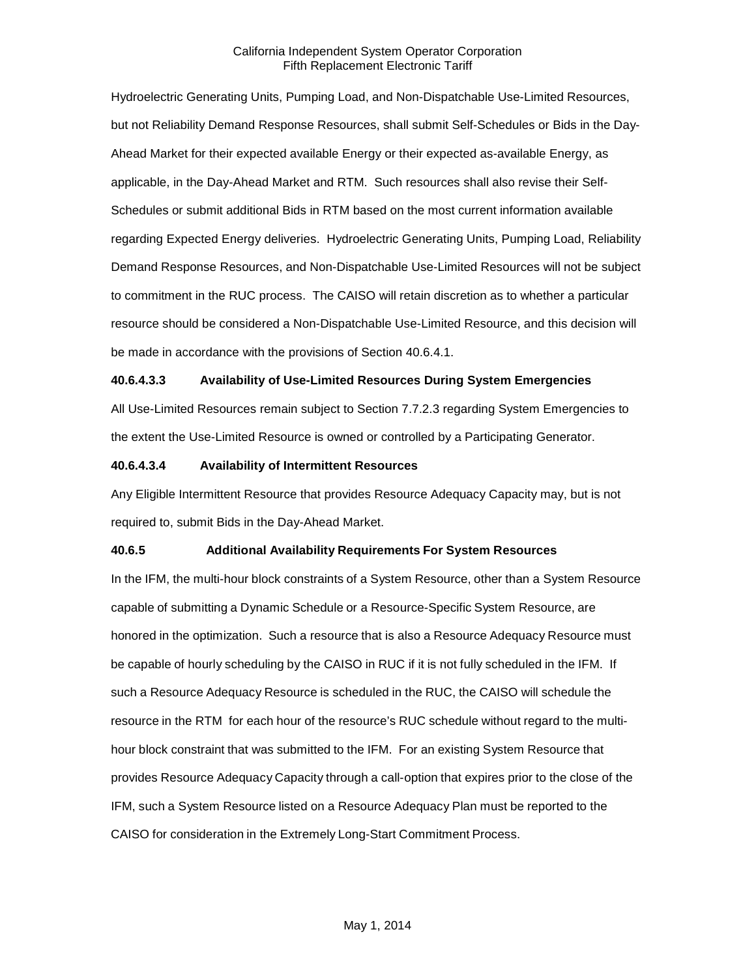Hydroelectric Generating Units, Pumping Load, and Non-Dispatchable Use-Limited Resources, but not Reliability Demand Response Resources, shall submit Self-Schedules or Bids in the Day-Ahead Market for their expected available Energy or their expected as-available Energy, as applicable, in the Day-Ahead Market and RTM. Such resources shall also revise their Self-Schedules or submit additional Bids in RTM based on the most current information available regarding Expected Energy deliveries. Hydroelectric Generating Units, Pumping Load, Reliability Demand Response Resources, and Non-Dispatchable Use-Limited Resources will not be subject to commitment in the RUC process. The CAISO will retain discretion as to whether a particular resource should be considered a Non-Dispatchable Use-Limited Resource, and this decision will be made in accordance with the provisions of Section 40.6.4.1.

#### **40.6.4.3.3 Availability of Use-Limited Resources During System Emergencies**

All Use-Limited Resources remain subject to Section 7.7.2.3 regarding System Emergencies to the extent the Use-Limited Resource is owned or controlled by a Participating Generator.

#### **40.6.4.3.4 Availability of Intermittent Resources**

Any Eligible Intermittent Resource that provides Resource Adequacy Capacity may, but is not required to, submit Bids in the Day-Ahead Market.

#### **40.6.5 Additional Availability Requirements For System Resources**

In the IFM, the multi-hour block constraints of a System Resource, other than a System Resource capable of submitting a Dynamic Schedule or a Resource-Specific System Resource, are honored in the optimization. Such a resource that is also a Resource Adequacy Resource must be capable of hourly scheduling by the CAISO in RUC if it is not fully scheduled in the IFM. If such a Resource Adequacy Resource is scheduled in the RUC, the CAISO will schedule the resource in the RTM for each hour of the resource's RUC schedule without regard to the multihour block constraint that was submitted to the IFM. For an existing System Resource that provides Resource Adequacy Capacity through a call-option that expires prior to the close of the IFM, such a System Resource listed on a Resource Adequacy Plan must be reported to the CAISO for consideration in the Extremely Long-Start Commitment Process.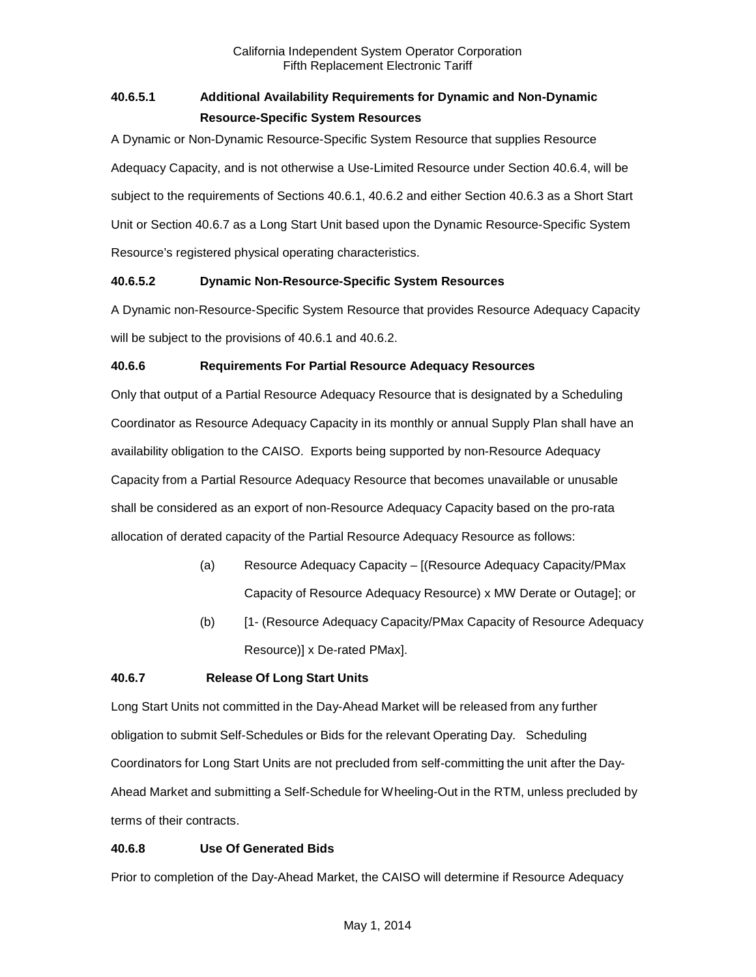# **40.6.5.1 Additional Availability Requirements for Dynamic and Non-Dynamic Resource-Specific System Resources**

A Dynamic or Non-Dynamic Resource-Specific System Resource that supplies Resource Adequacy Capacity, and is not otherwise a Use-Limited Resource under Section 40.6.4, will be subject to the requirements of Sections 40.6.1, 40.6.2 and either Section 40.6.3 as a Short Start Unit or Section 40.6.7 as a Long Start Unit based upon the Dynamic Resource-Specific System Resource's registered physical operating characteristics.

# **40.6.5.2 Dynamic Non-Resource-Specific System Resources**

A Dynamic non-Resource-Specific System Resource that provides Resource Adequacy Capacity will be subject to the provisions of 40.6.1 and 40.6.2.

# **40.6.6 Requirements For Partial Resource Adequacy Resources**

Only that output of a Partial Resource Adequacy Resource that is designated by a Scheduling Coordinator as Resource Adequacy Capacity in its monthly or annual Supply Plan shall have an availability obligation to the CAISO. Exports being supported by non-Resource Adequacy Capacity from a Partial Resource Adequacy Resource that becomes unavailable or unusable shall be considered as an export of non-Resource Adequacy Capacity based on the pro-rata allocation of derated capacity of the Partial Resource Adequacy Resource as follows:

- (a) Resource Adequacy Capacity [(Resource Adequacy Capacity/PMax Capacity of Resource Adequacy Resource) x MW Derate or Outage]; or
- (b) [1- (Resource Adequacy Capacity/PMax Capacity of Resource Adequacy Resource)] x De-rated PMax].

# **40.6.7 Release Of Long Start Units**

Long Start Units not committed in the Day-Ahead Market will be released from any further obligation to submit Self-Schedules or Bids for the relevant Operating Day. Scheduling Coordinators for Long Start Units are not precluded from self-committing the unit after the Day-Ahead Market and submitting a Self-Schedule for Wheeling-Out in the RTM, unless precluded by terms of their contracts.

# **40.6.8 Use Of Generated Bids**

Prior to completion of the Day-Ahead Market, the CAISO will determine if Resource Adequacy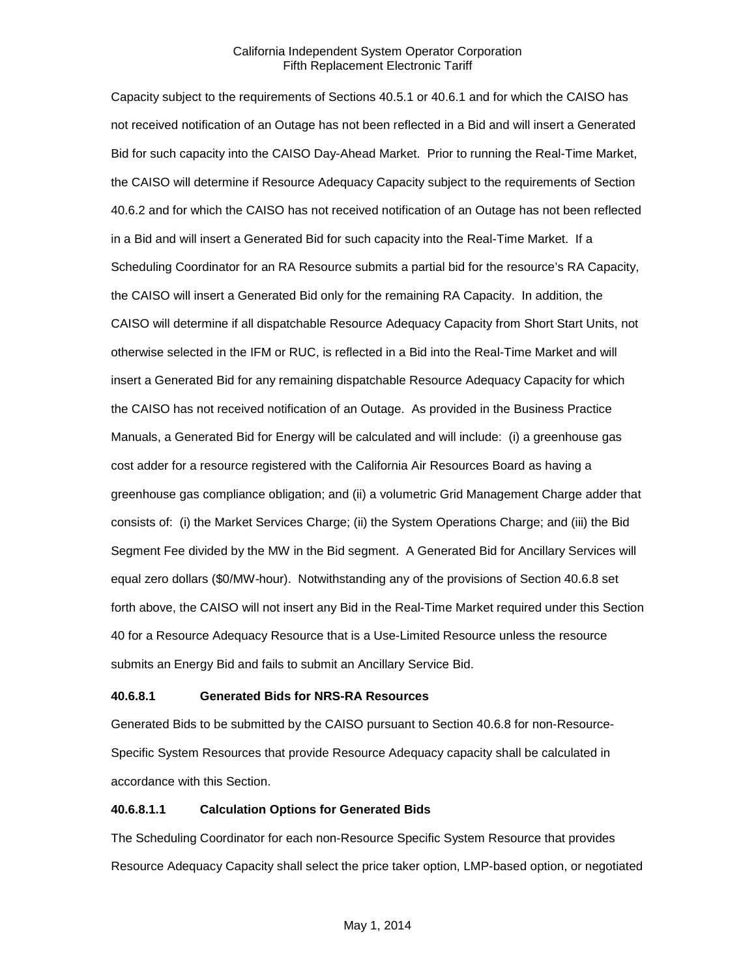Capacity subject to the requirements of Sections 40.5.1 or 40.6.1 and for which the CAISO has not received notification of an Outage has not been reflected in a Bid and will insert a Generated Bid for such capacity into the CAISO Day-Ahead Market. Prior to running the Real-Time Market, the CAISO will determine if Resource Adequacy Capacity subject to the requirements of Section 40.6.2 and for which the CAISO has not received notification of an Outage has not been reflected in a Bid and will insert a Generated Bid for such capacity into the Real-Time Market. If a Scheduling Coordinator for an RA Resource submits a partial bid for the resource's RA Capacity, the CAISO will insert a Generated Bid only for the remaining RA Capacity. In addition, the CAISO will determine if all dispatchable Resource Adequacy Capacity from Short Start Units, not otherwise selected in the IFM or RUC, is reflected in a Bid into the Real-Time Market and will insert a Generated Bid for any remaining dispatchable Resource Adequacy Capacity for which the CAISO has not received notification of an Outage. As provided in the Business Practice Manuals, a Generated Bid for Energy will be calculated and will include: (i) a greenhouse gas cost adder for a resource registered with the California Air Resources Board as having a greenhouse gas compliance obligation; and (ii) a volumetric Grid Management Charge adder that consists of: (i) the Market Services Charge; (ii) the System Operations Charge; and (iii) the Bid Segment Fee divided by the MW in the Bid segment. A Generated Bid for Ancillary Services will equal zero dollars (\$0/MW-hour). Notwithstanding any of the provisions of Section 40.6.8 set forth above, the CAISO will not insert any Bid in the Real-Time Market required under this Section 40 for a Resource Adequacy Resource that is a Use-Limited Resource unless the resource submits an Energy Bid and fails to submit an Ancillary Service Bid.

# **40.6.8.1 Generated Bids for NRS-RA Resources**

Generated Bids to be submitted by the CAISO pursuant to Section 40.6.8 for non-Resource-Specific System Resources that provide Resource Adequacy capacity shall be calculated in accordance with this Section.

## **40.6.8.1.1 Calculation Options for Generated Bids**

The Scheduling Coordinator for each non-Resource Specific System Resource that provides Resource Adequacy Capacity shall select the price taker option, LMP-based option, or negotiated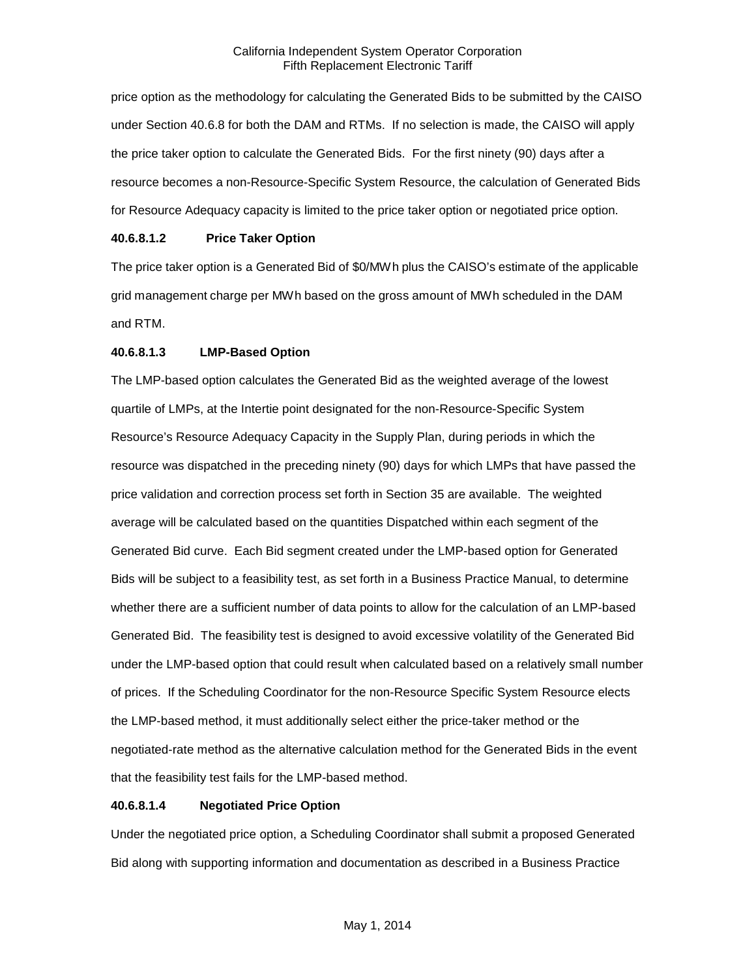price option as the methodology for calculating the Generated Bids to be submitted by the CAISO under Section 40.6.8 for both the DAM and RTMs. If no selection is made, the CAISO will apply the price taker option to calculate the Generated Bids. For the first ninety (90) days after a resource becomes a non-Resource-Specific System Resource, the calculation of Generated Bids for Resource Adequacy capacity is limited to the price taker option or negotiated price option.

# **40.6.8.1.2 Price Taker Option**

The price taker option is a Generated Bid of \$0/MWh plus the CAISO's estimate of the applicable grid management charge per MWh based on the gross amount of MWh scheduled in the DAM and RTM.

# **40.6.8.1.3 LMP-Based Option**

The LMP-based option calculates the Generated Bid as the weighted average of the lowest quartile of LMPs, at the Intertie point designated for the non-Resource-Specific System Resource's Resource Adequacy Capacity in the Supply Plan, during periods in which the resource was dispatched in the preceding ninety (90) days for which LMPs that have passed the price validation and correction process set forth in Section 35 are available. The weighted average will be calculated based on the quantities Dispatched within each segment of the Generated Bid curve. Each Bid segment created under the LMP-based option for Generated Bids will be subject to a feasibility test, as set forth in a Business Practice Manual, to determine whether there are a sufficient number of data points to allow for the calculation of an LMP-based Generated Bid. The feasibility test is designed to avoid excessive volatility of the Generated Bid under the LMP-based option that could result when calculated based on a relatively small number of prices. If the Scheduling Coordinator for the non-Resource Specific System Resource elects the LMP-based method, it must additionally select either the price-taker method or the negotiated-rate method as the alternative calculation method for the Generated Bids in the event that the feasibility test fails for the LMP-based method.

## **40.6.8.1.4 Negotiated Price Option**

Under the negotiated price option, a Scheduling Coordinator shall submit a proposed Generated Bid along with supporting information and documentation as described in a Business Practice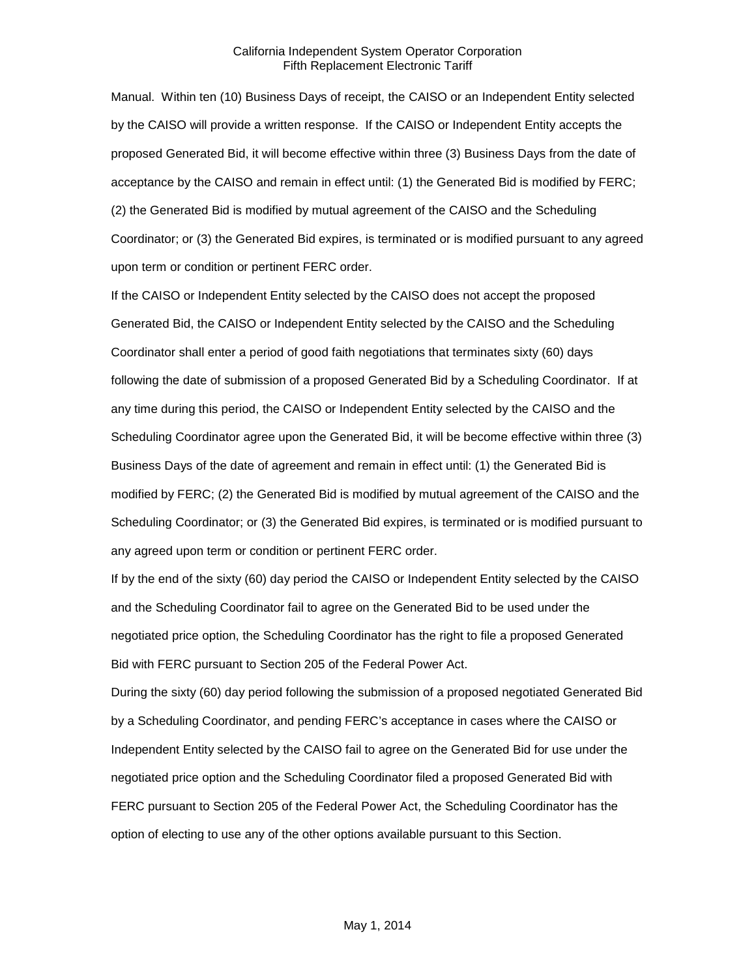Manual. Within ten (10) Business Days of receipt, the CAISO or an Independent Entity selected by the CAISO will provide a written response. If the CAISO or Independent Entity accepts the proposed Generated Bid, it will become effective within three (3) Business Days from the date of acceptance by the CAISO and remain in effect until: (1) the Generated Bid is modified by FERC; (2) the Generated Bid is modified by mutual agreement of the CAISO and the Scheduling Coordinator; or (3) the Generated Bid expires, is terminated or is modified pursuant to any agreed upon term or condition or pertinent FERC order.

If the CAISO or Independent Entity selected by the CAISO does not accept the proposed Generated Bid, the CAISO or Independent Entity selected by the CAISO and the Scheduling Coordinator shall enter a period of good faith negotiations that terminates sixty (60) days following the date of submission of a proposed Generated Bid by a Scheduling Coordinator. If at any time during this period, the CAISO or Independent Entity selected by the CAISO and the Scheduling Coordinator agree upon the Generated Bid, it will be become effective within three (3) Business Days of the date of agreement and remain in effect until: (1) the Generated Bid is modified by FERC; (2) the Generated Bid is modified by mutual agreement of the CAISO and the Scheduling Coordinator; or (3) the Generated Bid expires, is terminated or is modified pursuant to any agreed upon term or condition or pertinent FERC order.

If by the end of the sixty (60) day period the CAISO or Independent Entity selected by the CAISO and the Scheduling Coordinator fail to agree on the Generated Bid to be used under the negotiated price option, the Scheduling Coordinator has the right to file a proposed Generated Bid with FERC pursuant to Section 205 of the Federal Power Act.

During the sixty (60) day period following the submission of a proposed negotiated Generated Bid by a Scheduling Coordinator, and pending FERC's acceptance in cases where the CAISO or Independent Entity selected by the CAISO fail to agree on the Generated Bid for use under the negotiated price option and the Scheduling Coordinator filed a proposed Generated Bid with FERC pursuant to Section 205 of the Federal Power Act, the Scheduling Coordinator has the option of electing to use any of the other options available pursuant to this Section.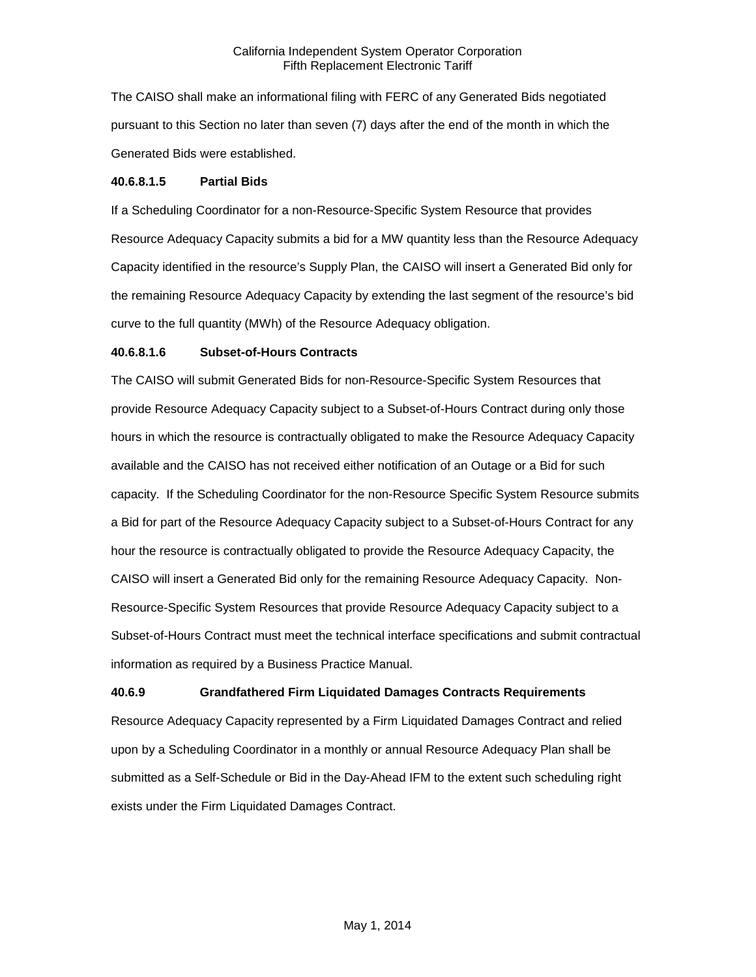The CAISO shall make an informational filing with FERC of any Generated Bids negotiated pursuant to this Section no later than seven (7) days after the end of the month in which the Generated Bids were established.

## **40.6.8.1.5 Partial Bids**

If a Scheduling Coordinator for a non-Resource-Specific System Resource that provides Resource Adequacy Capacity submits a bid for a MW quantity less than the Resource Adequacy Capacity identified in the resource's Supply Plan, the CAISO will insert a Generated Bid only for the remaining Resource Adequacy Capacity by extending the last segment of the resource's bid curve to the full quantity (MWh) of the Resource Adequacy obligation.

#### **40.6.8.1.6 Subset-of-Hours Contracts**

The CAISO will submit Generated Bids for non-Resource-Specific System Resources that provide Resource Adequacy Capacity subject to a Subset-of-Hours Contract during only those hours in which the resource is contractually obligated to make the Resource Adequacy Capacity available and the CAISO has not received either notification of an Outage or a Bid for such capacity. If the Scheduling Coordinator for the non-Resource Specific System Resource submits a Bid for part of the Resource Adequacy Capacity subject to a Subset-of-Hours Contract for any hour the resource is contractually obligated to provide the Resource Adequacy Capacity, the CAISO will insert a Generated Bid only for the remaining Resource Adequacy Capacity. Non-Resource-Specific System Resources that provide Resource Adequacy Capacity subject to a Subset-of-Hours Contract must meet the technical interface specifications and submit contractual information as required by a Business Practice Manual.

# **40.6.9 Grandfathered Firm Liquidated Damages Contracts Requirements**

Resource Adequacy Capacity represented by a Firm Liquidated Damages Contract and relied upon by a Scheduling Coordinator in a monthly or annual Resource Adequacy Plan shall be submitted as a Self-Schedule or Bid in the Day-Ahead IFM to the extent such scheduling right exists under the Firm Liquidated Damages Contract.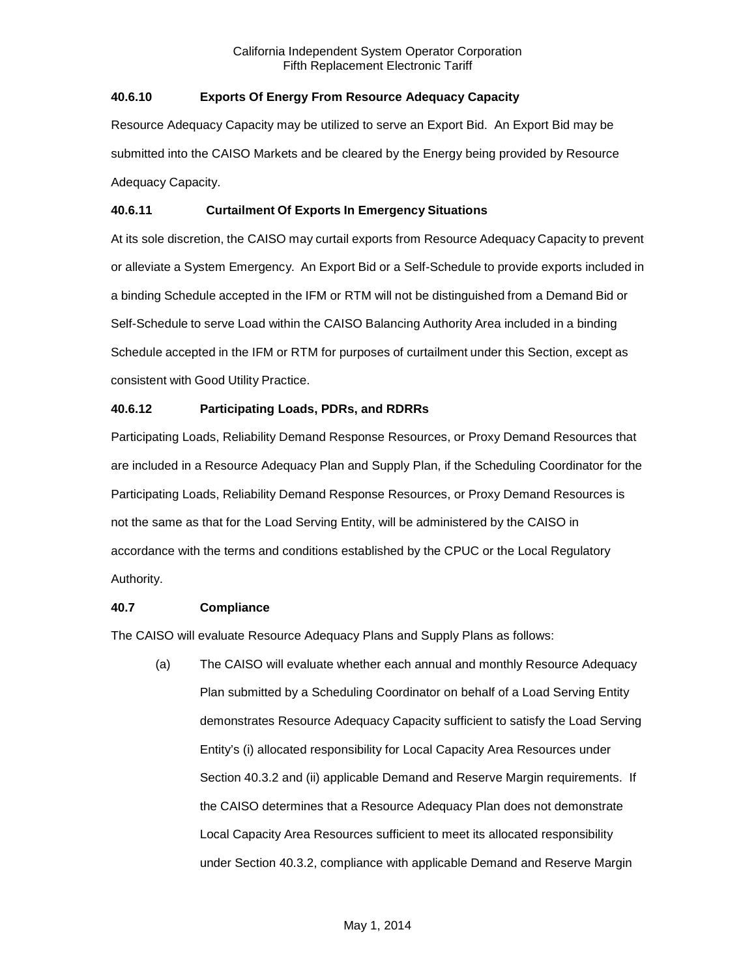# **40.6.10 Exports Of Energy From Resource Adequacy Capacity**

Resource Adequacy Capacity may be utilized to serve an Export Bid. An Export Bid may be submitted into the CAISO Markets and be cleared by the Energy being provided by Resource Adequacy Capacity.

# **40.6.11 Curtailment Of Exports In Emergency Situations**

At its sole discretion, the CAISO may curtail exports from Resource Adequacy Capacity to prevent or alleviate a System Emergency. An Export Bid or a Self-Schedule to provide exports included in a binding Schedule accepted in the IFM or RTM will not be distinguished from a Demand Bid or Self-Schedule to serve Load within the CAISO Balancing Authority Area included in a binding Schedule accepted in the IFM or RTM for purposes of curtailment under this Section, except as consistent with Good Utility Practice.

# **40.6.12 Participating Loads, PDRs, and RDRRs**

Participating Loads, Reliability Demand Response Resources, or Proxy Demand Resources that are included in a Resource Adequacy Plan and Supply Plan, if the Scheduling Coordinator for the Participating Loads, Reliability Demand Response Resources, or Proxy Demand Resources is not the same as that for the Load Serving Entity, will be administered by the CAISO in accordance with the terms and conditions established by the CPUC or the Local Regulatory Authority.

# **40.7 Compliance**

The CAISO will evaluate Resource Adequacy Plans and Supply Plans as follows:

(a) The CAISO will evaluate whether each annual and monthly Resource Adequacy Plan submitted by a Scheduling Coordinator on behalf of a Load Serving Entity demonstrates Resource Adequacy Capacity sufficient to satisfy the Load Serving Entity's (i) allocated responsibility for Local Capacity Area Resources under Section 40.3.2 and (ii) applicable Demand and Reserve Margin requirements. If the CAISO determines that a Resource Adequacy Plan does not demonstrate Local Capacity Area Resources sufficient to meet its allocated responsibility under Section 40.3.2, compliance with applicable Demand and Reserve Margin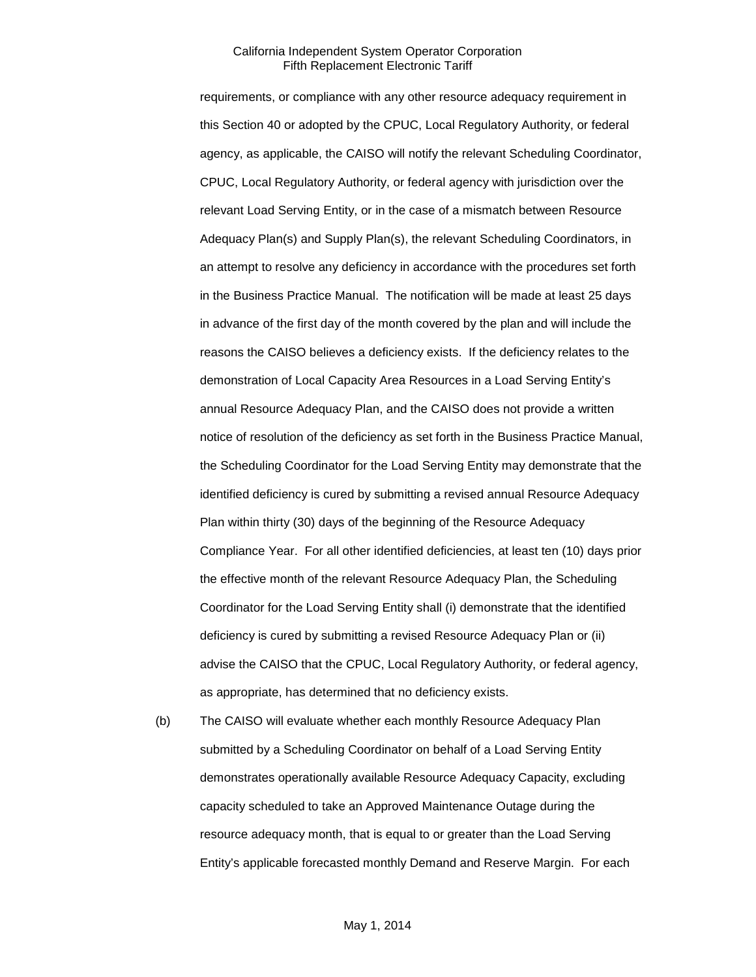requirements, or compliance with any other resource adequacy requirement in this Section 40 or adopted by the CPUC, Local Regulatory Authority, or federal agency, as applicable, the CAISO will notify the relevant Scheduling Coordinator, CPUC, Local Regulatory Authority, or federal agency with jurisdiction over the relevant Load Serving Entity, or in the case of a mismatch between Resource Adequacy Plan(s) and Supply Plan(s), the relevant Scheduling Coordinators, in an attempt to resolve any deficiency in accordance with the procedures set forth in the Business Practice Manual. The notification will be made at least 25 days in advance of the first day of the month covered by the plan and will include the reasons the CAISO believes a deficiency exists. If the deficiency relates to the demonstration of Local Capacity Area Resources in a Load Serving Entity's annual Resource Adequacy Plan, and the CAISO does not provide a written notice of resolution of the deficiency as set forth in the Business Practice Manual, the Scheduling Coordinator for the Load Serving Entity may demonstrate that the identified deficiency is cured by submitting a revised annual Resource Adequacy Plan within thirty (30) days of the beginning of the Resource Adequacy Compliance Year. For all other identified deficiencies, at least ten (10) days prior the effective month of the relevant Resource Adequacy Plan, the Scheduling Coordinator for the Load Serving Entity shall (i) demonstrate that the identified deficiency is cured by submitting a revised Resource Adequacy Plan or (ii) advise the CAISO that the CPUC, Local Regulatory Authority, or federal agency, as appropriate, has determined that no deficiency exists.

(b) The CAISO will evaluate whether each monthly Resource Adequacy Plan submitted by a Scheduling Coordinator on behalf of a Load Serving Entity demonstrates operationally available Resource Adequacy Capacity, excluding capacity scheduled to take an Approved Maintenance Outage during the resource adequacy month, that is equal to or greater than the Load Serving Entity's applicable forecasted monthly Demand and Reserve Margin. For each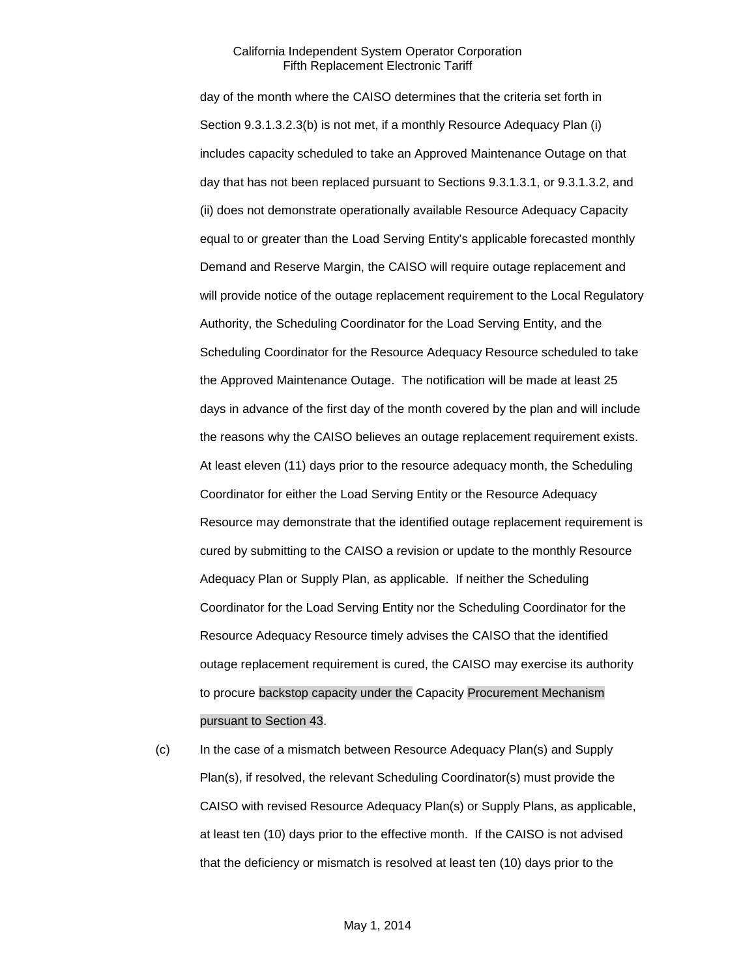day of the month where the CAISO determines that the criteria set forth in Section 9.3.1.3.2.3(b) is not met, if a monthly Resource Adequacy Plan (i) includes capacity scheduled to take an Approved Maintenance Outage on that day that has not been replaced pursuant to Sections 9.3.1.3.1, or 9.3.1.3.2, and (ii) does not demonstrate operationally available Resource Adequacy Capacity equal to or greater than the Load Serving Entity's applicable forecasted monthly Demand and Reserve Margin, the CAISO will require outage replacement and will provide notice of the outage replacement requirement to the Local Regulatory Authority, the Scheduling Coordinator for the Load Serving Entity, and the Scheduling Coordinator for the Resource Adequacy Resource scheduled to take the Approved Maintenance Outage. The notification will be made at least 25 days in advance of the first day of the month covered by the plan and will include the reasons why the CAISO believes an outage replacement requirement exists. At least eleven (11) days prior to the resource adequacy month, the Scheduling Coordinator for either the Load Serving Entity or the Resource Adequacy Resource may demonstrate that the identified outage replacement requirement is cured by submitting to the CAISO a revision or update to the monthly Resource Adequacy Plan or Supply Plan, as applicable. If neither the Scheduling Coordinator for the Load Serving Entity nor the Scheduling Coordinator for the Resource Adequacy Resource timely advises the CAISO that the identified outage replacement requirement is cured, the CAISO may exercise its authority to procure backstop capacity under the Capacity Procurement Mechanism pursuant to Section 43.

(c) In the case of a mismatch between Resource Adequacy Plan(s) and Supply Plan(s), if resolved, the relevant Scheduling Coordinator(s) must provide the CAISO with revised Resource Adequacy Plan(s) or Supply Plans, as applicable, at least ten (10) days prior to the effective month. If the CAISO is not advised that the deficiency or mismatch is resolved at least ten (10) days prior to the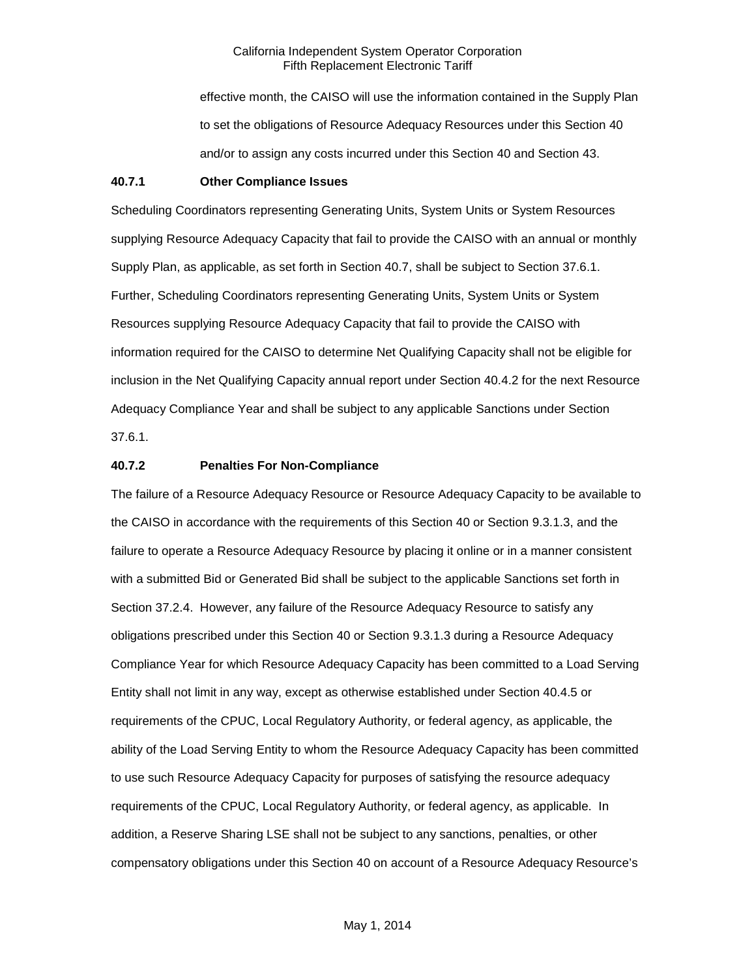effective month, the CAISO will use the information contained in the Supply Plan to set the obligations of Resource Adequacy Resources under this Section 40 and/or to assign any costs incurred under this Section 40 and Section 43.

#### **40.7.1 Other Compliance Issues**

Scheduling Coordinators representing Generating Units, System Units or System Resources supplying Resource Adequacy Capacity that fail to provide the CAISO with an annual or monthly Supply Plan, as applicable, as set forth in Section 40.7, shall be subject to Section 37.6.1. Further, Scheduling Coordinators representing Generating Units, System Units or System Resources supplying Resource Adequacy Capacity that fail to provide the CAISO with information required for the CAISO to determine Net Qualifying Capacity shall not be eligible for inclusion in the Net Qualifying Capacity annual report under Section 40.4.2 for the next Resource Adequacy Compliance Year and shall be subject to any applicable Sanctions under Section 37.6.1.

# **40.7.2 Penalties For Non-Compliance**

The failure of a Resource Adequacy Resource or Resource Adequacy Capacity to be available to the CAISO in accordance with the requirements of this Section 40 or Section 9.3.1.3, and the failure to operate a Resource Adequacy Resource by placing it online or in a manner consistent with a submitted Bid or Generated Bid shall be subject to the applicable Sanctions set forth in Section 37.2.4. However, any failure of the Resource Adequacy Resource to satisfy any obligations prescribed under this Section 40 or Section 9.3.1.3 during a Resource Adequacy Compliance Year for which Resource Adequacy Capacity has been committed to a Load Serving Entity shall not limit in any way, except as otherwise established under Section 40.4.5 or requirements of the CPUC, Local Regulatory Authority, or federal agency, as applicable, the ability of the Load Serving Entity to whom the Resource Adequacy Capacity has been committed to use such Resource Adequacy Capacity for purposes of satisfying the resource adequacy requirements of the CPUC, Local Regulatory Authority, or federal agency, as applicable. In addition, a Reserve Sharing LSE shall not be subject to any sanctions, penalties, or other compensatory obligations under this Section 40 on account of a Resource Adequacy Resource's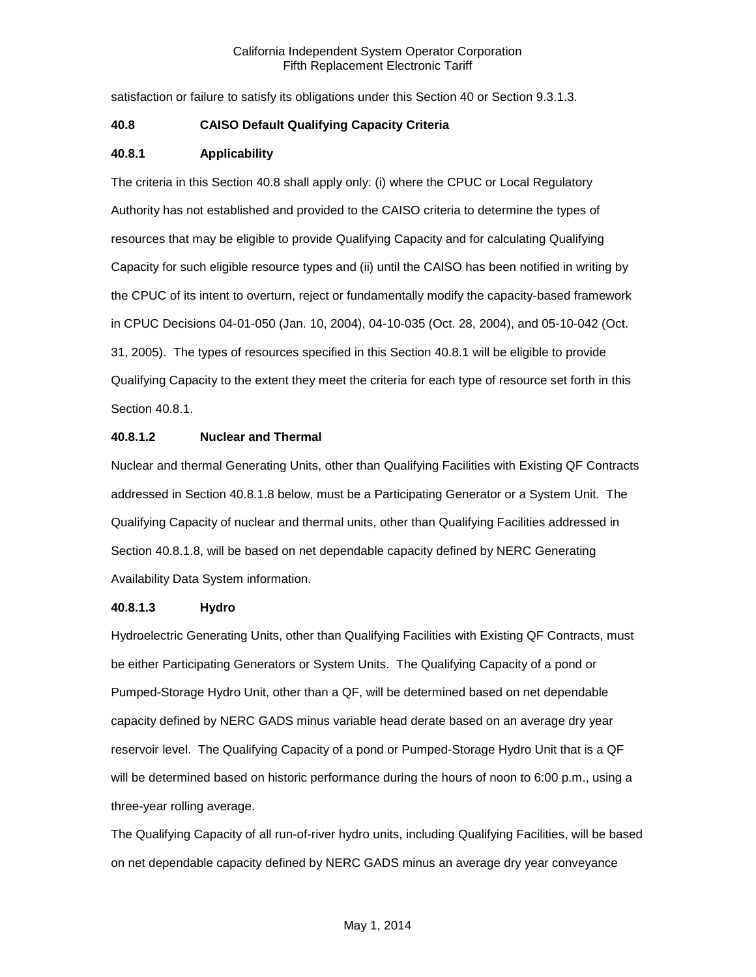satisfaction or failure to satisfy its obligations under this Section 40 or Section 9.3.1.3.

## **40.8 CAISO Default Qualifying Capacity Criteria**

#### **40.8.1 Applicability**

The criteria in this Section 40.8 shall apply only: (i) where the CPUC or Local Regulatory Authority has not established and provided to the CAISO criteria to determine the types of resources that may be eligible to provide Qualifying Capacity and for calculating Qualifying Capacity for such eligible resource types and (ii) until the CAISO has been notified in writing by the CPUC of its intent to overturn, reject or fundamentally modify the capacity-based framework in CPUC Decisions 04-01-050 (Jan. 10, 2004), 04-10-035 (Oct. 28, 2004), and 05-10-042 (Oct. 31, 2005). The types of resources specified in this Section 40.8.1 will be eligible to provide Qualifying Capacity to the extent they meet the criteria for each type of resource set forth in this Section 40.8.1.

#### **40.8.1.2 Nuclear and Thermal**

Nuclear and thermal Generating Units, other than Qualifying Facilities with Existing QF Contracts addressed in Section 40.8.1.8 below, must be a Participating Generator or a System Unit. The Qualifying Capacity of nuclear and thermal units, other than Qualifying Facilities addressed in Section 40.8.1.8, will be based on net dependable capacity defined by NERC Generating Availability Data System information.

### **40.8.1.3 Hydro**

Hydroelectric Generating Units, other than Qualifying Facilities with Existing QF Contracts, must be either Participating Generators or System Units. The Qualifying Capacity of a pond or Pumped-Storage Hydro Unit, other than a QF, will be determined based on net dependable capacity defined by NERC GADS minus variable head derate based on an average dry year reservoir level. The Qualifying Capacity of a pond or Pumped-Storage Hydro Unit that is a QF will be determined based on historic performance during the hours of noon to 6:00 p.m., using a three-year rolling average.

The Qualifying Capacity of all run-of-river hydro units, including Qualifying Facilities, will be based on net dependable capacity defined by NERC GADS minus an average dry year conveyance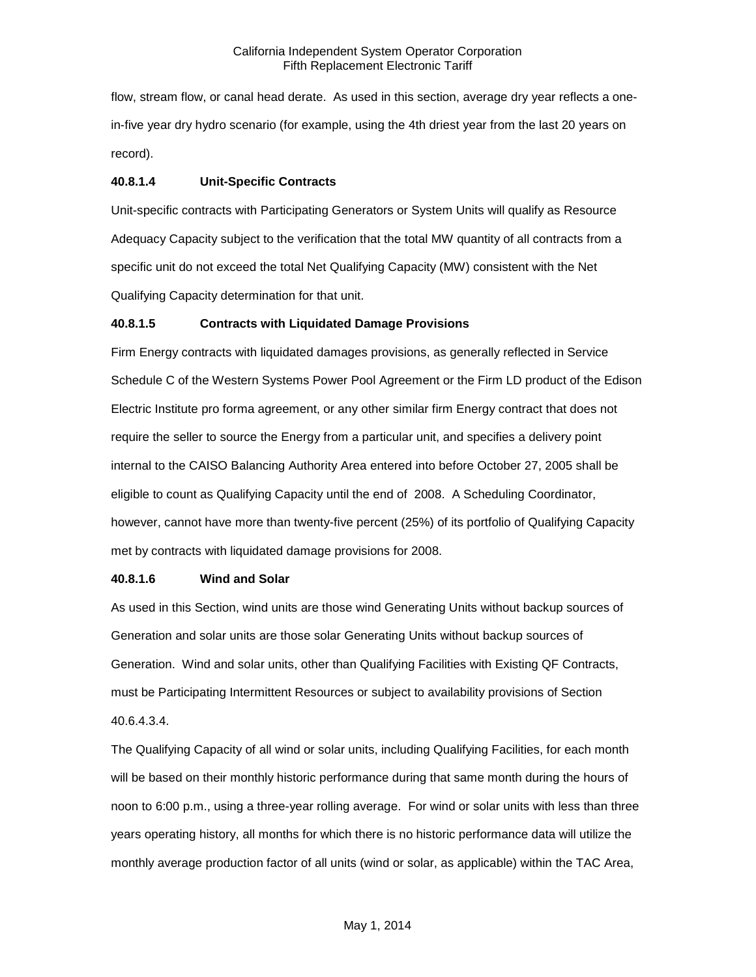flow, stream flow, or canal head derate. As used in this section, average dry year reflects a onein-five year dry hydro scenario (for example, using the 4th driest year from the last 20 years on record).

## **40.8.1.4 Unit-Specific Contracts**

Unit-specific contracts with Participating Generators or System Units will qualify as Resource Adequacy Capacity subject to the verification that the total MW quantity of all contracts from a specific unit do not exceed the total Net Qualifying Capacity (MW) consistent with the Net Qualifying Capacity determination for that unit.

## **40.8.1.5 Contracts with Liquidated Damage Provisions**

Firm Energy contracts with liquidated damages provisions, as generally reflected in Service Schedule C of the Western Systems Power Pool Agreement or the Firm LD product of the Edison Electric Institute pro forma agreement, or any other similar firm Energy contract that does not require the seller to source the Energy from a particular unit, and specifies a delivery point internal to the CAISO Balancing Authority Area entered into before October 27, 2005 shall be eligible to count as Qualifying Capacity until the end of 2008. A Scheduling Coordinator, however, cannot have more than twenty-five percent (25%) of its portfolio of Qualifying Capacity met by contracts with liquidated damage provisions for 2008.

#### **40.8.1.6 Wind and Solar**

As used in this Section, wind units are those wind Generating Units without backup sources of Generation and solar units are those solar Generating Units without backup sources of Generation. Wind and solar units, other than Qualifying Facilities with Existing QF Contracts, must be Participating Intermittent Resources or subject to availability provisions of Section 40.6.4.3.4.

The Qualifying Capacity of all wind or solar units, including Qualifying Facilities, for each month will be based on their monthly historic performance during that same month during the hours of noon to 6:00 p.m., using a three-year rolling average. For wind or solar units with less than three years operating history, all months for which there is no historic performance data will utilize the monthly average production factor of all units (wind or solar, as applicable) within the TAC Area,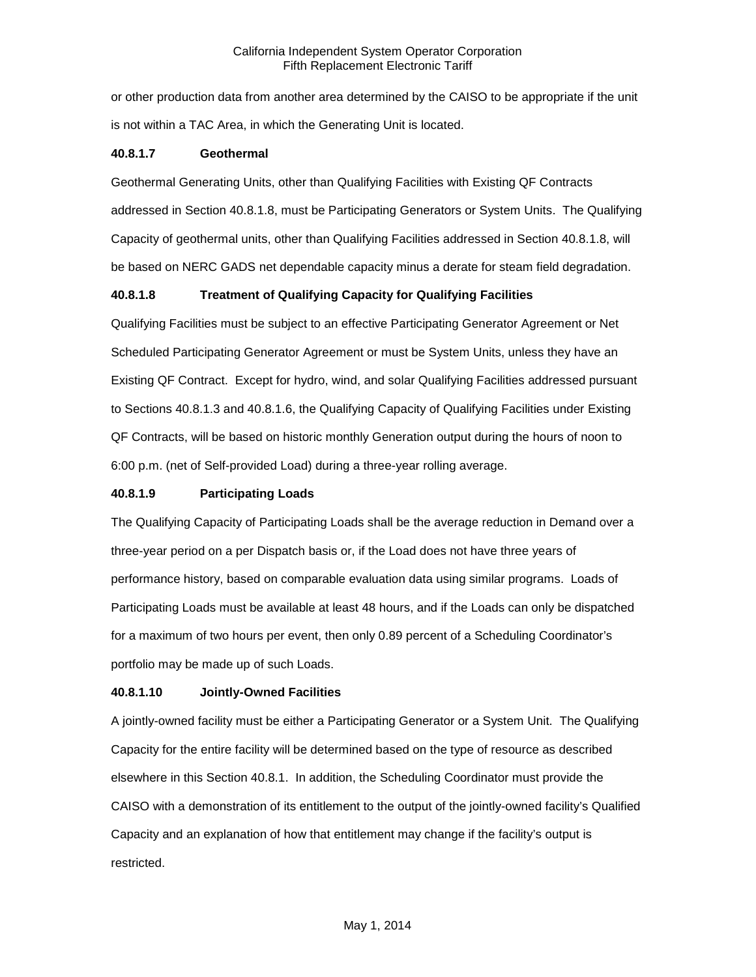or other production data from another area determined by the CAISO to be appropriate if the unit is not within a TAC Area, in which the Generating Unit is located.

# **40.8.1.7 Geothermal**

Geothermal Generating Units, other than Qualifying Facilities with Existing QF Contracts addressed in Section 40.8.1.8, must be Participating Generators or System Units. The Qualifying Capacity of geothermal units, other than Qualifying Facilities addressed in Section 40.8.1.8, will be based on NERC GADS net dependable capacity minus a derate for steam field degradation.

# **40.8.1.8 Treatment of Qualifying Capacity for Qualifying Facilities**

Qualifying Facilities must be subject to an effective Participating Generator Agreement or Net Scheduled Participating Generator Agreement or must be System Units, unless they have an Existing QF Contract. Except for hydro, wind, and solar Qualifying Facilities addressed pursuant to Sections 40.8.1.3 and 40.8.1.6, the Qualifying Capacity of Qualifying Facilities under Existing QF Contracts, will be based on historic monthly Generation output during the hours of noon to 6:00 p.m. (net of Self-provided Load) during a three-year rolling average.

# **40.8.1.9 Participating Loads**

The Qualifying Capacity of Participating Loads shall be the average reduction in Demand over a three-year period on a per Dispatch basis or, if the Load does not have three years of performance history, based on comparable evaluation data using similar programs. Loads of Participating Loads must be available at least 48 hours, and if the Loads can only be dispatched for a maximum of two hours per event, then only 0.89 percent of a Scheduling Coordinator's portfolio may be made up of such Loads.

## **40.8.1.10 Jointly-Owned Facilities**

A jointly-owned facility must be either a Participating Generator or a System Unit. The Qualifying Capacity for the entire facility will be determined based on the type of resource as described elsewhere in this Section 40.8.1. In addition, the Scheduling Coordinator must provide the CAISO with a demonstration of its entitlement to the output of the jointly-owned facility's Qualified Capacity and an explanation of how that entitlement may change if the facility's output is restricted.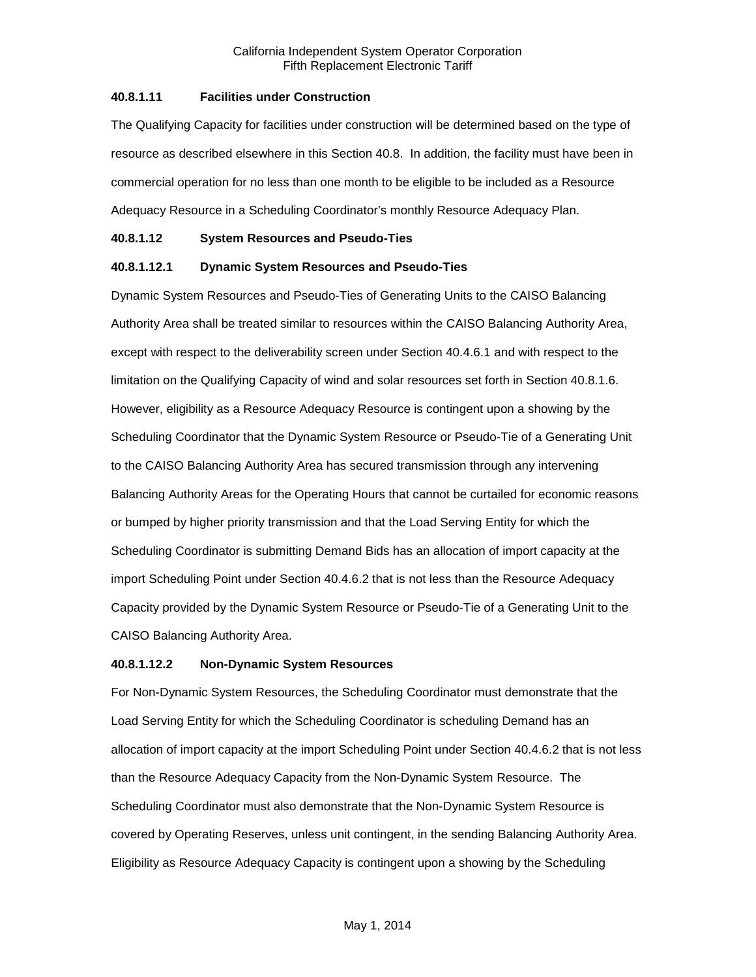# **40.8.1.11 Facilities under Construction**

The Qualifying Capacity for facilities under construction will be determined based on the type of resource as described elsewhere in this Section 40.8. In addition, the facility must have been in commercial operation for no less than one month to be eligible to be included as a Resource Adequacy Resource in a Scheduling Coordinator's monthly Resource Adequacy Plan.

## **40.8.1.12 System Resources and Pseudo-Ties**

## **40.8.1.12.1 Dynamic System Resources and Pseudo-Ties**

Dynamic System Resources and Pseudo-Ties of Generating Units to the CAISO Balancing Authority Area shall be treated similar to resources within the CAISO Balancing Authority Area, except with respect to the deliverability screen under Section 40.4.6.1 and with respect to the limitation on the Qualifying Capacity of wind and solar resources set forth in Section 40.8.1.6. However, eligibility as a Resource Adequacy Resource is contingent upon a showing by the Scheduling Coordinator that the Dynamic System Resource or Pseudo-Tie of a Generating Unit to the CAISO Balancing Authority Area has secured transmission through any intervening Balancing Authority Areas for the Operating Hours that cannot be curtailed for economic reasons or bumped by higher priority transmission and that the Load Serving Entity for which the Scheduling Coordinator is submitting Demand Bids has an allocation of import capacity at the import Scheduling Point under Section 40.4.6.2 that is not less than the Resource Adequacy Capacity provided by the Dynamic System Resource or Pseudo-Tie of a Generating Unit to the CAISO Balancing Authority Area.

# **40.8.1.12.2 Non-Dynamic System Resources**

For Non-Dynamic System Resources, the Scheduling Coordinator must demonstrate that the Load Serving Entity for which the Scheduling Coordinator is scheduling Demand has an allocation of import capacity at the import Scheduling Point under Section 40.4.6.2 that is not less than the Resource Adequacy Capacity from the Non-Dynamic System Resource. The Scheduling Coordinator must also demonstrate that the Non-Dynamic System Resource is covered by Operating Reserves, unless unit contingent, in the sending Balancing Authority Area. Eligibility as Resource Adequacy Capacity is contingent upon a showing by the Scheduling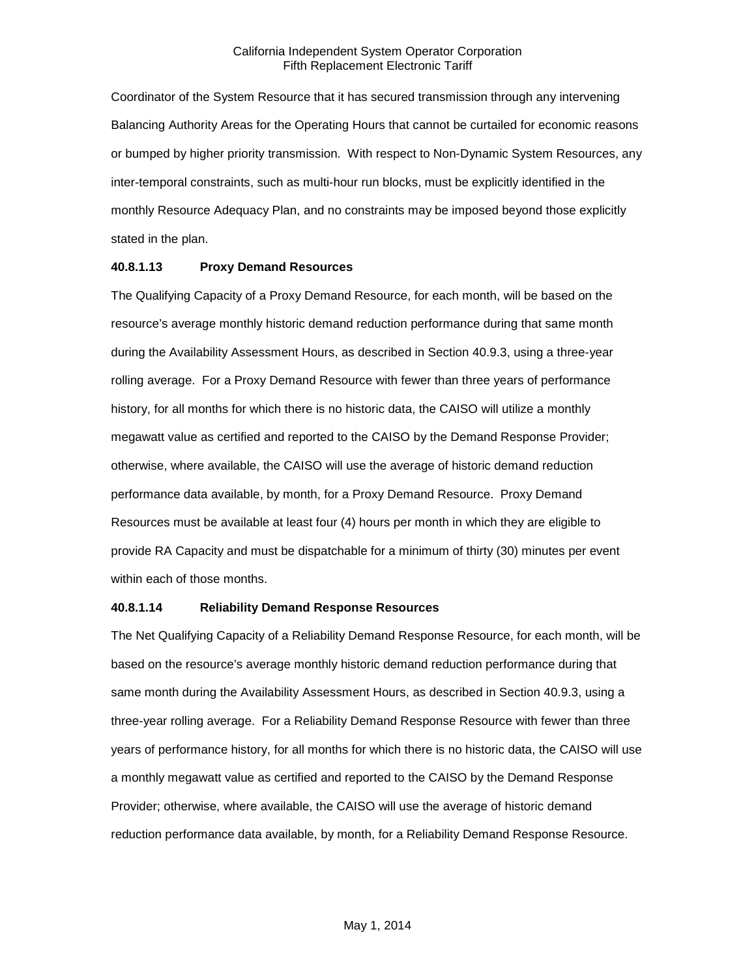Coordinator of the System Resource that it has secured transmission through any intervening Balancing Authority Areas for the Operating Hours that cannot be curtailed for economic reasons or bumped by higher priority transmission. With respect to Non-Dynamic System Resources, any inter-temporal constraints, such as multi-hour run blocks, must be explicitly identified in the monthly Resource Adequacy Plan, and no constraints may be imposed beyond those explicitly stated in the plan.

#### **40.8.1.13 Proxy Demand Resources**

The Qualifying Capacity of a Proxy Demand Resource, for each month, will be based on the resource's average monthly historic demand reduction performance during that same month during the Availability Assessment Hours, as described in Section 40.9.3, using a three-year rolling average. For a Proxy Demand Resource with fewer than three years of performance history, for all months for which there is no historic data, the CAISO will utilize a monthly megawatt value as certified and reported to the CAISO by the Demand Response Provider; otherwise, where available, the CAISO will use the average of historic demand reduction performance data available, by month, for a Proxy Demand Resource. Proxy Demand Resources must be available at least four (4) hours per month in which they are eligible to provide RA Capacity and must be dispatchable for a minimum of thirty (30) minutes per event within each of those months.

# **40.8.1.14 Reliability Demand Response Resources**

The Net Qualifying Capacity of a Reliability Demand Response Resource, for each month, will be based on the resource's average monthly historic demand reduction performance during that same month during the Availability Assessment Hours, as described in Section 40.9.3, using a three-year rolling average. For a Reliability Demand Response Resource with fewer than three years of performance history, for all months for which there is no historic data, the CAISO will use a monthly megawatt value as certified and reported to the CAISO by the Demand Response Provider; otherwise, where available, the CAISO will use the average of historic demand reduction performance data available, by month, for a Reliability Demand Response Resource.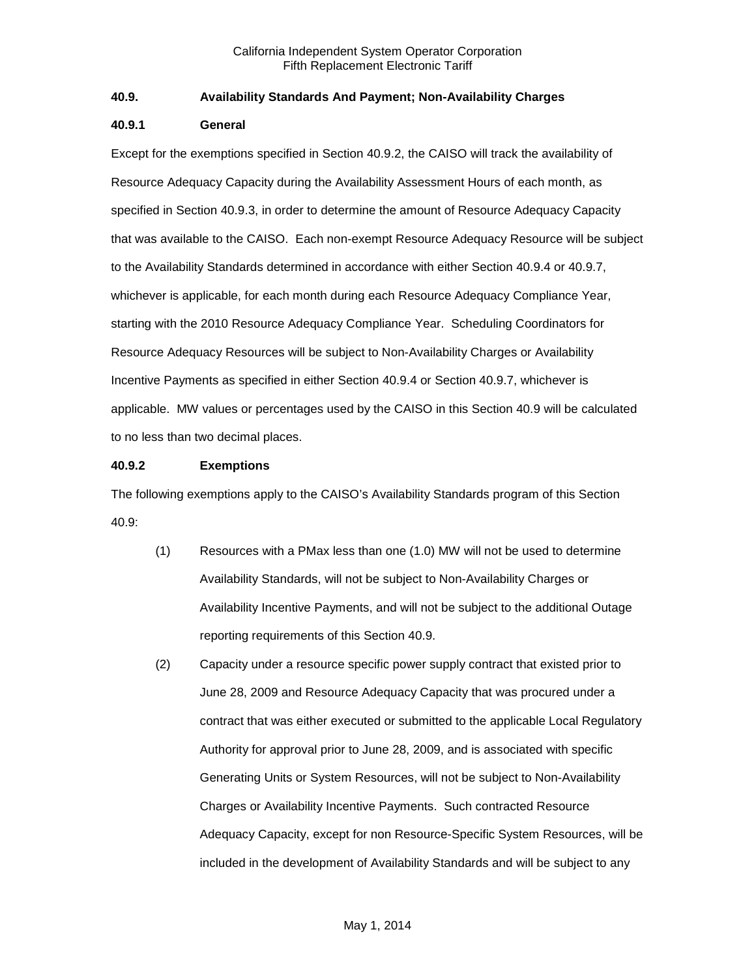# **40.9. Availability Standards And Payment; Non-Availability Charges**

### **40.9.1 General**

Except for the exemptions specified in Section 40.9.2, the CAISO will track the availability of Resource Adequacy Capacity during the Availability Assessment Hours of each month, as specified in Section 40.9.3, in order to determine the amount of Resource Adequacy Capacity that was available to the CAISO. Each non-exempt Resource Adequacy Resource will be subject to the Availability Standards determined in accordance with either Section 40.9.4 or 40.9.7, whichever is applicable, for each month during each Resource Adequacy Compliance Year, starting with the 2010 Resource Adequacy Compliance Year. Scheduling Coordinators for Resource Adequacy Resources will be subject to Non-Availability Charges or Availability Incentive Payments as specified in either Section 40.9.4 or Section 40.9.7, whichever is applicable. MW values or percentages used by the CAISO in this Section 40.9 will be calculated to no less than two decimal places.

## **40.9.2 Exemptions**

The following exemptions apply to the CAISO's Availability Standards program of this Section 40.9:

- (1) Resources with a PMax less than one (1.0) MW will not be used to determine Availability Standards, will not be subject to Non-Availability Charges or Availability Incentive Payments, and will not be subject to the additional Outage reporting requirements of this Section 40.9.
- (2) Capacity under a resource specific power supply contract that existed prior to June 28, 2009 and Resource Adequacy Capacity that was procured under a contract that was either executed or submitted to the applicable Local Regulatory Authority for approval prior to June 28, 2009, and is associated with specific Generating Units or System Resources, will not be subject to Non-Availability Charges or Availability Incentive Payments. Such contracted Resource Adequacy Capacity, except for non Resource-Specific System Resources, will be included in the development of Availability Standards and will be subject to any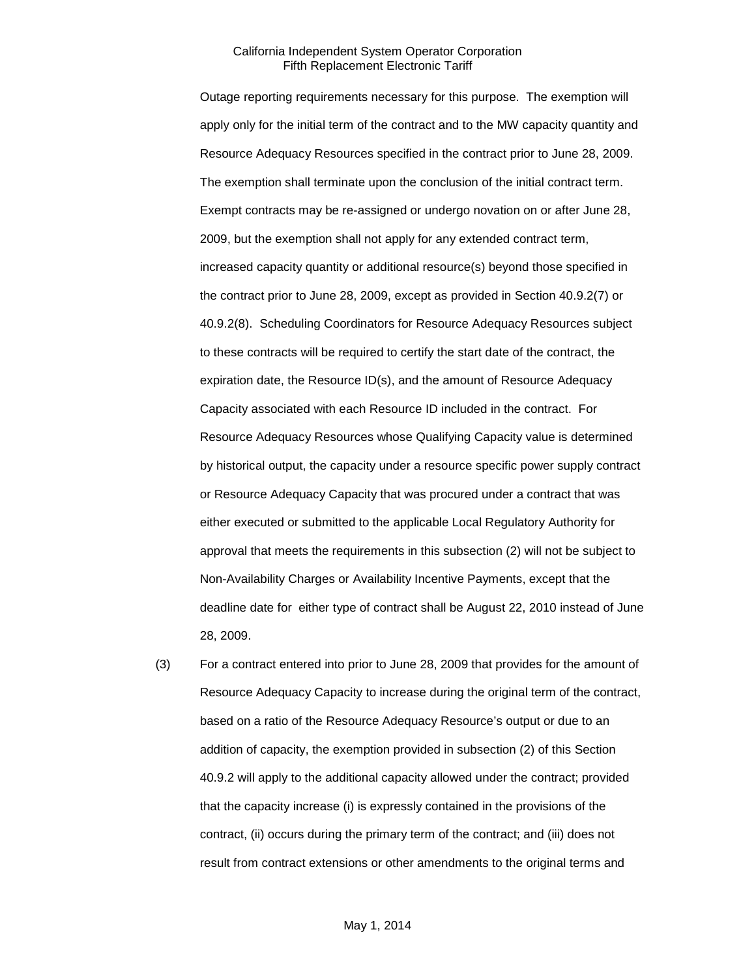Outage reporting requirements necessary for this purpose. The exemption will apply only for the initial term of the contract and to the MW capacity quantity and Resource Adequacy Resources specified in the contract prior to June 28, 2009. The exemption shall terminate upon the conclusion of the initial contract term. Exempt contracts may be re-assigned or undergo novation on or after June 28, 2009, but the exemption shall not apply for any extended contract term, increased capacity quantity or additional resource(s) beyond those specified in the contract prior to June 28, 2009, except as provided in Section 40.9.2(7) or 40.9.2(8). Scheduling Coordinators for Resource Adequacy Resources subject to these contracts will be required to certify the start date of the contract, the expiration date, the Resource ID(s), and the amount of Resource Adequacy Capacity associated with each Resource ID included in the contract. For Resource Adequacy Resources whose Qualifying Capacity value is determined by historical output, the capacity under a resource specific power supply contract or Resource Adequacy Capacity that was procured under a contract that was either executed or submitted to the applicable Local Regulatory Authority for approval that meets the requirements in this subsection (2) will not be subject to Non-Availability Charges or Availability Incentive Payments, except that the deadline date for either type of contract shall be August 22, 2010 instead of June 28, 2009.

(3) For a contract entered into prior to June 28, 2009 that provides for the amount of Resource Adequacy Capacity to increase during the original term of the contract, based on a ratio of the Resource Adequacy Resource's output or due to an addition of capacity, the exemption provided in subsection (2) of this Section 40.9.2 will apply to the additional capacity allowed under the contract; provided that the capacity increase (i) is expressly contained in the provisions of the contract, (ii) occurs during the primary term of the contract; and (iii) does not result from contract extensions or other amendments to the original terms and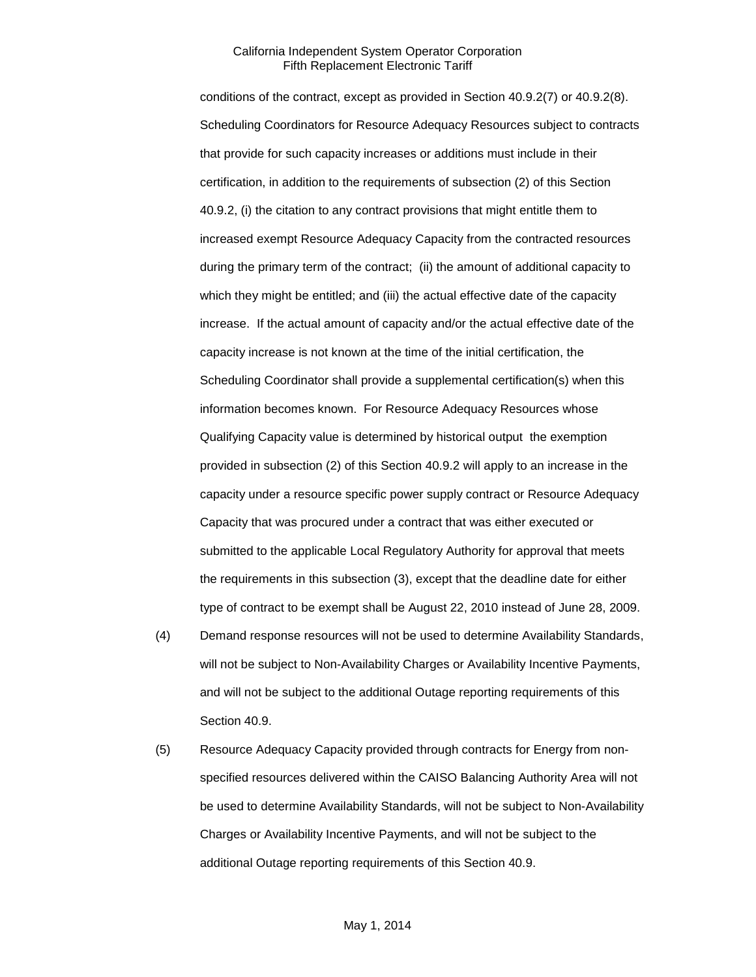conditions of the contract, except as provided in Section 40.9.2(7) or 40.9.2(8). Scheduling Coordinators for Resource Adequacy Resources subject to contracts that provide for such capacity increases or additions must include in their certification, in addition to the requirements of subsection (2) of this Section 40.9.2, (i) the citation to any contract provisions that might entitle them to increased exempt Resource Adequacy Capacity from the contracted resources during the primary term of the contract; (ii) the amount of additional capacity to which they might be entitled; and (iii) the actual effective date of the capacity increase. If the actual amount of capacity and/or the actual effective date of the capacity increase is not known at the time of the initial certification, the Scheduling Coordinator shall provide a supplemental certification(s) when this information becomes known. For Resource Adequacy Resources whose Qualifying Capacity value is determined by historical output the exemption provided in subsection (2) of this Section 40.9.2 will apply to an increase in the capacity under a resource specific power supply contract or Resource Adequacy Capacity that was procured under a contract that was either executed or submitted to the applicable Local Regulatory Authority for approval that meets the requirements in this subsection (3), except that the deadline date for either type of contract to be exempt shall be August 22, 2010 instead of June 28, 2009.

- (4) Demand response resources will not be used to determine Availability Standards, will not be subject to Non-Availability Charges or Availability Incentive Payments, and will not be subject to the additional Outage reporting requirements of this Section 40.9.
- (5) Resource Adequacy Capacity provided through contracts for Energy from nonspecified resources delivered within the CAISO Balancing Authority Area will not be used to determine Availability Standards, will not be subject to Non-Availability Charges or Availability Incentive Payments, and will not be subject to the additional Outage reporting requirements of this Section 40.9.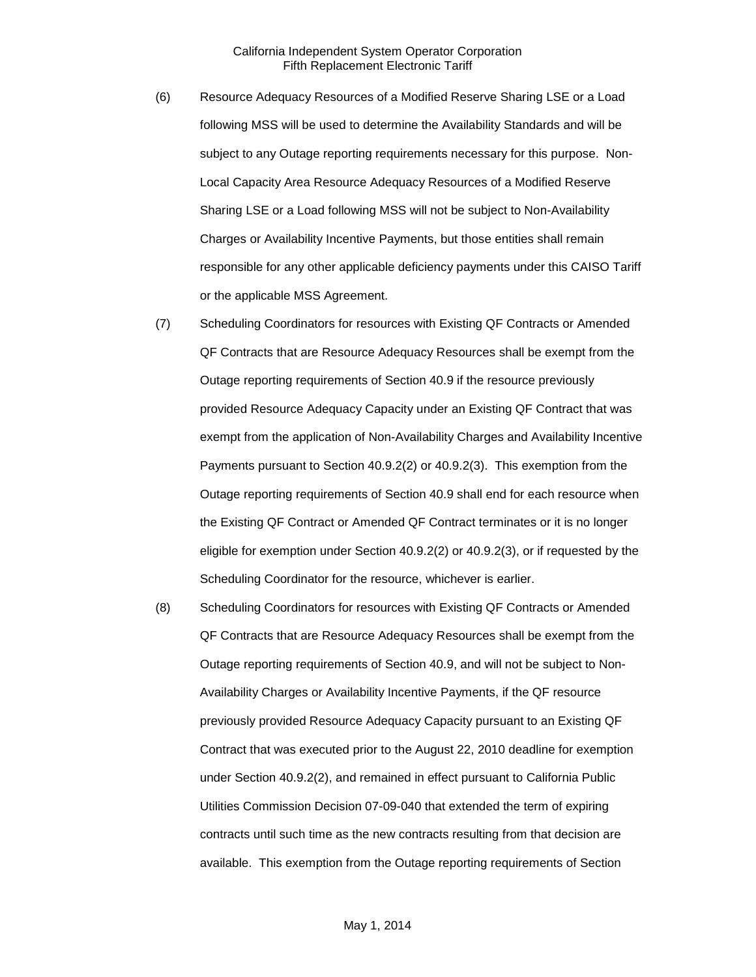- (6) Resource Adequacy Resources of a Modified Reserve Sharing LSE or a Load following MSS will be used to determine the Availability Standards and will be subject to any Outage reporting requirements necessary for this purpose. Non-Local Capacity Area Resource Adequacy Resources of a Modified Reserve Sharing LSE or a Load following MSS will not be subject to Non-Availability Charges or Availability Incentive Payments, but those entities shall remain responsible for any other applicable deficiency payments under this CAISO Tariff or the applicable MSS Agreement.
- (7) Scheduling Coordinators for resources with Existing QF Contracts or Amended QF Contracts that are Resource Adequacy Resources shall be exempt from the Outage reporting requirements of Section 40.9 if the resource previously provided Resource Adequacy Capacity under an Existing QF Contract that was exempt from the application of Non-Availability Charges and Availability Incentive Payments pursuant to Section 40.9.2(2) or 40.9.2(3). This exemption from the Outage reporting requirements of Section 40.9 shall end for each resource when the Existing QF Contract or Amended QF Contract terminates or it is no longer eligible for exemption under Section 40.9.2(2) or 40.9.2(3), or if requested by the Scheduling Coordinator for the resource, whichever is earlier.
- (8) Scheduling Coordinators for resources with Existing QF Contracts or Amended QF Contracts that are Resource Adequacy Resources shall be exempt from the Outage reporting requirements of Section 40.9, and will not be subject to Non-Availability Charges or Availability Incentive Payments, if the QF resource previously provided Resource Adequacy Capacity pursuant to an Existing QF Contract that was executed prior to the August 22, 2010 deadline for exemption under Section 40.9.2(2), and remained in effect pursuant to California Public Utilities Commission Decision 07-09-040 that extended the term of expiring contracts until such time as the new contracts resulting from that decision are available. This exemption from the Outage reporting requirements of Section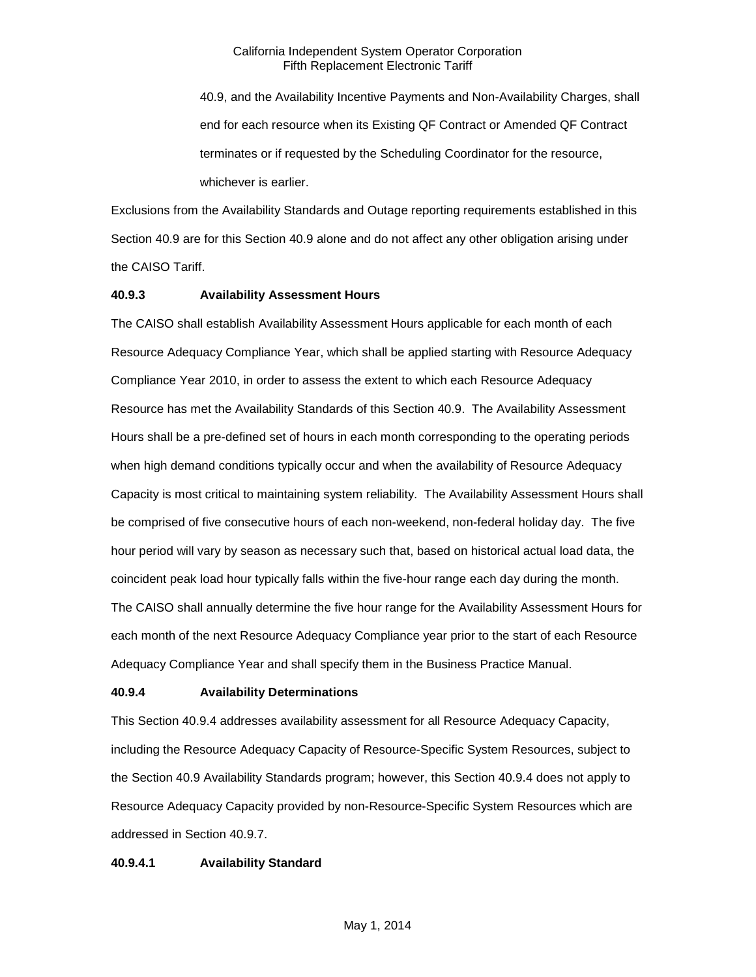40.9, and the Availability Incentive Payments and Non-Availability Charges, shall end for each resource when its Existing QF Contract or Amended QF Contract terminates or if requested by the Scheduling Coordinator for the resource, whichever is earlier.

Exclusions from the Availability Standards and Outage reporting requirements established in this Section 40.9 are for this Section 40.9 alone and do not affect any other obligation arising under the CAISO Tariff.

#### **40.9.3 Availability Assessment Hours**

The CAISO shall establish Availability Assessment Hours applicable for each month of each Resource Adequacy Compliance Year, which shall be applied starting with Resource Adequacy Compliance Year 2010, in order to assess the extent to which each Resource Adequacy Resource has met the Availability Standards of this Section 40.9. The Availability Assessment Hours shall be a pre-defined set of hours in each month corresponding to the operating periods when high demand conditions typically occur and when the availability of Resource Adequacy Capacity is most critical to maintaining system reliability. The Availability Assessment Hours shall be comprised of five consecutive hours of each non-weekend, non-federal holiday day. The five hour period will vary by season as necessary such that, based on historical actual load data, the coincident peak load hour typically falls within the five-hour range each day during the month. The CAISO shall annually determine the five hour range for the Availability Assessment Hours for each month of the next Resource Adequacy Compliance year prior to the start of each Resource Adequacy Compliance Year and shall specify them in the Business Practice Manual.

#### **40.9.4 Availability Determinations**

This Section 40.9.4 addresses availability assessment for all Resource Adequacy Capacity, including the Resource Adequacy Capacity of Resource-Specific System Resources, subject to the Section 40.9 Availability Standards program; however, this Section 40.9.4 does not apply to Resource Adequacy Capacity provided by non-Resource-Specific System Resources which are addressed in Section 40.9.7.

#### **40.9.4.1 Availability Standard**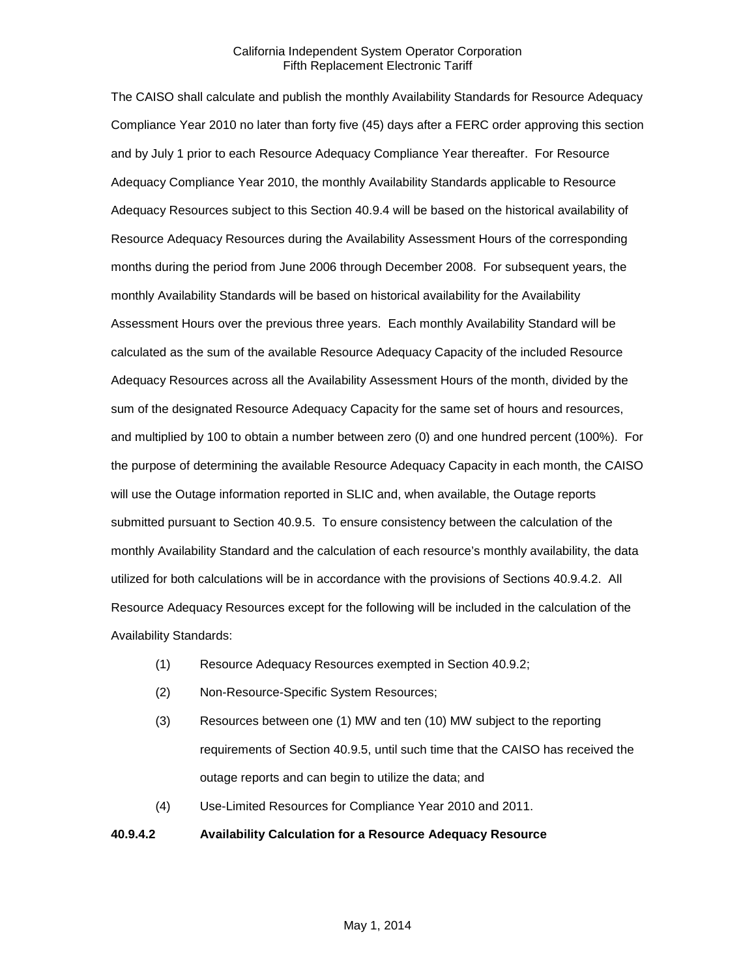The CAISO shall calculate and publish the monthly Availability Standards for Resource Adequacy Compliance Year 2010 no later than forty five (45) days after a FERC order approving this section and by July 1 prior to each Resource Adequacy Compliance Year thereafter. For Resource Adequacy Compliance Year 2010, the monthly Availability Standards applicable to Resource Adequacy Resources subject to this Section 40.9.4 will be based on the historical availability of Resource Adequacy Resources during the Availability Assessment Hours of the corresponding months during the period from June 2006 through December 2008. For subsequent years, the monthly Availability Standards will be based on historical availability for the Availability Assessment Hours over the previous three years. Each monthly Availability Standard will be calculated as the sum of the available Resource Adequacy Capacity of the included Resource Adequacy Resources across all the Availability Assessment Hours of the month, divided by the sum of the designated Resource Adequacy Capacity for the same set of hours and resources, and multiplied by 100 to obtain a number between zero (0) and one hundred percent (100%). For the purpose of determining the available Resource Adequacy Capacity in each month, the CAISO will use the Outage information reported in SLIC and, when available, the Outage reports submitted pursuant to Section 40.9.5. To ensure consistency between the calculation of the monthly Availability Standard and the calculation of each resource's monthly availability, the data utilized for both calculations will be in accordance with the provisions of Sections 40.9.4.2. All Resource Adequacy Resources except for the following will be included in the calculation of the Availability Standards:

- (1) Resource Adequacy Resources exempted in Section 40.9.2;
- (2) Non-Resource-Specific System Resources;
- (3) Resources between one (1) MW and ten (10) MW subject to the reporting requirements of Section 40.9.5, until such time that the CAISO has received the outage reports and can begin to utilize the data; and
- (4) Use-Limited Resources for Compliance Year 2010 and 2011.

#### **40.9.4.2 Availability Calculation for a Resource Adequacy Resource**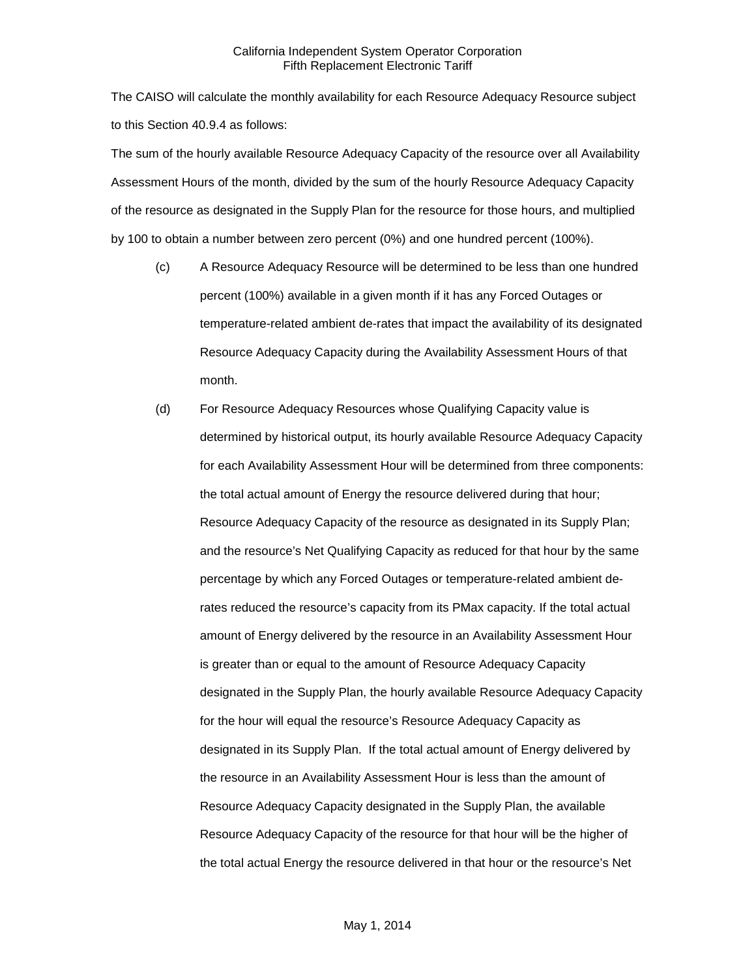The CAISO will calculate the monthly availability for each Resource Adequacy Resource subject to this Section 40.9.4 as follows:

The sum of the hourly available Resource Adequacy Capacity of the resource over all Availability Assessment Hours of the month, divided by the sum of the hourly Resource Adequacy Capacity of the resource as designated in the Supply Plan for the resource for those hours, and multiplied by 100 to obtain a number between zero percent (0%) and one hundred percent (100%).

- (c) A Resource Adequacy Resource will be determined to be less than one hundred percent (100%) available in a given month if it has any Forced Outages or temperature-related ambient de-rates that impact the availability of its designated Resource Adequacy Capacity during the Availability Assessment Hours of that month.
- (d) For Resource Adequacy Resources whose Qualifying Capacity value is determined by historical output, its hourly available Resource Adequacy Capacity for each Availability Assessment Hour will be determined from three components: the total actual amount of Energy the resource delivered during that hour; Resource Adequacy Capacity of the resource as designated in its Supply Plan; and the resource's Net Qualifying Capacity as reduced for that hour by the same percentage by which any Forced Outages or temperature-related ambient derates reduced the resource's capacity from its PMax capacity. If the total actual amount of Energy delivered by the resource in an Availability Assessment Hour is greater than or equal to the amount of Resource Adequacy Capacity designated in the Supply Plan, the hourly available Resource Adequacy Capacity for the hour will equal the resource's Resource Adequacy Capacity as designated in its Supply Plan. If the total actual amount of Energy delivered by the resource in an Availability Assessment Hour is less than the amount of Resource Adequacy Capacity designated in the Supply Plan, the available Resource Adequacy Capacity of the resource for that hour will be the higher of the total actual Energy the resource delivered in that hour or the resource's Net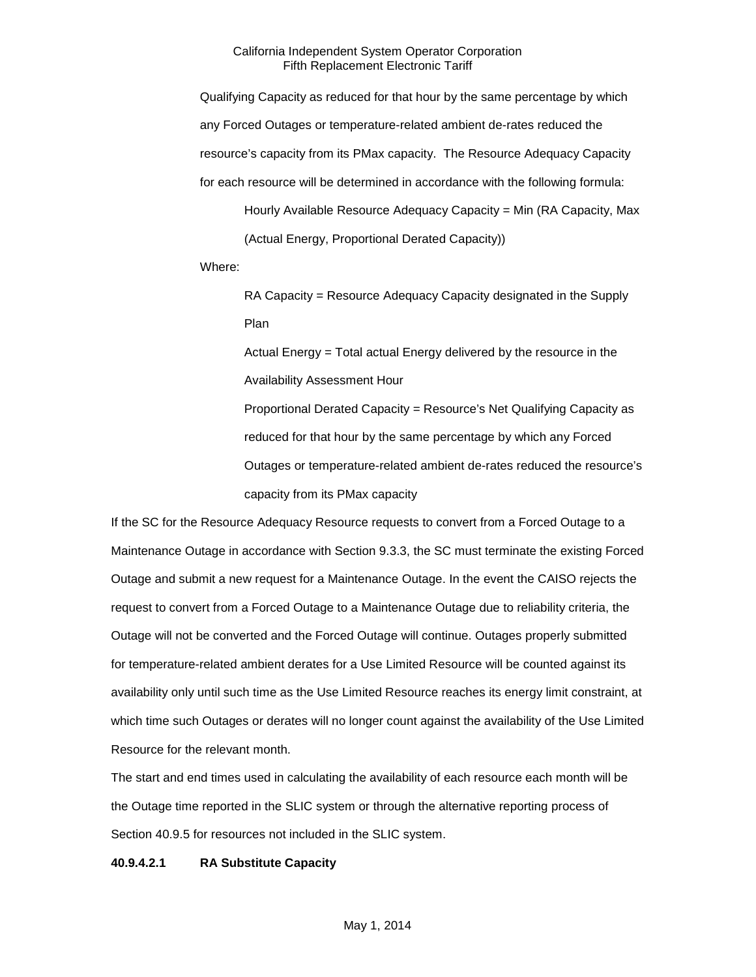Qualifying Capacity as reduced for that hour by the same percentage by which any Forced Outages or temperature-related ambient de-rates reduced the resource's capacity from its PMax capacity. The Resource Adequacy Capacity for each resource will be determined in accordance with the following formula:

Hourly Available Resource Adequacy Capacity = Min (RA Capacity, Max (Actual Energy, Proportional Derated Capacity))

Where:

RA Capacity = Resource Adequacy Capacity designated in the Supply Plan

Actual Energy = Total actual Energy delivered by the resource in the Availability Assessment Hour

Proportional Derated Capacity = Resource's Net Qualifying Capacity as reduced for that hour by the same percentage by which any Forced Outages or temperature-related ambient de-rates reduced the resource's capacity from its PMax capacity

If the SC for the Resource Adequacy Resource requests to convert from a Forced Outage to a Maintenance Outage in accordance with Section 9.3.3, the SC must terminate the existing Forced Outage and submit a new request for a Maintenance Outage. In the event the CAISO rejects the request to convert from a Forced Outage to a Maintenance Outage due to reliability criteria, the Outage will not be converted and the Forced Outage will continue. Outages properly submitted for temperature-related ambient derates for a Use Limited Resource will be counted against its availability only until such time as the Use Limited Resource reaches its energy limit constraint, at which time such Outages or derates will no longer count against the availability of the Use Limited Resource for the relevant month.

The start and end times used in calculating the availability of each resource each month will be the Outage time reported in the SLIC system or through the alternative reporting process of Section 40.9.5 for resources not included in the SLIC system.

#### **40.9.4.2.1 RA Substitute Capacity**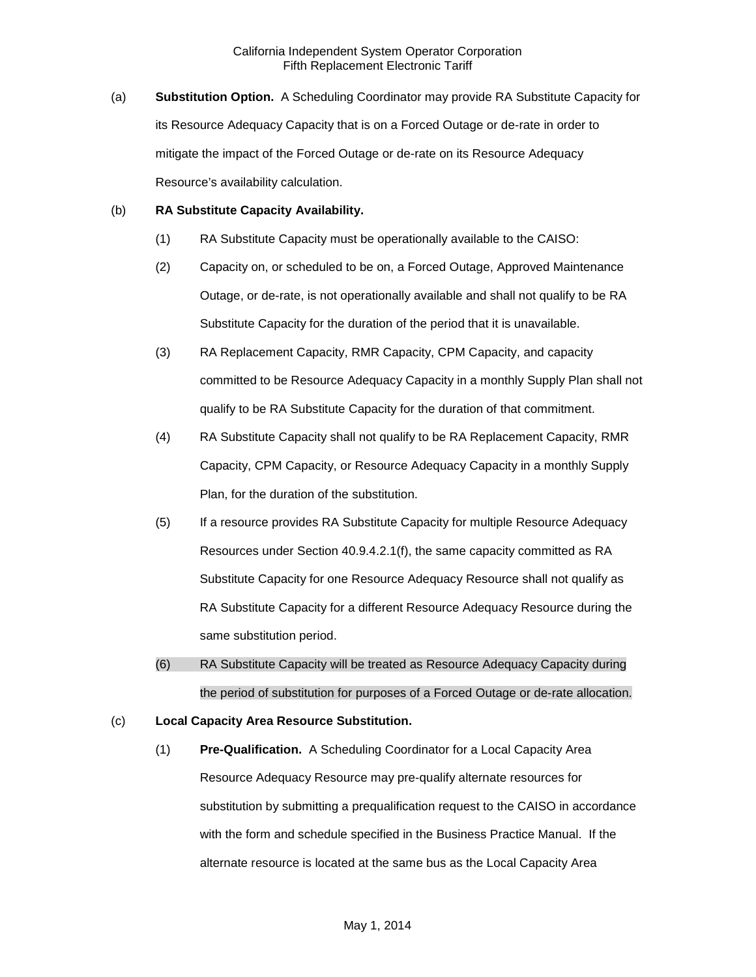(a) **Substitution Option.** A Scheduling Coordinator may provide RA Substitute Capacity for its Resource Adequacy Capacity that is on a Forced Outage or de-rate in order to mitigate the impact of the Forced Outage or de-rate on its Resource Adequacy Resource's availability calculation.

#### (b) **RA Substitute Capacity Availability.**

- (1) RA Substitute Capacity must be operationally available to the CAISO:
- (2) Capacity on, or scheduled to be on, a Forced Outage, Approved Maintenance Outage, or de-rate, is not operationally available and shall not qualify to be RA Substitute Capacity for the duration of the period that it is unavailable.
- (3) RA Replacement Capacity, RMR Capacity, CPM Capacity, and capacity committed to be Resource Adequacy Capacity in a monthly Supply Plan shall not qualify to be RA Substitute Capacity for the duration of that commitment.
- (4) RA Substitute Capacity shall not qualify to be RA Replacement Capacity, RMR Capacity, CPM Capacity, or Resource Adequacy Capacity in a monthly Supply Plan, for the duration of the substitution.
- (5) If a resource provides RA Substitute Capacity for multiple Resource Adequacy Resources under Section 40.9.4.2.1(f), the same capacity committed as RA Substitute Capacity for one Resource Adequacy Resource shall not qualify as RA Substitute Capacity for a different Resource Adequacy Resource during the same substitution period.
- (6) RA Substitute Capacity will be treated as Resource Adequacy Capacity during the period of substitution for purposes of a Forced Outage or de-rate allocation.
- (c) **Local Capacity Area Resource Substitution.**
	- (1) **Pre-Qualification.** A Scheduling Coordinator for a Local Capacity Area Resource Adequacy Resource may pre-qualify alternate resources for substitution by submitting a prequalification request to the CAISO in accordance with the form and schedule specified in the Business Practice Manual. If the alternate resource is located at the same bus as the Local Capacity Area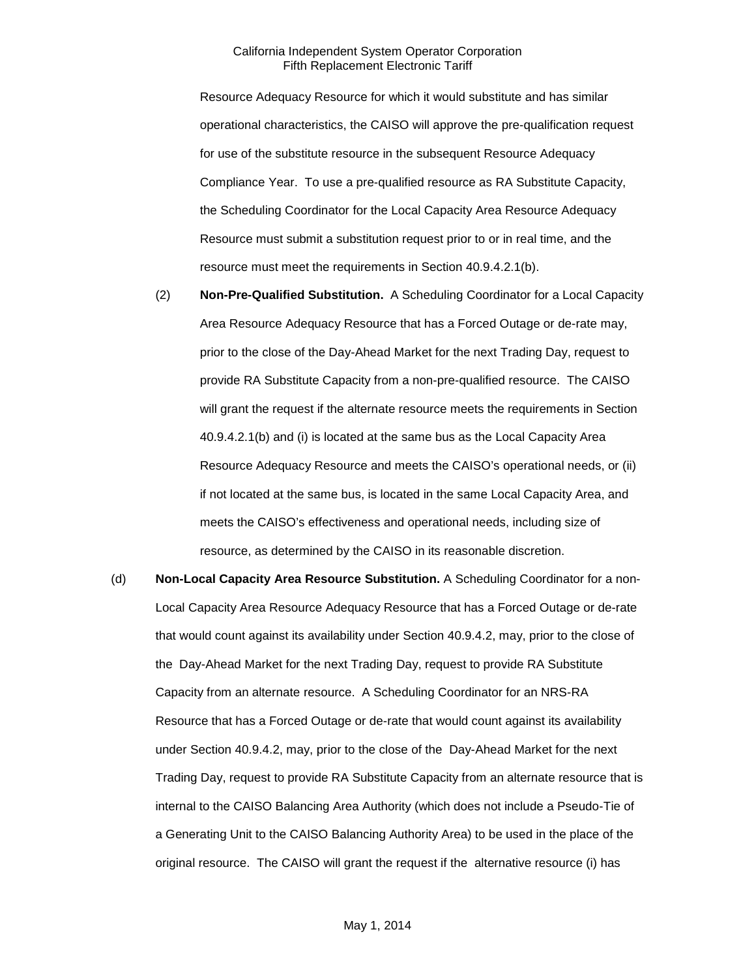Resource Adequacy Resource for which it would substitute and has similar operational characteristics, the CAISO will approve the pre-qualification request for use of the substitute resource in the subsequent Resource Adequacy Compliance Year. To use a pre-qualified resource as RA Substitute Capacity, the Scheduling Coordinator for the Local Capacity Area Resource Adequacy Resource must submit a substitution request prior to or in real time, and the resource must meet the requirements in Section 40.9.4.2.1(b).

- (2) **Non-Pre-Qualified Substitution.** A Scheduling Coordinator for a Local Capacity Area Resource Adequacy Resource that has a Forced Outage or de-rate may, prior to the close of the Day-Ahead Market for the next Trading Day, request to provide RA Substitute Capacity from a non-pre-qualified resource. The CAISO will grant the request if the alternate resource meets the requirements in Section 40.9.4.2.1(b) and (i) is located at the same bus as the Local Capacity Area Resource Adequacy Resource and meets the CAISO's operational needs, or (ii) if not located at the same bus, is located in the same Local Capacity Area, and meets the CAISO's effectiveness and operational needs, including size of resource, as determined by the CAISO in its reasonable discretion.
- (d) **Non-Local Capacity Area Resource Substitution.** A Scheduling Coordinator for a non-Local Capacity Area Resource Adequacy Resource that has a Forced Outage or de-rate that would count against its availability under Section 40.9.4.2, may, prior to the close of the Day-Ahead Market for the next Trading Day, request to provide RA Substitute Capacity from an alternate resource. A Scheduling Coordinator for an NRS-RA Resource that has a Forced Outage or de-rate that would count against its availability under Section 40.9.4.2, may, prior to the close of the Day-Ahead Market for the next Trading Day, request to provide RA Substitute Capacity from an alternate resource that is internal to the CAISO Balancing Area Authority (which does not include a Pseudo-Tie of a Generating Unit to the CAISO Balancing Authority Area) to be used in the place of the original resource. The CAISO will grant the request if the alternative resource (i) has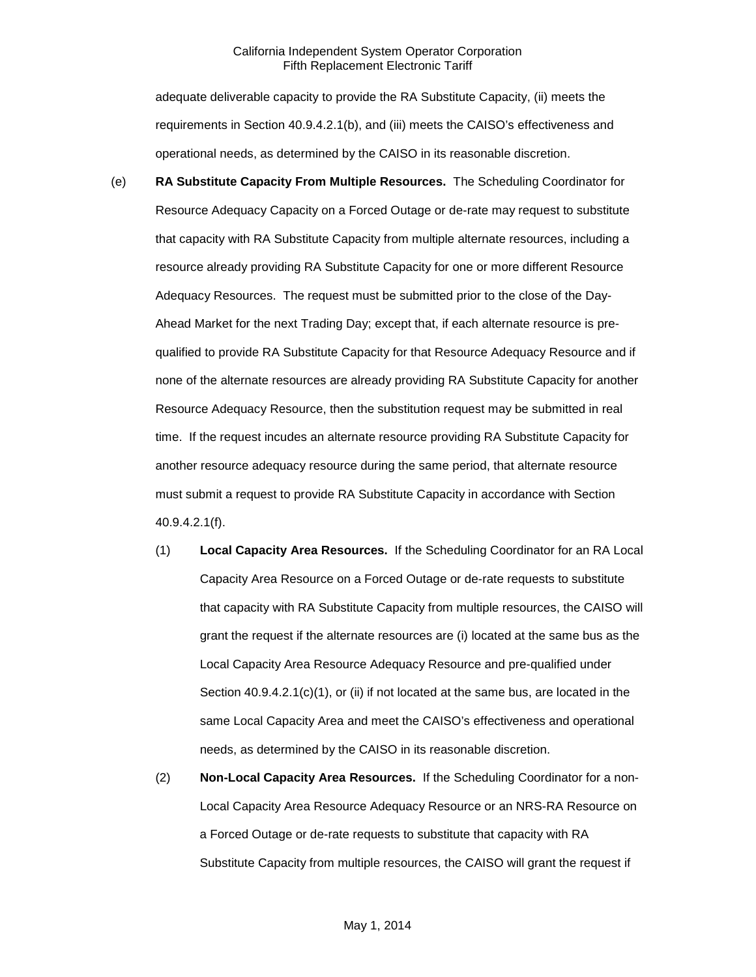adequate deliverable capacity to provide the RA Substitute Capacity, (ii) meets the requirements in Section 40.9.4.2.1(b), and (iii) meets the CAISO's effectiveness and operational needs, as determined by the CAISO in its reasonable discretion.

- (e) **RA Substitute Capacity From Multiple Resources.** The Scheduling Coordinator for Resource Adequacy Capacity on a Forced Outage or de-rate may request to substitute that capacity with RA Substitute Capacity from multiple alternate resources, including a resource already providing RA Substitute Capacity for one or more different Resource Adequacy Resources. The request must be submitted prior to the close of the Day-Ahead Market for the next Trading Day; except that, if each alternate resource is prequalified to provide RA Substitute Capacity for that Resource Adequacy Resource and if none of the alternate resources are already providing RA Substitute Capacity for another Resource Adequacy Resource, then the substitution request may be submitted in real time. If the request incudes an alternate resource providing RA Substitute Capacity for another resource adequacy resource during the same period, that alternate resource must submit a request to provide RA Substitute Capacity in accordance with Section 40.9.4.2.1(f).
	- (1) **Local Capacity Area Resources.** If the Scheduling Coordinator for an RA Local Capacity Area Resource on a Forced Outage or de-rate requests to substitute that capacity with RA Substitute Capacity from multiple resources, the CAISO will grant the request if the alternate resources are (i) located at the same bus as the Local Capacity Area Resource Adequacy Resource and pre-qualified under Section 40.9.4.2.1(c)(1), or (ii) if not located at the same bus, are located in the same Local Capacity Area and meet the CAISO's effectiveness and operational needs, as determined by the CAISO in its reasonable discretion.
	- (2) **Non-Local Capacity Area Resources.** If the Scheduling Coordinator for a non-Local Capacity Area Resource Adequacy Resource or an NRS-RA Resource on a Forced Outage or de-rate requests to substitute that capacity with RA Substitute Capacity from multiple resources, the CAISO will grant the request if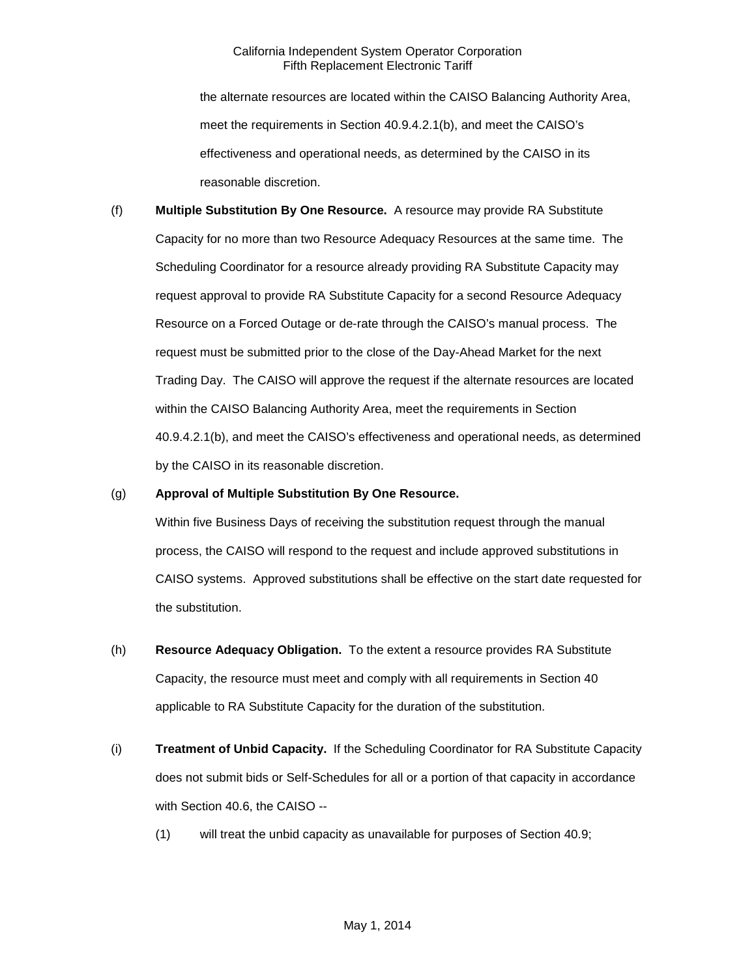the alternate resources are located within the CAISO Balancing Authority Area, meet the requirements in Section 40.9.4.2.1(b), and meet the CAISO's effectiveness and operational needs, as determined by the CAISO in its reasonable discretion.

(f) **Multiple Substitution By One Resource.** A resource may provide RA Substitute Capacity for no more than two Resource Adequacy Resources at the same time. The Scheduling Coordinator for a resource already providing RA Substitute Capacity may request approval to provide RA Substitute Capacity for a second Resource Adequacy Resource on a Forced Outage or de-rate through the CAISO's manual process. The request must be submitted prior to the close of the Day-Ahead Market for the next Trading Day. The CAISO will approve the request if the alternate resources are located within the CAISO Balancing Authority Area, meet the requirements in Section 40.9.4.2.1(b), and meet the CAISO's effectiveness and operational needs, as determined by the CAISO in its reasonable discretion.

#### (g) **Approval of Multiple Substitution By One Resource.**

Within five Business Days of receiving the substitution request through the manual process, the CAISO will respond to the request and include approved substitutions in CAISO systems. Approved substitutions shall be effective on the start date requested for the substitution.

- (h) **Resource Adequacy Obligation.** To the extent a resource provides RA Substitute Capacity, the resource must meet and comply with all requirements in Section 40 applicable to RA Substitute Capacity for the duration of the substitution.
- (i) **Treatment of Unbid Capacity.** If the Scheduling Coordinator for RA Substitute Capacity does not submit bids or Self-Schedules for all or a portion of that capacity in accordance with Section 40.6, the CAISO --
	- (1) will treat the unbid capacity as unavailable for purposes of Section 40.9;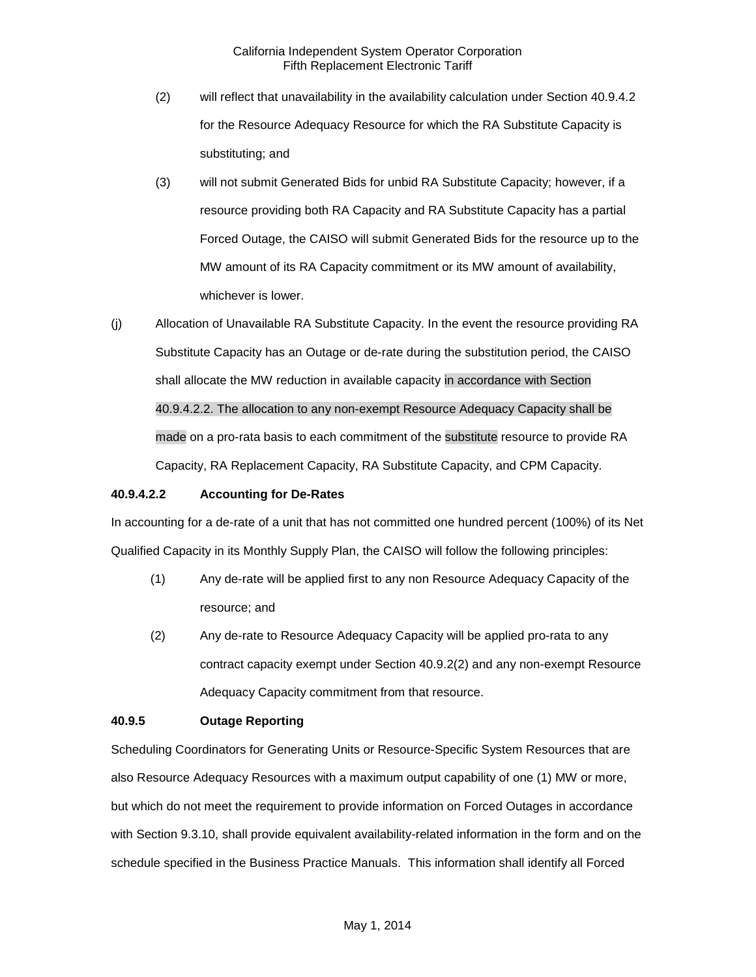- (2) will reflect that unavailability in the availability calculation under Section 40.9.4.2 for the Resource Adequacy Resource for which the RA Substitute Capacity is substituting; and
- (3) will not submit Generated Bids for unbid RA Substitute Capacity; however, if a resource providing both RA Capacity and RA Substitute Capacity has a partial Forced Outage, the CAISO will submit Generated Bids for the resource up to the MW amount of its RA Capacity commitment or its MW amount of availability, whichever is lower.
- (j) Allocation of Unavailable RA Substitute Capacity. In the event the resource providing RA Substitute Capacity has an Outage or de-rate during the substitution period, the CAISO shall allocate the MW reduction in available capacity in accordance with Section 40.9.4.2.2. The allocation to any non-exempt Resource Adequacy Capacity shall be made on a pro-rata basis to each commitment of the substitute resource to provide RA Capacity, RA Replacement Capacity, RA Substitute Capacity, and CPM Capacity.

#### **40.9.4.2.2 Accounting for De-Rates**

In accounting for a de-rate of a unit that has not committed one hundred percent (100%) of its Net Qualified Capacity in its Monthly Supply Plan, the CAISO will follow the following principles:

- (1) Any de-rate will be applied first to any non Resource Adequacy Capacity of the resource; and
- (2) Any de-rate to Resource Adequacy Capacity will be applied pro-rata to any contract capacity exempt under Section 40.9.2(2) and any non-exempt Resource Adequacy Capacity commitment from that resource.

## **40.9.5 Outage Reporting**

Scheduling Coordinators for Generating Units or Resource-Specific System Resources that are also Resource Adequacy Resources with a maximum output capability of one (1) MW or more, but which do not meet the requirement to provide information on Forced Outages in accordance with Section 9.3.10, shall provide equivalent availability-related information in the form and on the schedule specified in the Business Practice Manuals. This information shall identify all Forced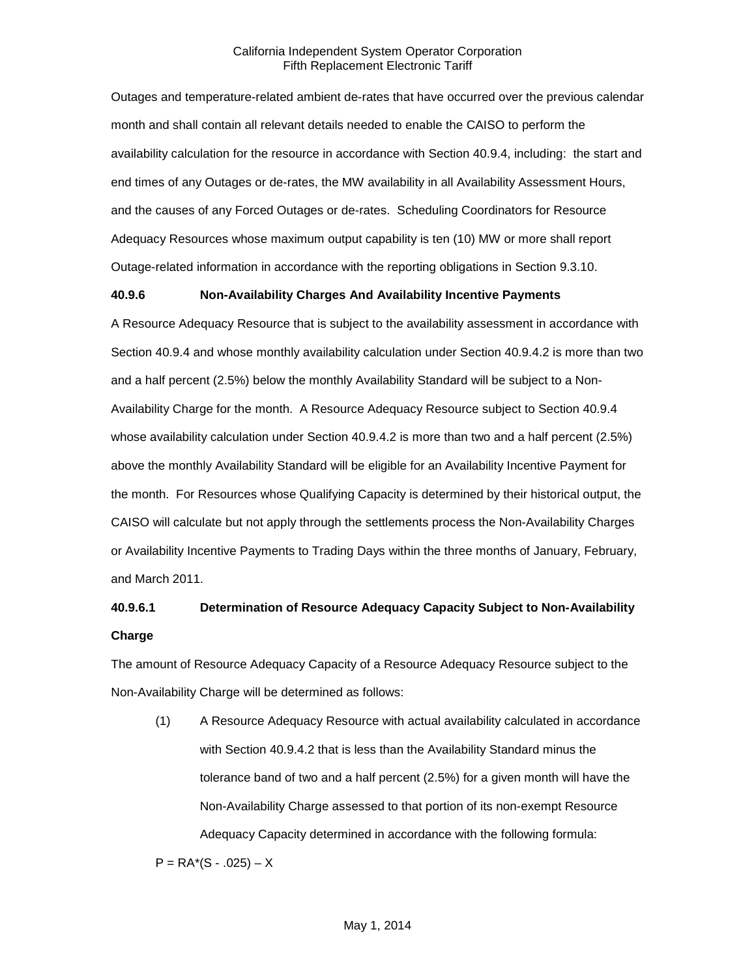Outages and temperature-related ambient de-rates that have occurred over the previous calendar month and shall contain all relevant details needed to enable the CAISO to perform the availability calculation for the resource in accordance with Section 40.9.4, including: the start and end times of any Outages or de-rates, the MW availability in all Availability Assessment Hours, and the causes of any Forced Outages or de-rates. Scheduling Coordinators for Resource Adequacy Resources whose maximum output capability is ten (10) MW or more shall report Outage-related information in accordance with the reporting obligations in Section 9.3.10.

#### **40.9.6 Non-Availability Charges And Availability Incentive Payments**

A Resource Adequacy Resource that is subject to the availability assessment in accordance with Section 40.9.4 and whose monthly availability calculation under Section 40.9.4.2 is more than two and a half percent (2.5%) below the monthly Availability Standard will be subject to a Non-Availability Charge for the month. A Resource Adequacy Resource subject to Section 40.9.4 whose availability calculation under Section 40.9.4.2 is more than two and a half percent (2.5%) above the monthly Availability Standard will be eligible for an Availability Incentive Payment for the month. For Resources whose Qualifying Capacity is determined by their historical output, the CAISO will calculate but not apply through the settlements process the Non-Availability Charges or Availability Incentive Payments to Trading Days within the three months of January, February, and March 2011.

# **40.9.6.1 Determination of Resource Adequacy Capacity Subject to Non-Availability Charge**

The amount of Resource Adequacy Capacity of a Resource Adequacy Resource subject to the Non-Availability Charge will be determined as follows:

(1) A Resource Adequacy Resource with actual availability calculated in accordance with Section 40.9.4.2 that is less than the Availability Standard minus the tolerance band of two and a half percent (2.5%) for a given month will have the Non-Availability Charge assessed to that portion of its non-exempt Resource Adequacy Capacity determined in accordance with the following formula:

 $P = RA*(S - .025) - X$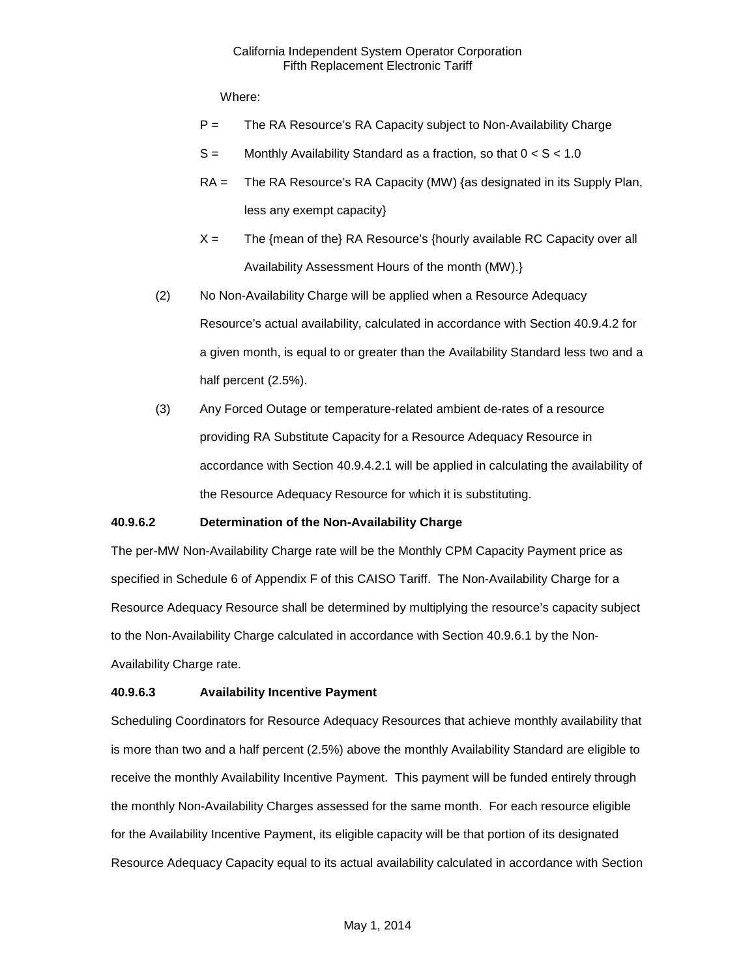Where:

- P = The RA Resource's RA Capacity subject to Non-Availability Charge
- $S =$  Monthly Availability Standard as a fraction, so that  $0 < S < 1.0$
- RA = The RA Resource's RA Capacity (MW) {as designated in its Supply Plan, less any exempt capacity}
- $X =$  The {mean of the} RA Resource's {hourly available RC Capacity over all Availability Assessment Hours of the month (MW).}
- (2) No Non-Availability Charge will be applied when a Resource Adequacy Resource's actual availability, calculated in accordance with Section 40.9.4.2 for a given month, is equal to or greater than the Availability Standard less two and a half percent (2.5%).
- (3) Any Forced Outage or temperature-related ambient de-rates of a resource providing RA Substitute Capacity for a Resource Adequacy Resource in accordance with Section 40.9.4.2.1 will be applied in calculating the availability of the Resource Adequacy Resource for which it is substituting.

#### **40.9.6.2 Determination of the Non-Availability Charge**

The per-MW Non-Availability Charge rate will be the Monthly CPM Capacity Payment price as specified in Schedule 6 of Appendix F of this CAISO Tariff. The Non-Availability Charge for a Resource Adequacy Resource shall be determined by multiplying the resource's capacity subject to the Non-Availability Charge calculated in accordance with Section 40.9.6.1 by the Non-Availability Charge rate.

#### **40.9.6.3 Availability Incentive Payment**

Scheduling Coordinators for Resource Adequacy Resources that achieve monthly availability that is more than two and a half percent (2.5%) above the monthly Availability Standard are eligible to receive the monthly Availability Incentive Payment. This payment will be funded entirely through the monthly Non-Availability Charges assessed for the same month. For each resource eligible for the Availability Incentive Payment, its eligible capacity will be that portion of its designated Resource Adequacy Capacity equal to its actual availability calculated in accordance with Section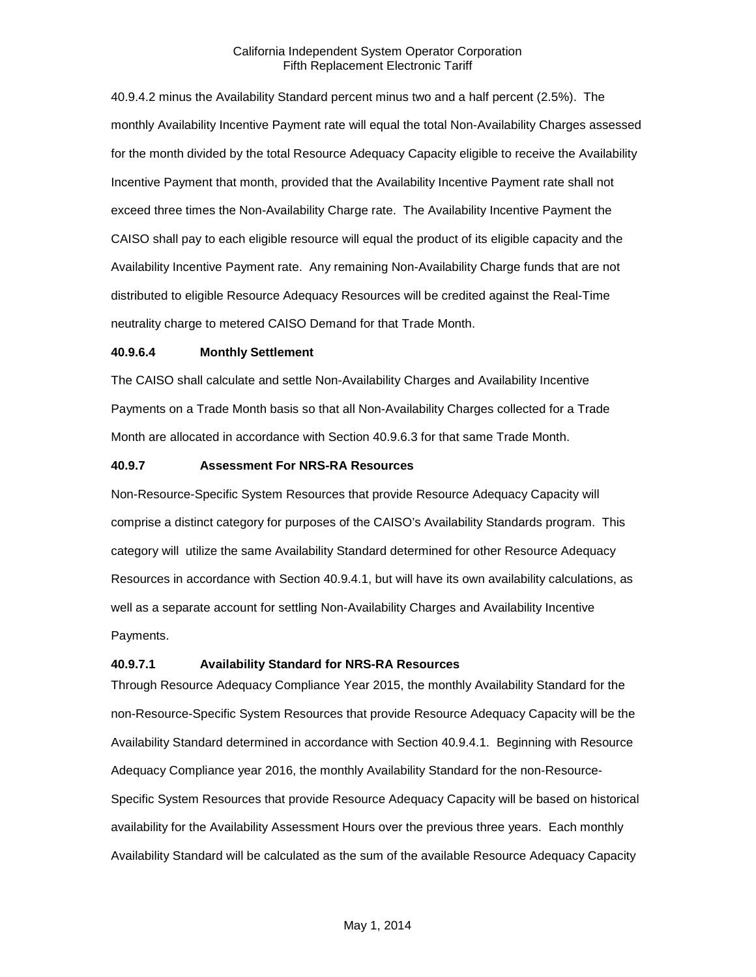40.9.4.2 minus the Availability Standard percent minus two and a half percent (2.5%). The monthly Availability Incentive Payment rate will equal the total Non-Availability Charges assessed for the month divided by the total Resource Adequacy Capacity eligible to receive the Availability Incentive Payment that month, provided that the Availability Incentive Payment rate shall not exceed three times the Non-Availability Charge rate. The Availability Incentive Payment the CAISO shall pay to each eligible resource will equal the product of its eligible capacity and the Availability Incentive Payment rate. Any remaining Non-Availability Charge funds that are not distributed to eligible Resource Adequacy Resources will be credited against the Real-Time neutrality charge to metered CAISO Demand for that Trade Month.

#### **40.9.6.4 Monthly Settlement**

The CAISO shall calculate and settle Non-Availability Charges and Availability Incentive Payments on a Trade Month basis so that all Non-Availability Charges collected for a Trade Month are allocated in accordance with Section 40.9.6.3 for that same Trade Month.

#### **40.9.7 Assessment For NRS-RA Resources**

Non-Resource-Specific System Resources that provide Resource Adequacy Capacity will comprise a distinct category for purposes of the CAISO's Availability Standards program. This category will utilize the same Availability Standard determined for other Resource Adequacy Resources in accordance with Section 40.9.4.1, but will have its own availability calculations, as well as a separate account for settling Non-Availability Charges and Availability Incentive Payments.

#### **40.9.7.1 Availability Standard for NRS-RA Resources**

Through Resource Adequacy Compliance Year 2015, the monthly Availability Standard for the non-Resource-Specific System Resources that provide Resource Adequacy Capacity will be the Availability Standard determined in accordance with Section 40.9.4.1. Beginning with Resource Adequacy Compliance year 2016, the monthly Availability Standard for the non-Resource-Specific System Resources that provide Resource Adequacy Capacity will be based on historical availability for the Availability Assessment Hours over the previous three years. Each monthly Availability Standard will be calculated as the sum of the available Resource Adequacy Capacity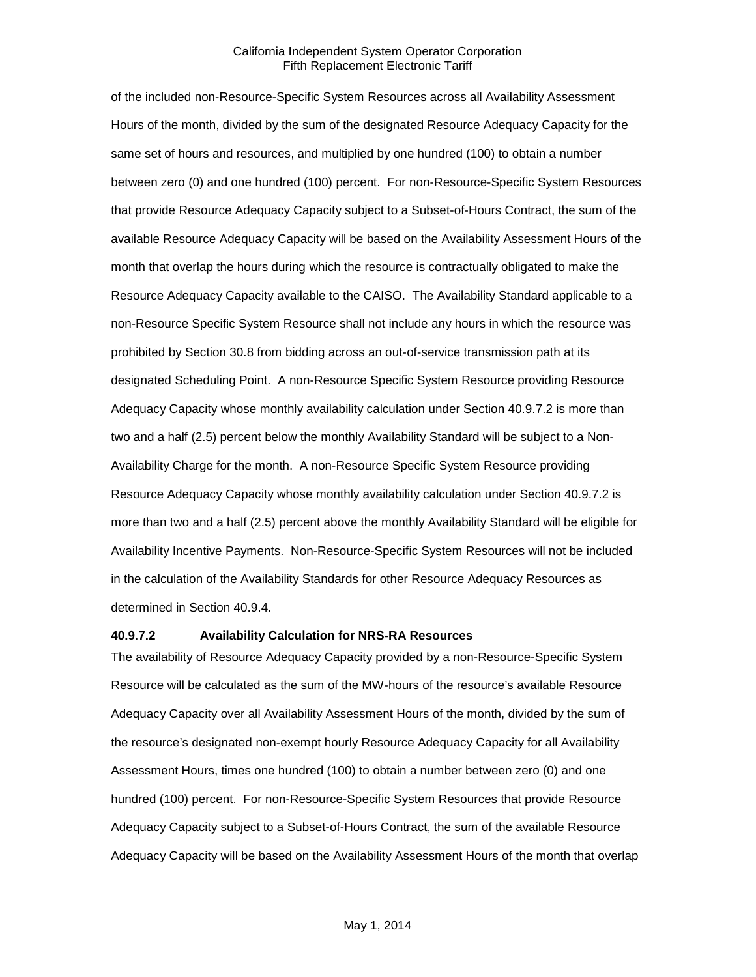of the included non-Resource-Specific System Resources across all Availability Assessment Hours of the month, divided by the sum of the designated Resource Adequacy Capacity for the same set of hours and resources, and multiplied by one hundred (100) to obtain a number between zero (0) and one hundred (100) percent. For non-Resource-Specific System Resources that provide Resource Adequacy Capacity subject to a Subset-of-Hours Contract, the sum of the available Resource Adequacy Capacity will be based on the Availability Assessment Hours of the month that overlap the hours during which the resource is contractually obligated to make the Resource Adequacy Capacity available to the CAISO. The Availability Standard applicable to a non-Resource Specific System Resource shall not include any hours in which the resource was prohibited by Section 30.8 from bidding across an out-of-service transmission path at its designated Scheduling Point. A non-Resource Specific System Resource providing Resource Adequacy Capacity whose monthly availability calculation under Section 40.9.7.2 is more than two and a half (2.5) percent below the monthly Availability Standard will be subject to a Non-Availability Charge for the month. A non-Resource Specific System Resource providing Resource Adequacy Capacity whose monthly availability calculation under Section 40.9.7.2 is more than two and a half (2.5) percent above the monthly Availability Standard will be eligible for Availability Incentive Payments. Non-Resource-Specific System Resources will not be included in the calculation of the Availability Standards for other Resource Adequacy Resources as determined in Section 40.9.4.

#### **40.9.7.2 Availability Calculation for NRS-RA Resources**

The availability of Resource Adequacy Capacity provided by a non-Resource-Specific System Resource will be calculated as the sum of the MW-hours of the resource's available Resource Adequacy Capacity over all Availability Assessment Hours of the month, divided by the sum of the resource's designated non-exempt hourly Resource Adequacy Capacity for all Availability Assessment Hours, times one hundred (100) to obtain a number between zero (0) and one hundred (100) percent. For non-Resource-Specific System Resources that provide Resource Adequacy Capacity subject to a Subset-of-Hours Contract, the sum of the available Resource Adequacy Capacity will be based on the Availability Assessment Hours of the month that overlap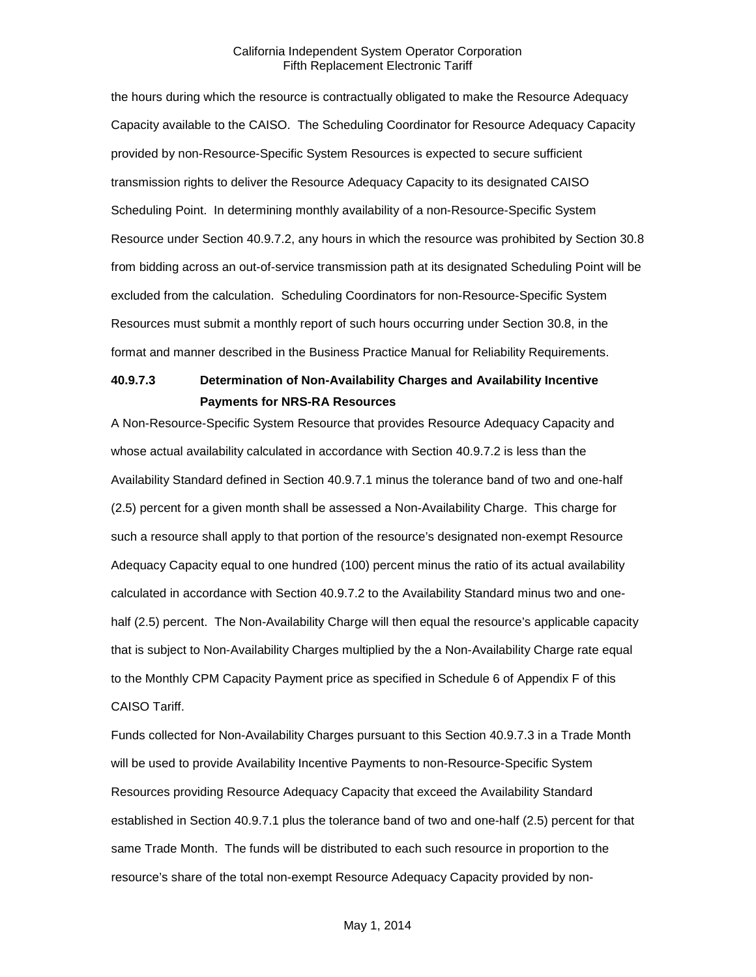the hours during which the resource is contractually obligated to make the Resource Adequacy Capacity available to the CAISO. The Scheduling Coordinator for Resource Adequacy Capacity provided by non-Resource-Specific System Resources is expected to secure sufficient transmission rights to deliver the Resource Adequacy Capacity to its designated CAISO Scheduling Point. In determining monthly availability of a non-Resource-Specific System Resource under Section 40.9.7.2, any hours in which the resource was prohibited by Section 30.8 from bidding across an out-of-service transmission path at its designated Scheduling Point will be excluded from the calculation. Scheduling Coordinators for non-Resource-Specific System Resources must submit a monthly report of such hours occurring under Section 30.8, in the format and manner described in the Business Practice Manual for Reliability Requirements.

# **40.9.7.3 Determination of Non-Availability Charges and Availability Incentive Payments for NRS-RA Resources**

A Non-Resource-Specific System Resource that provides Resource Adequacy Capacity and whose actual availability calculated in accordance with Section 40.9.7.2 is less than the Availability Standard defined in Section 40.9.7.1 minus the tolerance band of two and one-half (2.5) percent for a given month shall be assessed a Non-Availability Charge. This charge for such a resource shall apply to that portion of the resource's designated non-exempt Resource Adequacy Capacity equal to one hundred (100) percent minus the ratio of its actual availability calculated in accordance with Section 40.9.7.2 to the Availability Standard minus two and onehalf (2.5) percent. The Non-Availability Charge will then equal the resource's applicable capacity that is subject to Non-Availability Charges multiplied by the a Non-Availability Charge rate equal to the Monthly CPM Capacity Payment price as specified in Schedule 6 of Appendix F of this CAISO Tariff.

Funds collected for Non-Availability Charges pursuant to this Section 40.9.7.3 in a Trade Month will be used to provide Availability Incentive Payments to non-Resource-Specific System Resources providing Resource Adequacy Capacity that exceed the Availability Standard established in Section 40.9.7.1 plus the tolerance band of two and one-half (2.5) percent for that same Trade Month. The funds will be distributed to each such resource in proportion to the resource's share of the total non-exempt Resource Adequacy Capacity provided by non